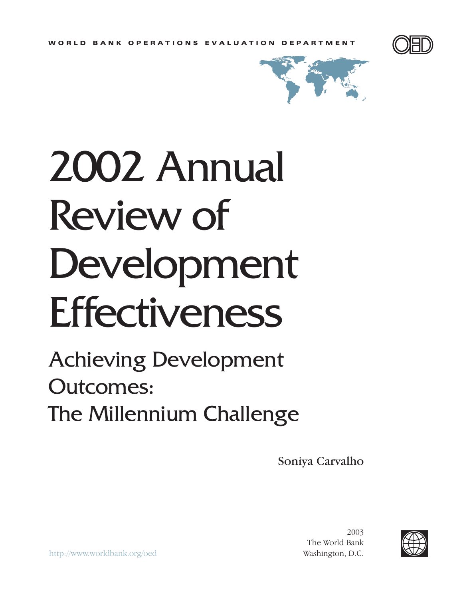WORLD BANK OPERATIONS EVALUATION DEPARTMENT





# 2002 Annual Review of Development **Effectiveness**

Achieving Development Outcomes: The Millennium Challenge

Soniya Carvalho

2003 The World Bank Washington, D.C.

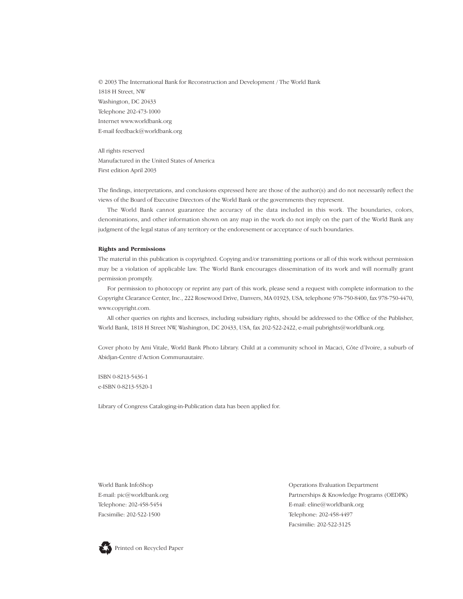© 2003 The International Bank for Reconstruction and Development / The World Bank 1818 H Street, NW Washington, DC 20433 Telephone 202-473-1000 Internet www.worldbank.org E-mail feedback@worldbank.org

All rights reserved Manufactured in the United States of America First edition April 2003

The findings, interpretations, and conclusions expressed here are those of the author(s) and do not necessarily reflect the views of the Board of Executive Directors of the World Bank or the governments they represent.

The World Bank cannot guarantee the accuracy of the data included in this work. The boundaries, colors, denominations, and other information shown on any map in the work do not imply on the part of the World Bank any judgment of the legal status of any territory or the endoresement or acceptance of such boundaries.

#### **Rights and Permissions**

The material in this publication is copyrighted. Copying and/or transmitting portions or all of this work without permission may be a violation of applicable law. The World Bank encourages dissemination of its work and will normally grant permission promptly.

For permission to photocopy or reprint any part of this work, please send a request with complete information to the Copyright Clearance Center, Inc., 222 Rosewood Drive, Danvers, MA 01923, USA, telephone 978-750-8400, fax 978-750-4470, www.copyright.com.

All other queries on rights and licenses, including subsidiary rights, should be addressed to the Office of the Publisher, World Bank, 1818 H Street NW, Washington, DC 20433, USA, fax 202-522-2422, e-mail pubrights@worldbank.org.

Cover photo by Ami Vitale, World Bank Photo Library. Child at a community school in Macaci, Côte d'Ivoire, a suburb of Abidjan-Centre d'Action Communautaire.

ISBN 0-8213-5436-1 e-ISBN 0-8213-5520-1

Library of Congress Cataloging-in-Publication data has been applied for.

World Bank InfoShop E-mail: pic@worldbank.org Telephone: 202-458-5454 Facsimilie: 202-522-1500

Operations Evaluation Department Partnerships & Knowledge Programs (OEDPK) E-mail: eline@worldbank.org Telephone: 202-458-4497 Facsimilie: 202-522-3125



Printed on Recycled Paper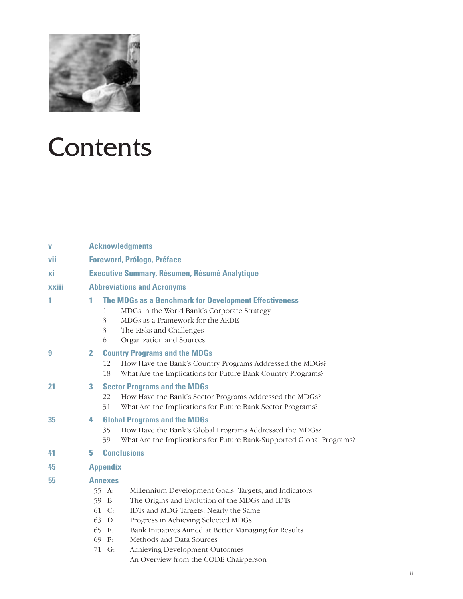

## **Contents**

| V     | <b>Acknowledgments</b>            |                                                                                                                                                                                                                                                                                                                                                                                                                                  |  |  |  |  |
|-------|-----------------------------------|----------------------------------------------------------------------------------------------------------------------------------------------------------------------------------------------------------------------------------------------------------------------------------------------------------------------------------------------------------------------------------------------------------------------------------|--|--|--|--|
| vii   | <b>Foreword, Prólogo, Préface</b> |                                                                                                                                                                                                                                                                                                                                                                                                                                  |  |  |  |  |
| хi    |                                   | <b>Executive Summary, Résumen, Résumé Analytique</b>                                                                                                                                                                                                                                                                                                                                                                             |  |  |  |  |
| xxiii |                                   | <b>Abbreviations and Acronyms</b>                                                                                                                                                                                                                                                                                                                                                                                                |  |  |  |  |
| 1     | 1                                 | The MDGs as a Benchmark for Development Effectiveness<br>MDGs in the World Bank's Corporate Strategy<br>1<br>MDGs as a Framework for the ARDE<br>3<br>3<br>The Risks and Challenges<br>6<br>Organization and Sources                                                                                                                                                                                                             |  |  |  |  |
| 9     | $\overline{2}$                    | <b>Country Programs and the MDGs</b><br>How Have the Bank's Country Programs Addressed the MDGs?<br>12<br>18<br>What Are the Implications for Future Bank Country Programs?                                                                                                                                                                                                                                                      |  |  |  |  |
| 21    | 3                                 | <b>Sector Programs and the MDGs</b><br>22<br>How Have the Bank's Sector Programs Addressed the MDGs?<br>What Are the Implications for Future Bank Sector Programs?<br>31                                                                                                                                                                                                                                                         |  |  |  |  |
| 35    | 4                                 | <b>Global Programs and the MDGs</b><br>How Have the Bank's Global Programs Addressed the MDGs?<br>What Are the Implications for Future Bank-Supported Global Programs?                                                                                                                                                                                                                                                           |  |  |  |  |
| 41    | 5                                 | <b>Conclusions</b>                                                                                                                                                                                                                                                                                                                                                                                                               |  |  |  |  |
| 45    |                                   | <b>Appendix</b>                                                                                                                                                                                                                                                                                                                                                                                                                  |  |  |  |  |
| 55    | 61<br>63<br>65<br>69              | <b>Annexes</b><br>55 A:<br>Millennium Development Goals, Targets, and Indicators<br>59 B:<br>The Origins and Evolution of the MDGs and IDTs<br>C:<br>IDTs and MDG Targets: Nearly the Same<br>Progress in Achieving Selected MDGs<br>D:<br>Bank Initiatives Aimed at Better Managing for Results<br>$E$ :<br>Methods and Data Sources<br>F:<br>71 G:<br>Achieving Development Outcomes:<br>An Overview from the CODE Chairperson |  |  |  |  |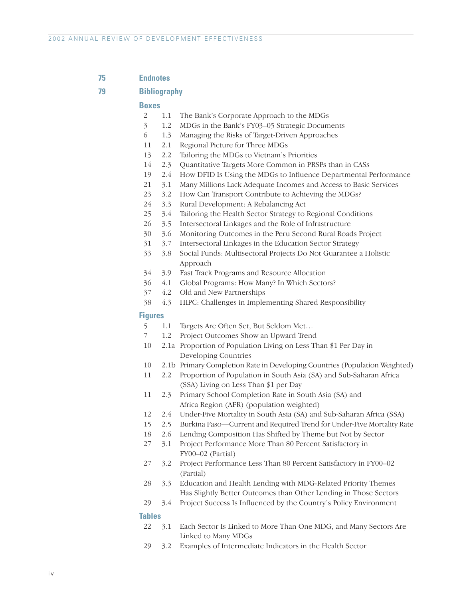**75 Endnotes**

#### **79 Bibliography**

#### **Boxes**

- 2 1.1 The Bank's Corporate Approach to the MDGs
- 3 1.2 MDGs in the Bank's FY03–05 Strategic Documents
- 6 1.3 Managing the Risks of Target-Driven Approaches
- 11 2.1 Regional Picture for Three MDGs
- 13 2.2 Tailoring the MDGs to Vietnam's Priorities
- 14 2.3 Quantitative Targets More Common in PRSPs than in CASs
- 19 2.4 How DFID Is Using the MDGs to Influence Departmental Performance
- 21 3.1 Many Millions Lack Adequate Incomes and Access to Basic Services
- 23 3.2 How Can Transport Contribute to Achieving the MDGs?
- 24 3.3 Rural Development: A Rebalancing Act
- 25 3.4 Tailoring the Health Sector Strategy to Regional Conditions
- 26 3.5 Intersectoral Linkages and the Role of Infrastructure
- 30 3.6 Monitoring Outcomes in the Peru Second Rural Roads Project
- 31 3.7 Intersectoral Linkages in the Education Sector Strategy
- 33 3.8 Social Funds: Multisectoral Projects Do Not Guarantee a Holistic Approach
- 34 3.9 Fast Track Programs and Resource Allocation
- 36 4.1 Global Programs: How Many? In Which Sectors?
- 37 4.2 Old and New Partnerships
- 38 4.3 HIPC: Challenges in Implementing Shared Responsibility

#### **Figures**

- 5 1.1 Targets Are Often Set, But Seldom Met…
- 7 1.2 Project Outcomes Show an Upward Trend
- 10 2.1a Proportion of Population Living on Less Than \$1 Per Day in Developing Countries
- 10 2.1b Primary Completion Rate in Developing Countries (Population Weighted)
- 11 2.2 Proportion of Population in South Asia (SA) and Sub-Saharan Africa (SSA) Living on Less Than \$1 per Day
- 11 2.3 Primary School Completion Rate in South Asia (SA) and Africa Region (AFR) (population weighted)
- 12 2.4 Under-Five Mortality in South Asia (SA) and Sub-Saharan Africa (SSA)
- 15 2.5 Burkina Faso—Current and Required Trend for Under-Five Mortality Rate
- 18 2.6 Lending Composition Has Shifted by Theme but Not by Sector
- 27 3.1 Project Performance More Than 80 Percent Satisfactory in FY00–02 (Partial)
- 27 3.2 Project Performance Less Than 80 Percent Satisfactory in FY00–02 (Partial)
- 28 3.3 Education and Health Lending with MDG-Related Priority Themes Has Slightly Better Outcomes than Other Lending in Those Sectors
- 29 3.4 Project Success Is Influenced by the Country's Policy Environment

#### **Tables**

- 22 3.1 Each Sector Is Linked to More Than One MDG, and Many Sectors Are Linked to Many MDGs
- 29 3.2 Examples of Intermediate Indicators in the Health Sector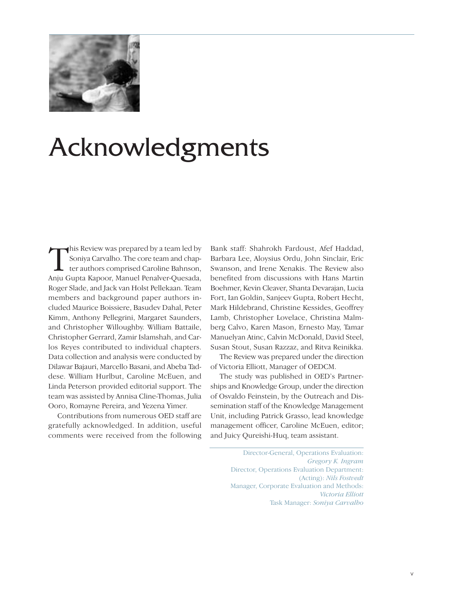

## Acknowledgments

this Review was prepared by a team led by Soniya Carvalho. The core team and chapter authors comprised Caroline Bahnson, Anju Gupta Kapoor, Manuel Penalver-Quesada, Roger Slade, and Jack van Holst Pellekaan. Team members and background paper authors included Maurice Boissiere, Basudev Dahal, Peter Kimm, Anthony Pellegrini, Margaret Saunders, and Christopher Willoughby. William Battaile, Christopher Gerrard, Zamir Islamshah, and Carlos Reyes contributed to individual chapters. Data collection and analysis were conducted by Dilawar Bajauri, Marcello Basani, and Abeba Taddese. William Hurlbut, Caroline McEuen, and Linda Peterson provided editorial support. The team was assisted by Annisa Cline-Thomas, Julia Ooro, Romayne Pereira, and Yezena Yimer.

Contributions from numerous OED staff are gratefully acknowledged. In addition, useful comments were received from the following Bank staff: Shahrokh Fardoust, Afef Haddad, Barbara Lee, Aloysius Ordu, John Sinclair, Eric Swanson, and Irene Xenakis. The Review also benefited from discussions with Hans Martin Boehmer, Kevin Cleaver, Shanta Devarajan, Lucia Fort, Ian Goldin, Sanjeev Gupta, Robert Hecht, Mark Hildebrand, Christine Kessides, Geoffrey Lamb, Christopher Lovelace, Christina Malmberg Calvo, Karen Mason, Ernesto May, Tamar Manuelyan Atinc, Calvin McDonald, David Steel, Susan Stout, Susan Razzaz, and Ritva Reinikka.

The Review was prepared under the direction of Victoria Elliott, Manager of OEDCM.

The study was published in OED's Partnerships and Knowledge Group, under the direction of Osvaldo Feinstein, by the Outreach and Dissemination staff of the Knowledge Management Unit, including Patrick Grasso, lead knowledge management officer, Caroline McEuen, editor; and Juicy Qureishi-Huq, team assistant.

> Director-General, Operations Evaluation: *Gregory K. Ingram* Director, Operations Evaluation Department: (Acting): *Nils Fostvedt* Manager, Corporate Evaluation and Methods: *Victoria Elliott* Task Manager: *Soniya Carvalho*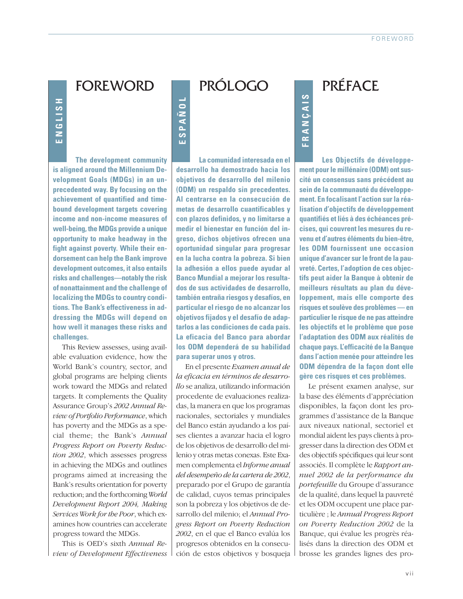#### FOREWORD

ESPAÑOL **ESPA ˜NOL**

**The development community is aligned around the Millennium Development Goals (MDGs) in an unprecedented way. By focusing on the achievement of quantified and timebound development targets covering income and non-income measures of well-being, the MDGs provide a unique opportunity to make headway in the fight against poverty. While their endorsement can help the Bank improve development outcomes, it also entails risks and challenges—notably the risk of nonattainment and the challenge of localizing the MDGs to country conditions. The Bank's effectiveness in addressing the MDGs will depend on how well it manages these risks and challenges.**

This Review assesses, using available evaluation evidence, how the World Bank's country, sector, and global programs are helping clients work toward the MDGs and related targets. It complements the Quality Assurance Group's *2002 Annual Review of Portfolio Performance*, which has poverty and the MDGs as a special theme; the Bank's *Annual Progress Report on Poverty Reduction 2002*, which assesses progress in achieving the MDGs and outlines programs aimed at increasing the Bank's results orientation for poverty reduction; and the forthcoming *World Development Report 2004, Making Services Work for the Poor*, which examines how countries can accelerate progress toward the MDGs.

This is OED's sixth *Annual Review of Development Effectiveness*

### PRÓLOGO

**La comunidad interesada en el desarrollo ha demostrado hacia los objetivos de desarrollo del milenio (ODM) un respaldo sin precedentes. Al centrarse en la consecución de metas de desarrollo cuantificables y con plazos definidos, y no limitarse a medir el bienestar en función del ingreso, dichos objetivos ofrecen una oportunidad singular para progresar en la lucha contra la pobreza. Si bien la adhesión a ellos puede ayudar al Banco Mundial a mejorar los resultados de sus actividades de desarrollo, también entraña riesgos y desafíos, en particular el riesgo de no alcanzar los objetivos fijados y el desafío de adaptarlos a las condiciones de cada país. La eficacia del Banco para abordar los ODM dependerá de su habilidad para superar unos y otros.** 

En el presente *Examen anual de la eficacia en términos de desarrollo* se analiza, utilizando información procedente de evaluaciones realizadas, la manera en que los programas nacionales, sectoriales y mundiales del Banco están ayudando a los países clientes a avanzar hacia el logro de los objetivos de desarrollo del milenio y otras metas conexas. Este Examen complementa el *Informe anual del desempeño de la cartera de 2002*, preparado por el Grupo de garantía de calidad, cuyos temas principales son la pobreza y los objetivos de desarrollo del milenio; el *Annual Progress Report on Poverty Reduction 2002*, en el que el Banco evalúa los progresos obtenidos en la consecución de estos objetivos y bosqueja

## PRÉFACE

**FRANÇAIS**

FRANÇAIS

**Les Objectifs de développement pour le millénaire (ODM) ont suscité un consensus sans précédent au sein de la communauté du développement. En focalisant l'action sur la réalisation d'objectifs de développement quantifiés et liés à des échéances précises, qui couvrent les mesures du revenu et d'autres éléments du bien-être, les ODM fournissent une occasion unique d'avancer sur le front de la pauvreté. Certes, l'adoption de ces objectifs peut aider la Banque à obtenir de meilleurs résultats au plan du développement, mais elle comporte des risques et soulève des problèmes — en particulier le risque de ne pas atteindre les objectifs et le problème que pose l'adaptation des ODM aux réalités de chaque pays. L'efficacité de la Banque dans l'action menée pour atteindre les ODM dépendra de la façon dont elle gère ces risques et ces problèmes.**

Le présent examen analyse, sur la base des éléments d'appréciation disponibles, la façon dont les programmes d'assistance de la Banque aux niveaux national, sectoriel et mondial aident les pays clients à progresser dans la direction des ODM et des objectifs spécifiques qui leur sont associés. Il complète le *Rapport annuel 2002 de la performance du portefeuille* du Groupe d'assurance de la qualité, dans lequel la pauvreté et les ODM occupent une place particulière ; le *Annual Progress Report on Poverty Reduction 2002* de la Banque, qui évalue les progrès réalisés dans la direction des ODM et brosse les grandes lignes des pro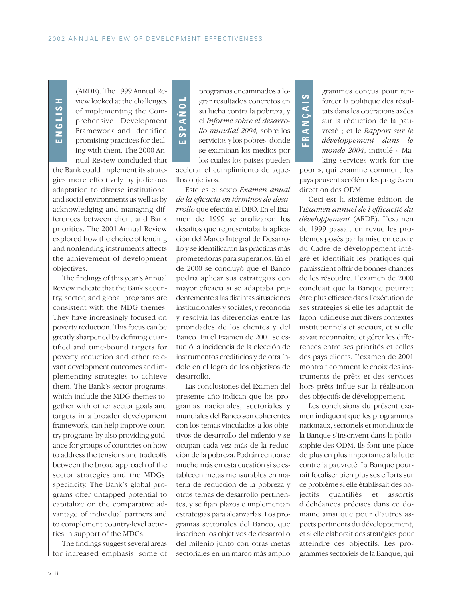**ESPA ˜NOL**

௨

ဖ ш

 $\bar{\mathbf{z}}$ 

 $\overline{\phantom{0}}$ 

### œ, **SI75**  $\sum_{i=1}^{n}$

(ARDE). The 1999 Annual Review looked at the challenges of implementing the Comprehensive Development Framework and identified promising practices for dealing with them. The 2000 Annual Review concluded that

the Bank could implement its strategies more effectively by judicious adaptation to diverse institutional and social environments as well as by acknowledging and managing differences between client and Bank priorities. The 2001 Annual Review explored how the choice of lending and nonlending instruments affects the achievement of development objectives.

The findings of this year's Annual Review indicate that the Bank's country, sector, and global programs are consistent with the MDG themes. They have increasingly focused on poverty reduction. This focus can be greatly sharpened by defining quantified and time-bound targets for poverty reduction and other relevant development outcomes and implementing strategies to achieve them. The Bank's sector programs, which include the MDG themes together with other sector goals and targets in a broader development framework, can help improve country programs by also providing guidance for groups of countries on how to address the tensions and tradeoffs between the broad approach of the sector strategies and the MDGs' specificity. The Bank's global programs offer untapped potential to capitalize on the comparative advantage of individual partners and to complement country-level activities in support of the MDGs. **ENGLISH**<br>
view the give add and ack fermide and ack fermide and ack fermide and ack fermide and the give the what targing in providing the get of the second to the second the vilibration of the vilibration of the vilibrat

The findings suggest several areas for increased emphasis, some of

programas encaminados a lograr resultados concretos en su lucha contra la pobreza; y el *Informe sobre el desarrollo mundial 2004,* sobre los servicios y los pobres, donde se examinan los medios por los cuales los países pueden

acelerar el cumplimiento de aquellos objetivos.

Este es el sexto *Examen anual de la eficacia en términos de desarrollo* que efectúa el DEO. En el Examen de 1999 se analizaron los desafíos que representaba la aplicación del Marco Integral de Desarrollo y se identificaron las prácticas más prometedoras para superarlos. En el de 2000 se concluyó que el Banco podría aplicar sus estrategias con mayor eficacia si se adaptaba prudentemente a las distintas situaciones institucionales y sociales, y reconocía y resolvía las diferencias entre las prioridades de los clientes y del Banco. En el Examen de 2001 se estudió la incidencia de la elección de instrumentos crediticios y de otra índole en el logro de los objetivos de desarrollo.

Las conclusiones del Examen del presente año indican que los programas nacionales, sectoriales y mundiales del Banco son coherentes con los temas vinculados a los objetivos de desarrollo del milenio y se ocupan cada vez más de la reducción de la pobreza. Podrán centrarse mucho más en esta cuestión si se establecen metas mensurables en materia de reducción de la pobreza y otros temas de desarrollo pertinentes, y se fijan plazos e implementan estrategias para alcanzarlas. Los programas sectoriales del Banco, que inscriben los objetivos de desarrollo del milenio junto con otras metas sectoriales en un marco más amplio

## **CAIS FRANÇAIS** FRAN

grammes conçus pour renforcer la politique des résultats dans les opérations axées sur la réduction de la pauvreté ; et le *Rapport sur le développement dans le monde 2004*, intitulé « Making services work for the

poor », qui examine comment les pays peuvent accélérer les progrès en direction des ODM.

Ceci est la sixième édition de l'*Examen annuel de l'efficacité du développement* (ARDE). L'examen de 1999 passait en revue les problèmes posés par la mise en œuvre du Cadre de développement intégré et identifiait les pratiques qui paraissaient offrir de bonnes chances de les résoudre. L'examen de 2000 concluait que la Banque pourrait être plus efficace dans l'exécution de ses stratégies si elle les adaptait de façon judicieuse aux divers contextes institutionnels et sociaux, et si elle savait reconnaître et gérer les différences entre ses priorités et celles des pays clients. L'examen de 2001 montrait comment le choix des instruments de prêts et des services hors prêts influe sur la réalisation des objectifs de développement.

Les conclusions du présent examen indiquent que les programmes nationaux, sectoriels et mondiaux de la Banque s'inscrivent dans la philosophie des ODM. Ils font une place de plus en plus importante à la lutte contre la pauvreté. La Banque pourrait focaliser bien plus ses efforts sur ce problème si elle établissait des objectifs quantifiés et assortis d'échéances précises dans ce domaine ainsi que pour d'autres aspects pertinents du développement, et si elle élaborait des stratégies pour atteindre ces objectifs. Les programmes sectoriels de la Banque, qui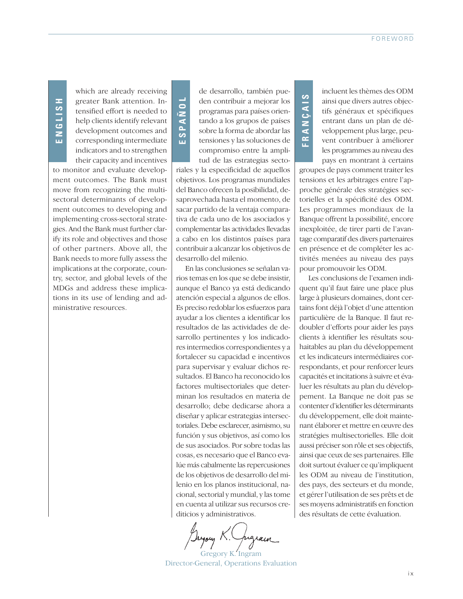which are already receiving greater Bank attention. Intensified effort is needed to help clients identify relevant development outcomes and corresponding intermediate indicators and to strengthen their capacity and incentives

to monitor and evaluate development outcomes. The Bank must move from recognizing the multisectoral determinants of development outcomes to developing and implementing cross-sectoral strategies. And the Bank must further clarify its role and objectives and those of other partners. Above all, the Bank needs to more fully assess the implications at the corporate, country, sector, and global levels of the MDGs and address these implications in its use of lending and administrative resources.

#### de desarrollo, también pueden contribuir a mejorar los programas para países orientando a los grupos de países sobre la forma de abordar las tensiones y las soluciones de compromiso entre la amplitud de las estrategias secto-

**ESPA ˜NOL**

௨

<u>ल</u> Ш

 $\bar{z}$ 

 $\overline{\phantom{0}}$ 

riales y la especificidad de aquellos objetivos. Los programas mundiales del Banco ofrecen la posibilidad, desaprovechada hasta el momento, de sacar partido de la ventaja comparativa de cada uno de los asociados y complementar las actividades llevadas a cabo en los distintos países para contribuir a alcanzar los objetivos de desarrollo del milenio.

En las conclusiones se señalan varios temas en los que se debe insistir, aunque el Banco ya está dedicando atención especial a algunos de ellos. Es preciso redoblar los esfuerzos para ayudar a los clientes a identificar los resultados de las actividades de desarrollo pertinentes y los indicadores intermedios correspondientes y a fortalecer su capacidad e incentivos para supervisar y evaluar dichos resultados. El Banco ha reconocido los factores multisectoriales que determinan los resultados en materia de desarrollo; debe dedicarse ahora a diseñar y aplicar estrategias intersectoriales. Debe esclarecer, asimismo, su función y sus objetivos, así como los de sus asociados. Por sobre todas las cosas, es necesario que el Banco evalúe más cabalmente las repercusiones de los objetivos de desarrollo del milenio en los planos institucional, nacional, sectorial y mundial, y las tome en cuenta al utilizar sus recursos crediticios y administrativos.

yon K!

Gregory K. Ingram Director-General, Operations Evaluation

#### incluent les thèmes des ODM ainsi que divers autres objectifs généraux et spécifiques entrant dans un plan de développement plus large, peuvent contribuer à améliorer

**CAIS** 

FRAN

les programmes au niveau des pays en montrant à certains groupes de pays comment traiter les tensions et les arbitrages entre l'approche générale des stratégies sectorielles et la spécificité des ODM. Les programmes mondiaux de la Banque offrent la possibilité, encore inexploitée, de tirer parti de l'avantage comparatif des divers partenaires en présence et de compléter les activités menées au niveau des pays pour promouvoir les ODM. **FRANÇAIS**

Les conclusions de l'examen indiquent qu'il faut faire une place plus large à plusieurs domaines, dont certains font déjà l'objet d'une attention particulière de la Banque. Il faut redoubler d'efforts pour aider les pays clients à identifier les résultats souhaitables au plan du développement et les indicateurs intermédiaires correspondants, et pour renforcer leurs capacités et incitations à suivre et évaluer les résultats au plan du développement. La Banque ne doit pas se contenter d'identifier les déterminants du développement, elle doit maintenant élaborer et mettre en œuvre des stratégies multisectorielles. Elle doit aussi préciser son rôle et ses objectifs, ainsi que ceux de ses partenaires. Elle doit surtout évaluer ce qu'impliquent les ODM au niveau de l'institution, des pays, des secteurs et du monde, et gérer l'utilisation de ses prêts et de ses moyens administratifs en fonction des résultats de cette évaluation.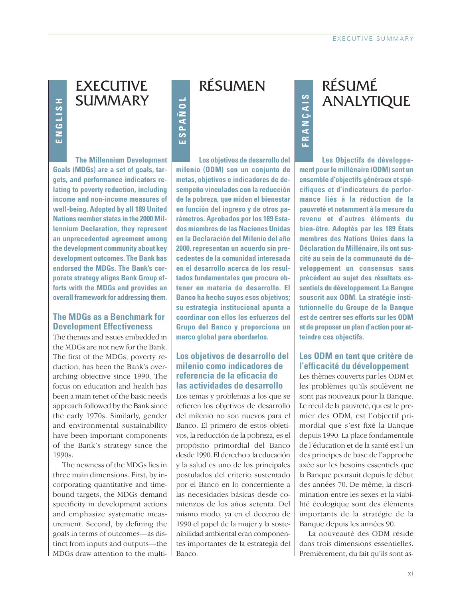## **HSITDNE ENGLISH**

### **EXECUTIVE** SUMMARY

**The Millennium Development Goals (MDGs) are a set of goals, targets, and performance indicators relating to poverty reduction, including income and non-income measures of well-being. Adopted by all 189 United Nations member states in the 2000 Millennium Declaration, they represent an unprecedented agreement among the development community about key development outcomes. The Bank has endorsed the MDGs. The Bank's corporate strategy aligns Bank Group efforts with the MDGs and provides an overall framework for addressing them.** 

#### **The MDGs as a Benchmark for Development Effectiveness**

The themes and issues embedded in the MDGs are not new for the Bank. The first of the MDGs, poverty reduction, has been the Bank's overarching objective since 1990. The focus on education and health has been a main tenet of the basic needs approach followed by the Bank since the early 1970s. Similarly, gender and environmental sustainability have been important components of the Bank's strategy since the 1990s.

The newness of the MDGs lies in three main dimensions. First, by incorporating quantitative and timebound targets, the MDGs demand specificity in development actions and emphasize systematic measurement. Second, by defining the goals in terms of outcomes—as distinct from inputs and outputs—the MDGs draw attention to the multi-

#### RÉSUMEN

**ESPA ˜NOL**

ESPAÑOL

**Los objetivos de desarrollo del milenio (ODM) son un conjunto de metas, objetivos e indicadores de desempeño vinculados con la reducción de la pobreza, que miden el bienestar en función del ingreso y de otros parámetros. Aprobados por los 189 Estados miembros de las Naciones Unidas en la Declaración del Milenio del año 2000, representan un acuerdo sin precedentes de la comunidad interesada en el desarrollo acerca de los resultados fundamentales que procura obtener en materia de desarrollo. El Banco ha hecho suyos esos objetivos; su estrategia institucional apunta a coordinar con ellos los esfuerzos del Grupo del Banco y proporciona un marco global para abordarlos.**

#### **Los objetivos de desarrollo del milenio como indicadores de referencia de la eficacia de las actividades de desarrollo**

Los temas y problemas a los que se refieren los objetivos de desarrollo del milenio no son nuevos para el Banco. El primero de estos objetivos, la reducción de la pobreza, es el propósito primordial del Banco desde 1990. El derecho a la educación y la salud es uno de los principales postulados del criterio sustentado por el Banco en lo concerniente a las necesidades básicas desde comienzos de los años setenta. Del mismo modo, ya en el decenio de 1990 el papel de la mujer y la sostenibilidad ambiental eran componentes importantes de la estrategia del Banco.

# RÉSUMÉ ANALYTIQUE

**FRANÇAIS**

FRANÇAIS

**Les Objectifs de développement pour le millénaire (ODM) sont un ensemble d'objectifs généraux et spécifiques et d'indicateurs de performance liés à la réduction de la pauvreté et notamment à la mesure du revenu et d'autres éléments du bien-être. Adoptés par les 189 États membres des Nations Unies dans la Déclaration du Millénaire, ils ont suscité au sein de la communauté du développement un consensus sans précédent au sujet des résultats essentiels du développement. La Banque souscrit aux ODM. La stratégie institutionnelle du Groupe de la Banque est de centrer ses efforts sur les ODM et de proposer un plan d'action pour atteindre ces objectifs.** 

#### **Les ODM en tant que critère de l'efficacité du développement**

Les thèmes couverts par les ODM et les problèmes qu'ils soulèvent ne sont pas nouveaux pour la Banque. Le recul de la pauvreté, qui est le premier des ODM, est l'objectif primordial que s'est fixé la Banque depuis 1990. La place fondamentale de l'éducation et de la santé est l'un des principes de base de l'approche axée sur les besoins essentiels que la Banque poursuit depuis le début des années 70. De même, la discrimination entre les sexes et la viabilité écologique sont des éléments importants de la stratégie de la Banque depuis les années 90.

La nouveauté des ODM réside dans trois dimensions essentielles. Premièrement, du fait qu'ils sont as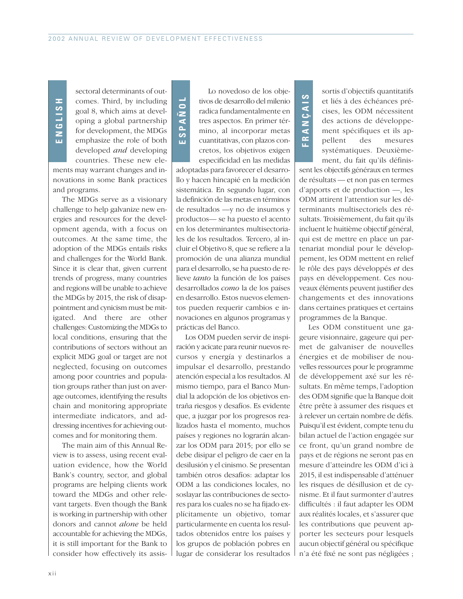**ESPA ˜NOL**

௨

<u>ल</u> ш

 $\bar{z}$ 

 $\frac{1}{\sigma}$ 

œ, **SI79**  $\sum_{i=1}^{n}$  sectoral determinants of outcomes. Third, by including goal 8, which aims at developing a global partnership for development, the MDGs emphasize the role of both developed *and* developing countries. These new ele-

ments may warrant changes and innovations in some Bank practices and programs.

The MDGs serve as a visionary challenge to help galvanize new energies and resources for the development agenda, with a focus on outcomes. At the same time, the adoption of the MDGs entails risks and challenges for the World Bank. Since it is clear that, given current trends of progress, many countries and regions will be unable to achieve the MDGs by 2015, the risk of disappointment and cynicism must be mitigated. And there are other challenges: Customizing the MDGs to local conditions, ensuring that the contributions of sectors without an explicit MDG goal or target are not neglected, focusing on outcomes among poor countries and population groups rather than just on average outcomes, identifying the results chain and monitoring appropriate intermediate indicators, and addressing incentives for achieving outcomes and for monitoring them. **ENGLISH**<br>
me nov and charge opiud and sin the iga da loc or reg am in the correct and the correct and the correct with the correct view to various to the correct view do it is v

The main aim of this Annual Review is to assess, using recent evaluation evidence, how the World Bank's country, sector, and global programs are helping clients work toward the MDGs and other relevant targets. Even though the Bank is working in partnership with other donors and cannot *alone* be held accountable for achieving the MDGs, it is still important for the Bank to consider how effectively its assis-

Lo novedoso de los objetivos de desarrollo del milenio radica fundamentalmente en tres aspectos. En primer término, al incorporar metas cuantitativas, con plazos concretos, los objetivos exigen especificidad en las medidas

adoptadas para favorecer el desarrollo y hacen hincapié en la medición sistemática. En segundo lugar, con la definición de las metas en términos de resultados —y no de insumos y productos— se ha puesto el acento en los determinantes multisectoriales de los resultados. Tercero, al incluir el Objetivo 8, que se refiere a la promoción de una alianza mundial para el desarrollo, se ha puesto de relieve *tanto* la función de los países desarrollados *como* la de los países en desarrollo. Estos nuevos elementos pueden requerir cambios e innovaciones en algunos programas y prácticas del Banco.

Los ODM pueden servir de inspiración y acicate para reunir nuevos recursos y energía y destinarlos a impulsar el desarrollo, prestando atención especial a los resultados. Al mismo tiempo, para el Banco Mundial la adopción de los objetivos entraña riesgos y desafíos. Es evidente que, a juzgar por los progresos realizados hasta el momento, muchos países y regiones no lograrán alcanzar los ODM para 2015; por ello se debe disipar el peligro de caer en la desilusión y el cinismo. Se presentan también otros desafíos: adaptar los ODM a las condiciones locales, no soslayar las contribuciones de sectores para los cuales no se ha fijado explícitamente un objetivo, tomar particularmente en cuenta los resultados obtenidos entre los países y los grupos de población pobres en lugar de considerar los resultados

## CAIS **FRANÇAIS** FRAN

sortis d'objectifs quantitatifs et liés à des échéances précises, les ODM nécessitent des actions de développement spécifiques et ils appellent des mesures systématiques. Deuxièmement, du fait qu'ils définis-

sent les objectifs généraux en termes de résultats — et non pas en termes d'apports et de production —, les ODM attirent l'attention sur les déterminants multisectoriels des résultats. Troisièmement, du fait qu'ils incluent le huitième objectif général, qui est de mettre en place un partenariat mondial pour le développement, les ODM mettent en relief le rôle des pays développés *et* des pays en développement. Ces nouveaux éléments peuvent justifier des changements et des innovations dans certaines pratiques et certains programmes de la Banque.

Les ODM constituent une gageure visionnaire, gageure qui permet de galvaniser de nouvelles énergies et de mobiliser de nouvelles ressources pour le programme de développement axé sur les résultats. En même temps, l'adoption des ODM signifie que la Banque doit être prête à assumer des risques et à relever un certain nombre de défis. Puisqu'il est évident, compte tenu du bilan actuel de l'action engagée sur ce front, qu'un grand nombre de pays et de régions ne seront pas en mesure d'atteindre les ODM d'ici à 2015, il est indispensable d'atténuer les risques de désillusion et de cynisme. Et il faut surmonter d'autres difficultés : il faut adapter les ODM aux réalités locales, et s'assurer que les contributions que peuvent apporter les secteurs pour lesquels aucun objectif général ou spécifique n'a été fixé ne sont pas négligées ;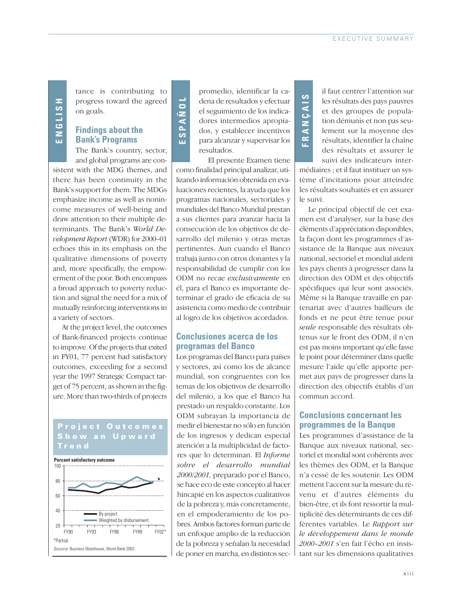tance is contributing to progress toward the agreed on goals.

#### **Findings about the Bank's Programs**

The Bank's country, sector, and global programs are con-

sistent with the MDG themes, and there has been continuity in the Bank's support for them. The MDGs emphasize income as well as nonincome measures of well-being and draw attention to their multiple determinants. The Bank's *World Development Report*(WDR) for 2000–01 echoes this in its emphasis on the qualitative dimensions of poverty and, more specifically, the empowerment of the poor. Both encompass a broad approach to poverty reduction and signal the need for a mix of mutually reinforcing interventions in a variety of sectors.

At the project level, the outcomes of Bank-financed projects continue to improve. Of the projects that exited in FY01, 77 percent had satisfactory outcomes, exceeding for a second year the 1997 Strategic Compact target of 75 percent, as shown in the figure. More than two-thirds of projects

#### **Project Outcomes Show an Upward**





promedio, identificar la cadena de resultados y efectuar el seguimiento de los indicadores intermedios apropiados, y establecer incentivos para alcanzar y supervisar los resultados.

El presente Examen tiene como finalidad principal analizar, utilizando información obtenida en evaluaciones recientes, la ayuda que los programas nacionales, sectoriales y mundiales del Banco Mundial prestan a sus clientes para avanzar hacia la consecución de los objetivos de desarrollo del milenio y otras metas pertinentes. Aun cuando el Banco trabaja junto con otros donantes y la responsabilidad de cumplir con los ODM no recae *exclusivamente* en él, para el Banco es importante determinar el grado de eficacia de su asistencia como medio de contribuir al logro de los objetivos acordados.

#### **Conclusiones acerca de los programas del Banco**

Los programas del Banco para países y sectores, así como los de alcance mundial, son congruentes con los temas de los objetivos de desarrollo del milenio, a los que el Banco ha prestado un respaldo constante. Los ODM subrayan la importancia de medir el bienestar no sólo en función de los ingresos y dedican especial atención a la multiplicidad de factores que lo determinan. El *Informe sobre el desarrollo mundial 2000/2001,* preparado por el Banco, se hace eco de este concepto al hacer hincapié en los aspectos cualitativos de la pobreza y, más concretamente, en el empoderamiento de los pobres. Ambos factores forman parte de un enfoque amplio de la reducción de la pobreza y señalan la necesidad de poner en marcha, en distintos sec-

### **CAIS FRANÇAIS** FRAN

il faut centrer l'attention sur les résultats des pays pauvres et des groupes de population démunis et non pas seulement sur la moyenne des résultats, identifier la chaîne des résultats et assurer le suivi des indicateurs inter-

médiaires ; et il faut instituer un système d'incitations pour atteindre les résultats souhaités et en assurer le suivi.

Le principal objectif de cet examen est d'analyser, sur la base des éléments d'appréciation disponibles, la façon dont les programmes d'assistance de la Banque aux niveaux national, sectoriel et mondial aident les pays clients à progresser dans la direction des ODM et des objectifs spécifiques qui leur sont associés. Même si la Banque travaille en partenariat avec d'autres bailleurs de fonds et ne peut être tenue pour *seule* responsable des résultats obtenus sur le front des ODM, il n'en est pas moins important qu'elle fasse le point pour déterminer dans quelle mesure l'aide qu'elle apporte permet aux pays de progresser dans la direction des objectifs établis d'un commun accord.

#### **Conclusions concernant les programmes de la Banque**

Les programmes d'assistance de la Banque aux niveaux national, sectoriel et mondial sont cohérents avec les thèmes des ODM, et la Banque n'a cessé de les soutenir. Les ODM mettent l'accent sur la mesure du revenu et d'autres éléments du bien-être, et ils font ressortir la multiplicité des déterminants de ces différentes variables. Le *Rapport sur le développement dans le monde 2000–2001* s'en fait l'écho en insistant sur les dimensions qualitatives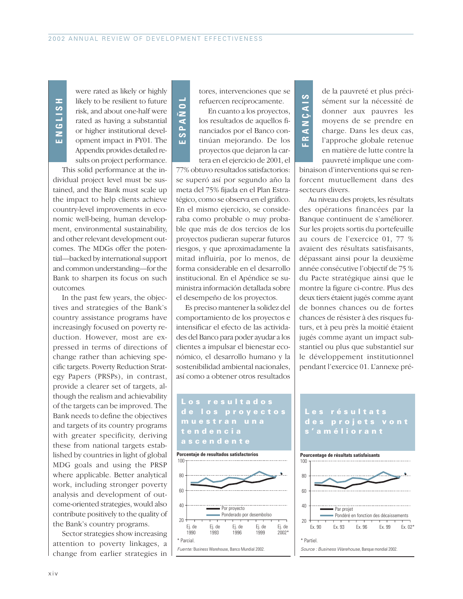**ESPA ˜NOL**

ρĹ,

—<br>"

 $\bar{\mathbf{z}}$ 

 $\overline{\phantom{0}}$ 

#### æ, **SI75**  $\sum_{i=1}^{n}$

were rated as likely or highly likely to be resilient to future risk, and about one-half were rated as having a substantial or higher institutional development impact in FY01. The Appendix provides detailed results on project performance.

This solid performance at the individual project level must be sustained, and the Bank must scale up the impact to help clients achieve country-level improvements in economic well-being, human development, environmental sustainability, and other relevant development outcomes. The MDGs offer the potential—backed by international support and common understanding—for the Bank to sharpen its focus on such outcomes*.*

In the past few years, the objectives and strategies of the Bank's country assistance programs have increasingly focused on poverty reduction. However, most are expressed in terms of directions of change rather than achieving specific targets. Poverty Reduction Strategy Papers (PRSPs), in contrast, provide a clearer set of targets, although the realism and achievability of the targets can be improved. The Bank needs to define the objectives and targets of its country programs with greater specificity, deriving these from national targets established by countries in light of global MDG goals and using the PRSP where applicable. Better analytical work, including stronger poverty analysis and development of outcome-oriented strategies, would also contribute positively to the quality of the Bank's country programs. **ENGLISHER**<br> **ENGLISHER**<br>
STRIP on the count of the count of the count of the count of the count of the count of the count of the count of the state who counted at the state change of the state change of the state change o

Sector strategies show increasing attention to poverty linkages, a change from earlier strategies in tores, intervenciones que se refuercen recíprocamente.

En cuanto a los proyectos, los resultados de aquellos financiados por el Banco continúan mejorando. De los proyectos que dejaron la cartera en el ejercicio de 2001, el

77% obtuvo resultados satisfactorios: se superó así por segundo año la meta del 75% fijada en el Plan Estratégico, como se observa en el gráfico. En el mismo ejercicio, se consideraba como probable o muy probable que más de dos tercios de los proyectos pudieran superar futuros riesgos, y que aproximadamente la mitad influiría, por lo menos, de forma considerable en el desarrollo institucional. En el Apéndice se suministra información detallada sobre el desempeño de los proyectos.

Es preciso mantener la solidez del comportamiento de los proyectos e intensificar el efecto de las actividades del Banco para poder ayudar a los clientes a impulsar el bienestar económico, el desarrollo humano y la sostenibilidad ambiental nacionales, así como a obtener otros resultados

#### de la pauvreté et plus précisément sur la nécessité de donner aux pauvres les moyens de se prendre en charge. Dans les deux cas, l'approche globale retenue en matière de lutte contre la pauvreté implique une com-

**FRANÇAIS**

FRAN

**CAIS** 

binaison d'interventions qui se renforcent mutuellement dans des secteurs divers.

Au niveau des projets, les résultats des opérations financées par la Banque continuent de s'améliorer. Sur les projets sortis du portefeuille au cours de l'exercice 01, 77 % avaient des résultats satisfaisants, dépassant ainsi pour la deuxième année consécutive l'objectif de 75 % du Pacte stratégique ainsi que le montre la figure ci-contre. Plus des deux tiers étaient jugés comme ayant de bonnes chances ou de fortes chances de résister à des risques futurs, et à peu près la moitié étaient jugés comme ayant un impact substantiel ou plus que substantiel sur le développement institutionnel pendant l'exercice 01. L'annexe pré-





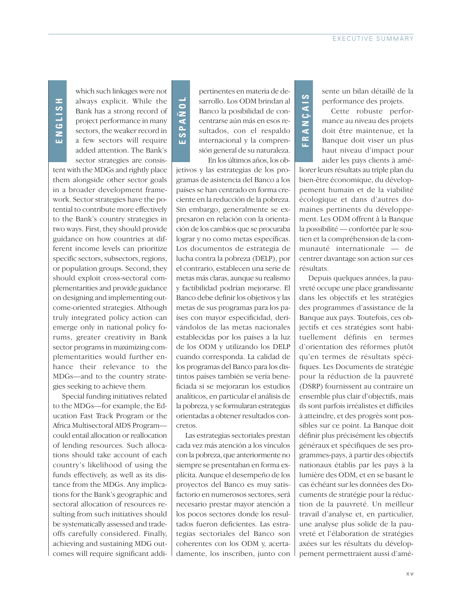which such linkages were not always explicit. While the Bank has a strong record of project performance in many sectors, the weaker record in a few sectors will require added attention. The Bank's sector strategies are consis-

**ESPA ˜NOL**

௨

<u>ल</u> ш

 $\bar{z}$ 

 $\overline{\phantom{0}}$ 

tent with the MDGs and rightly place them alongside other sector goals in a broader development framework. Sector strategies have the potential to contribute more effectively to the Bank's country strategies in two ways. First, they should provide guidance on how countries at different income levels can prioritize specific sectors, subsectors, regions, or population groups. Second, they should exploit cross-sectoral complementarities and provide guidance on designing and implementing outcome-oriented strategies. Although truly integrated policy action can emerge only in national policy forums, greater creativity in Bank sector programs in maximizing complementarities would further enhance their relevance to the MDGs—and to the country strategies seeking to achieve them.

Special funding initiatives related to the MDGs—for example, the Education Fast Track Program or the Africa Multisectoral AIDS Program could entail allocation or reallocation of lending resources. Such allocations should take account of each country's likelihood of using the funds effectively, as well as its distance from the MDGs. Any implications for the Bank's geographic and sectoral allocation of resources resulting from such initiatives should be systematically assessed and tradeoffs carefully considered. Finally, achieving and sustaining MDG outcomes will require significant addi-

pertinentes en materia de desarrollo. Los ODM brindan al Banco la posibilidad de concentrarse aún más en esos resultados, con el respaldo internacional y la comprensión general de su naturaleza. En los últimos años, los ob-

**FRANÇAIS**

FRAN

S

 $\overline{a}$ 

jetivos y las estrategias de los programas de asistencia del Banco a los países se han centrado en forma creciente en la reducción de la pobreza. Sin embargo, generalmente se expresaron en relación con la orientación de los cambios que se procuraba lograr y no como metas específicas. Los documentos de estrategia de lucha contra la pobreza (DELP), por el contrario, establecen una serie de metas más claras, aunque su realismo y factibilidad podrían mejorarse. El Banco debe definir los objetivos y las metas de sus programas para los países con mayor especificidad, derivándolos de las metas nacionales establecidas por los países a la luz de los ODM y utilizando los DELP cuando corresponda. La calidad de los programas del Banco para los distintos países también se vería beneficiada si se mejoraran los estudios analíticos, en particular el análisis de la pobreza, y se formularan estrategias orientadas a obtener resultados concretos.

Las estrategias sectoriales prestan cada vez más atención a los vínculos con la pobreza, que anteriormente no siempre se presentaban en forma explícita. Aunque el desempeño de los proyectos del Banco es muy satisfactorio en numerosos sectores, será necesario prestar mayor atención a los pocos sectores donde los resultados fueron deficientes. Las estrategias sectoriales del Banco son coherentes con los ODM y, acertadamente, los inscriben, junto con sente un bilan détaillé de la performance des projets.

Cette robuste performance au niveau des projets doit être maintenue, et la Banque doit viser un plus haut niveau d'impact pour aider les pays clients à amé-

liorer leurs résultats au triple plan du bien-être économique, du développement humain et de la viabilité écologique et dans d'autres domaines pertinents du développement. Les ODM offrent à la Banque la possibilité — confortée par le soutien et la compréhension de la communauté internationale — de centrer davantage son action sur ces résultats.

Depuis quelques années, la pauvreté occupe une place grandissante dans les objectifs et les stratégies des programmes d'assistance de la Banque aux pays. Toutefois, ces objectifs et ces stratégies sont habituellement définis en termes d'orientation des réformes plutôt qu'en termes de résultats spécifiques. Les Documents de stratégie pour la réduction de la pauvreté (DSRP) fournissent au contraire un ensemble plus clair d'objectifs, mais ils sont parfois irréalistes et difficiles à atteindre, et des progrès sont possibles sur ce point. La Banque doit définir plus précisément les objectifs généraux et spécifiques de ses programmes-pays, à partir des objectifs nationaux établis par les pays à la lumière des ODM, et en se basant le cas échéant sur les données des Documents de stratégie pour la réduction de la pauvreté. Un meilleur travail d'analyse et, en particulier, une analyse plus solide de la pauvreté et l'élaboration de stratégies axées sur les résultats du développement permettraient aussi d'amé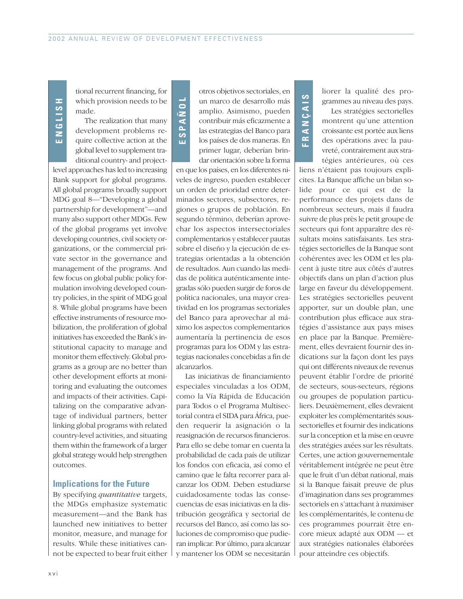**ESPA ˜NOL**

—<br>"

PAÑ

 $\overline{\phantom{0}}$ 

### œ, **SI79**  $\sum_{i=1}^{n}$

tional recurrent financing, for which provision needs to be made.

The realization that many development problems require collective action at the global level to supplement traditional country- and project-

level approaches has led to increasing Bank support for global programs. All global programs broadly support MDG goal 8—"Developing a global partnership for development"—and many also support other MDGs. Few of the global programs yet involve developing countries, civil society organizations, or the commercial private sector in the governance and management of the programs. And few focus on global public policy formulation involving developed country policies, in the spirit of MDG goal 8. While global programs have been effective instruments of resource mobilization, the proliferation of global initiatives has exceeded the Bank's institutional capacity to manage and monitor them effectively. Global programs as a group are no better than other development efforts at monitoring and evaluating the outcomes and impacts of their activities. Capitalizing on the comparative advantage of individual partners, better linking global programs with related country-level activities, and situating them within the framework of a larger global strategy would help strengthen outcomes. **EXCLUSH** EXP Rate Man ML par ma deve are writted as a vate man deve are writted as writted as writted as writted as a variety of the globule out that the globule content as writted as a variety of the globule content as a

#### **Implications for the Future**

By specifying *quantitative* targets, the MDGs emphasize systematic measurement—and the Bank has launched new initiatives to better monitor, measure, and manage for results. While these initiatives cannot be expected to bear fruit either

#### otros objetivos sectoriales, en un marco de desarrollo más amplio. Asimismo, pueden contribuir más eficazmente a las estrategias del Banco para los países de dos maneras. En primer lugar, deberían brindar orientación sobre la forma

en que los países, en los diferentes niveles de ingreso, pueden establecer un orden de prioridad entre determinados sectores, subsectores, regiones o grupos de población. En segundo término, deberían aprovechar los aspectos intersectoriales complementarios y establecer pautas sobre el diseño y la ejecución de estrategias orientadas a la obtención de resultados. Aun cuando las medidas de política auténticamente integradas sólo pueden surgir de foros de política nacionales, una mayor creatividad en los programas sectoriales del Banco para aprovechar al máximo los aspectos complementarios aumentaría la pertinencia de esos programas para los ODM y las estrategias nacionales concebidas a fin de alcanzarlos.

Las iniciativas de financiamiento especiales vinculadas a los ODM, como la Vía Rápida de Educación para Todos o el Programa Multisectorial contra el SIDA para África, pueden requerir la asignación o la reasignación de recursos financieros. Para ello se debe tomar en cuenta la probabilidad de cada país de utilizar los fondos con eficacia, así como el camino que le falta recorrer para alcanzar los ODM. Deben estudiarse cuidadosamente todas las consecuencias de esas iniciativas en la distribución geográfica y sectorial de recursos del Banco, así como las soluciones de compromiso que pudieran implicar. Por último, para alcanzar y mantener los ODM se necesitarán

#### liorer la qualité des programmes au niveau des pays. Les stratégies sectorielles montrent qu'une attention

**FRANÇAIS**

FRANÇAIS

croissante est portée aux liens des opérations avec la pauvreté, contrairement aux stratégies antérieures, où ces

liens n'étaient pas toujours explicites. La Banque affiche un bilan solide pour ce qui est de la performance des projets dans de nombreux secteurs, mais il faudra suivre de plus près le petit groupe de secteurs qui font apparaître des résultats moins satisfaisants. Les stratégies sectorielles de la Banque sont cohérentes avec les ODM et les placent à juste titre aux côtés d'autres objectifs dans un plan d'action plus large en faveur du développement. Les stratégies sectorielles peuvent apporter, sur un double plan, une contribution plus efficace aux stratégies d'assistance aux pays mises en place par la Banque. Premièrement, elles devraient fournir des indications sur la façon dont les pays qui ont différents niveaux de revenus peuvent établir l'ordre de priorité de secteurs, sous-secteurs, régions ou groupes de population particuliers. Deuxièmement, elles devraient exploiter les complémentarités soussectorielles et fournir des indications sur la conception et la mise en œuvre des stratégies axées sur les résultats. Certes, une action gouvernementale véritablement intégrée ne peut être que le fruit d'un débat national, mais si la Banque faisait preuve de plus d'imagination dans ses programmes sectoriels en s'attachant à maximiser les complémentarités, le contenu de ces programmes pourrait être encore mieux adapté aux ODM — et aux stratégies nationales élaborées pour atteindre ces objectifs.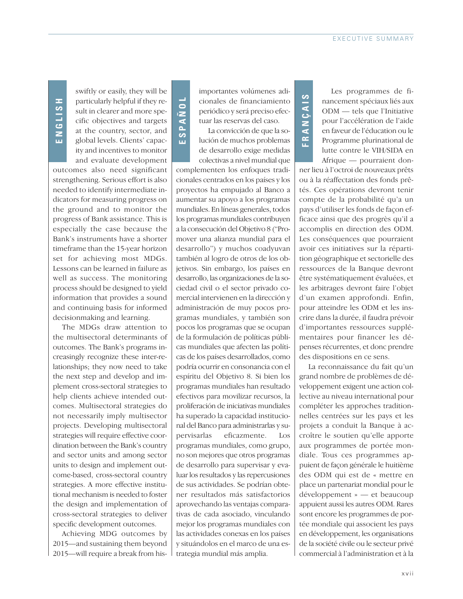swiftly or easily, they will be particularly helpful if they result in clearer and more specific objectives and targets at the country, sector, and global levels. Clients' capacity and incentives to monitor and evaluate development

**ESPA ˜NOL**

<u>ल</u> ш

 $\bar{z}$ ௨

 $\overline{\phantom{0}}$ 

outcomes also need significant strengthening. Serious effort is also needed to identify intermediate indicators for measuring progress on the ground and to monitor the progress of Bank assistance. This is especially the case because the Bank's instruments have a shorter timeframe than the 15-year horizon set for achieving most MDGs. Lessons can be learned in failure as well as success. The monitoring process should be designed to yield information that provides a sound and continuing basis for informed decisionmaking and learning.

The MDGs draw attention to the multisectoral determinants of outcomes. The Bank's programs increasingly recognize these inter-relationships; they now need to take the next step and develop and implement cross-sectoral strategies to help clients achieve intended outcomes. Multisectoral strategies do not necessarily imply multisector projects. Developing multisectoral strategies will require effective coordination between the Bank's country and sector units and among sector units to design and implement outcome-based, cross-sectoral country strategies. A more effective institutional mechanism is needed to foster the design and implementation of cross-sectoral strategies to deliver specific development outcomes.

Achieving MDG outcomes by 2015—and sustaining them beyond 2015—will require a break from hisimportantes volúmenes adicionales de financiamiento periódico y será preciso efectuar las reservas del caso.

La convicción de que la solución de muchos problemas de desarrollo exige medidas colectivas a nivel mundial que

complementen los enfoques tradicionales centrados en los países y los proyectos ha empujado al Banco a aumentar su apoyo a los programas mundiales. En líneas generales, todos los programas mundiales contribuyen a la consecución del Objetivo 8 ("Promover una alianza mundial para el desarrollo") y muchos coadyuvan también al logro de otros de los objetivos. Sin embargo, los países en desarrollo, las organizaciones de la sociedad civil o el sector privado comercial intervienen en la dirección y administración de muy pocos programas mundiales, y también son pocos los programas que se ocupan de la formulación de políticas públicas mundiales que afecten las políticas de los países desarrollados, como podría ocurrir en consonancia con el espíritu del Objetivo 8. Si bien los programas mundiales han resultado efectivos para movilizar recursos, la proliferación de iniciativas mundiales ha superado la capacidad institucional del Banco para administrarlas y supervisarlas eficazmente. Los programas mundiales, como grupo, no son mejores que otros programas de desarrollo para supervisar y evaluar los resultados y las repercusiones de sus actividades. Se podrían obtener resultados más satisfactorios aprovechando las ventajas comparativas de cada asociado, vinculando mejor los programas mundiales con las actividades conexas en los países y situándolos en el marco de una estrategia mundial más amplia.

#### Les programmes de financement spéciaux liés aux ODM — tels que l'Initiative pour l'accélération de l'aide en faveur de l'éducation ou le Programme plurinational de

**FRANÇAIS**

FRANÇAIS

lutte contre le VIH/SIDA en Afrique — pourraient donner lieu à l'octroi de nouveaux prêts ou à la réaffectation des fonds prêtés. Ces opérations devront tenir compte de la probabilité qu'a un pays d'utiliser les fonds de façon efficace ainsi que des progrès qu'il a accomplis en direction des ODM. Les conséquences que pourraient avoir ces initiatives sur la répartition géographique et sectorielle des ressources de la Banque devront être systématiquement évaluées, et les arbitrages devront faire l'objet d'un examen approfondi. Enfin, pour atteindre les ODM et les inscrire dans la durée, il faudra prévoir d'importantes ressources supplémentaires pour financer les dépenses récurrentes, et donc prendre des dispositions en ce sens.

La reconnaissance du fait qu'un grand nombre de problèmes de développement exigent une action collective au niveau international pour compléter les approches traditionnelles centrées sur les pays et les projets a conduit la Banque à accroître le soutien qu'elle apporte aux programmes de portée mondiale. Tous ces programmes appuient de façon générale le huitième des ODM qui est de « mettre en place un partenariat mondial pour le développement » — et beaucoup appuient aussi les autres ODM. Rares sont encore les programmes de portée mondiale qui associent les pays en développement, les organisations de la société civile ou le secteur privé commercial à l'administration et à la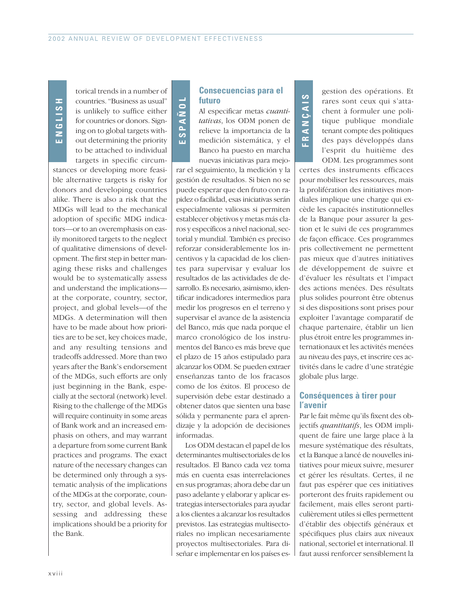**ESPA ˜NOL**

<u>ल</u> ш

 $\bar{\mathbf{z}}$ ௨

 $\overline{\phantom{0}}$ 

### æ, **SI79**  $\sum_{i=1}^{n}$

torical trends in a number of countries. "Business as usual" is unlikely to suffice either for countries or donors. Signing on to global targets without determining the priority to be attached to individual targets in specific circum-

stances or developing more feasible alternative targets is risky for donors and developing countries alike. There is also a risk that the MDGs will lead to the mechanical adoption of specific MDG indicators—or to an overemphasis on easily monitored targets to the neglect of qualitative dimensions of development. The first step in better managing these risks and challenges would be to systematically assess and understand the implications at the corporate, country, sector, project, and global levels—of the MDGs. A determination will then have to be made about how priorities are to be set, key choices made, and any resulting tensions and tradeoffs addressed. More than two years after the Bank's endorsement of the MDGs, such efforts are only just beginning in the Bank, especially at the sectoral (network) level. Rising to the challenge of the MDGs will require continuity in some areas of Bank work and an increased emphasis on others, and may warrant a departure from some current Bank practices and programs. The exact nature of the necessary changes can be determined only through a systematic analysis of the implications of the MDGs at the corporate, country, sector, and global levels. Assessing and addressing these implications should be a priority for the Bank. **XVIII**<br> **ENGLISH**<br>
STAR Statis doing and torn oping and the control of the control of the control of the control and practice of the control and practice of the control and practice of the control and practice of the cont

#### **Consecuencias para el futuro**

Al especificar metas *cuantitativas*, los ODM ponen de relieve la importancia de la medición sistemática, y el Banco ha puesto en marcha nuevas iniciativas para mejo-

rar el seguimiento, la medición y la gestión de resultados. Si bien no se puede esperar que den fruto con rapidez o facilidad, esas iniciativas serán especialmente valiosas si permiten establecer objetivos y metas más claros y específicos a nivel nacional, sectorial y mundial. También es preciso reforzar considerablemente los incentivos y la capacidad de los clientes para supervisar y evaluar los resultados de las actividades de desarrollo. Es necesario, asimismo, identificar indicadores intermedios para medir los progresos en el terreno y supervisar el avance de la asistencia del Banco, más que nada porque el marco cronológico de los instrumentos del Banco es más breve que el plazo de 15 años estipulado para alcanzar los ODM. Se pueden extraer enseñanzas tanto de los fracasos como de los éxitos. El proceso de supervisión debe estar destinado a obtener datos que sienten una base sólida y permanente para el aprendizaje y la adopción de decisiones informadas.

Los ODM destacan el papel de los determinantes multisectoriales de los resultados. El Banco cada vez toma más en cuenta esas interrelaciones en sus programas; ahora debe dar un paso adelante y elaborar y aplicar estrategias intersectoriales para ayudar a los clientes a alcanzar los resultados previstos. Las estrategias multisectoriales no implican necesariamente proyectos multisectoriales. Para diseñar e implementar en los países es-

# FRANÇAIS **FRANÇAIS**

gestion des opérations. Et rares sont ceux qui s'attachent à formuler une politique publique mondiale tenant compte des politiques des pays développés dans l'esprit du huitième des ODM. Les programmes sont

certes des instruments efficaces pour mobiliser les ressources, mais la prolifération des initiatives mondiales implique une charge qui excède les capacités institutionnelles de la Banque pour assurer la gestion et le suivi de ces programmes de façon efficace. Ces programmes pris collectivement ne permettent pas mieux que d'autres initiatives de développement de suivre et d'évaluer les résultats et l'impact des actions menées. Des résultats plus solides pourront être obtenus si des dispositions sont prises pour exploiter l'avantage comparatif de chaque partenaire, établir un lien plus étroit entre les programmes internationaux et les activités menées au niveau des pays, et inscrire ces activités dans le cadre d'une stratégie globale plus large.

#### **Conséquences à tirer pour l'avenir**

Par le fait même qu'ils fixent des objectifs *quantitatifs*, les ODM impliquent de faire une large place à la mesure systématique des résultats, et la Banque a lancé de nouvelles initiatives pour mieux suivre, mesurer et gérer les résultats. Certes, il ne faut pas espérer que ces initiatives porteront des fruits rapidement ou facilement, mais elles seront particulièrement utiles si elles permettent d'établir des objectifs généraux et spécifiques plus clairs aux niveaux national, sectoriel et international. Il faut aussi renforcer sensiblement la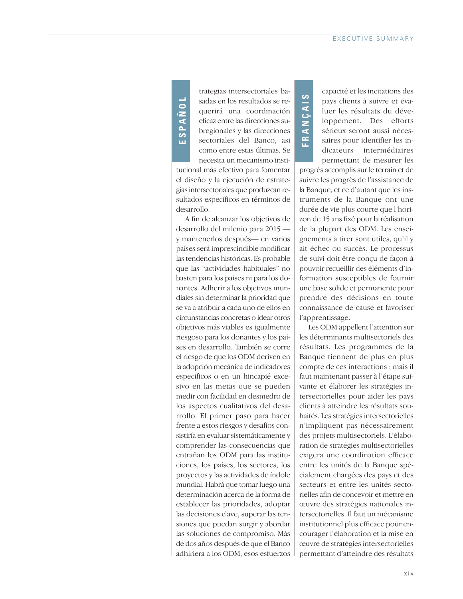## **ESPA ˜NOL**ESPAÑOI

trategias intersectoriales basadas en los resultados se requerirá una coordinación eficaz entre las direcciones subregionales y las direcciones sectoriales del Banco, así como entre estas últimas. Se necesita un mecanismo insti-

tucional más efectivo para fomentar el diseño y la ejecución de estrategias intersectoriales que produzcan resultados específicos en términos de desarrollo.

A fin de alcanzar los objetivos de desarrollo del milenio para 2015 y mantenerlos después— en varios países será imprescindible modificar las tendencias históricas. Es probable que las "actividades habituales" no basten para los países ni para los donantes. Adherir a los objetivos mundiales sin determinar la prioridad que se va a atribuir a cada uno de ellos en circunstancias concretas o idear otros objetivos más viables es igualmente riesgoso para los donantes y los países en desarrollo. También se corre el riesgo de que los ODM deriven en la adopción mecánica de indicadores específicos o en un hincapié excesivo en las metas que se pueden medir con facilidad en desmedro de los aspectos cualitativos del desarrollo. El primer paso para hacer frente a estos riesgos y desafíos consistiría en evaluar sistemáticamente y comprender las consecuencias que entrañan los ODM para las instituciones, los países, los sectores, los proyectos y las actividades de índole mundial. Habrá que tomar luego una determinación acerca de la forma de establecer las prioridades, adoptar las decisiones clave, superar las tensiones que puedan surgir y abordar las soluciones de compromiso. Más de dos años después de que el Banco adhiriera a los ODM, esos esfuerzos

### S **FRANÇAIS**  $\overline{a}$ FRAN

capacité et les incitations des pays clients à suivre et évaluer les résultats du développement. Des efforts sérieux seront aussi nécessaires pour identifier les indicateurs intermédiaires permettant de mesurer les

progrès accomplis sur le terrain et de suivre les progrès de l'assistance de la Banque, et ce d'autant que les instruments de la Banque ont une durée de vie plus courte que l'horizon de 15 ans fixé pour la réalisation de la plupart des ODM. Les enseignements à tirer sont utiles, qu'il y ait échec ou succès. Le processus de suivi doit être conçu de façon à pouvoir recueillir des éléments d'information susceptibles de fournir une base solide et permanente pour prendre des décisions en toute connaissance de cause et favoriser l'apprentissage.

Les ODM appellent l'attention sur les déterminants multisectoriels des résultats. Les programmes de la Banque tiennent de plus en plus compte de ces interactions ; mais il faut maintenant passer à l'étape suivante et élaborer les stratégies intersectorielles pour aider les pays clients à atteindre les résultats souhaités. Les stratégies intersectorielles n'impliquent pas nécessairement des projets multisectoriels. L'élaboration de stratégies multisectorielles exigera une coordination efficace entre les unités de la Banque spécialement chargées des pays et des secteurs et entre les unités sectorielles afin de concevoir et mettre en œuvre des stratégies nationales intersectorielles. Il faut un mécanisme institutionnel plus efficace pour encourager l'élaboration et la mise en œuvre de stratégies intersectorielles permettant d'atteindre des résultats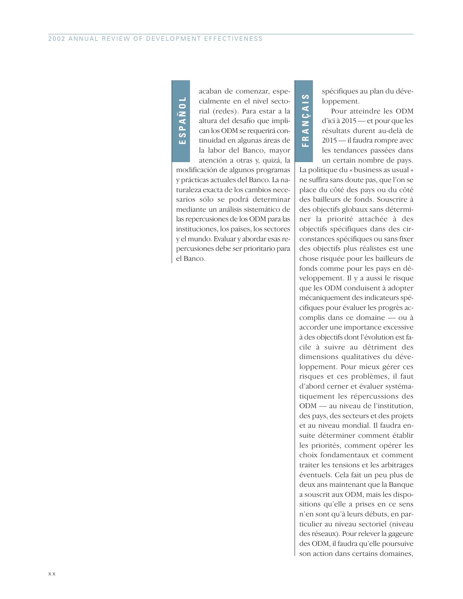## **ESPA ˜NOL**ESPAÑOL

acaban de comenzar, especialmente en el nivel sectorial (redes). Para estar a la altura del desafío que implican los ODM se requerirá continuidad en algunas áreas de la labor del Banco, mayor atención a otras y, quizá, la

**FRANÇAIS**

FRANÇAIS

modificación de algunos programas y prácticas actuales del Banco. La naturaleza exacta de los cambios necesarios sólo se podrá determinar mediante un análisis sistemático de las repercusiones de los ODM para las instituciones, los países, los sectores y el mundo. Evaluar y abordar esas repercusiones debe ser prioritario para el Banco.

spécifiques au plan du développement.

Pour atteindre les ODM d'ici à 2015 — et pour que les résultats durent au-delà de 2015 — il faudra rompre avec les tendances passées dans un certain nombre de pays.

La politique du « business as usual » ne suffira sans doute pas, que l'on se place du côté des pays ou du côté des bailleurs de fonds. Souscrire à des objectifs globaux sans déterminer la priorité attachée à des objectifs spécifiques dans des circonstances spécifiques ou sans fixer des objectifs plus réalistes est une chose risquée pour les bailleurs de fonds comme pour les pays en développement. Il y a aussi le risque que les ODM conduisent à adopter mécaniquement des indicateurs spécifiques pour évaluer les progrès accomplis dans ce domaine — ou à accorder une importance excessive à des objectifs dont l'évolution est facile à suivre au détriment des dimensions qualitatives du développement. Pour mieux gérer ces risques et ces problèmes, il faut d'abord cerner et évaluer systématiquement les répercussions des ODM — au niveau de l'institution, des pays, des secteurs et des projets et au niveau mondial. Il faudra ensuite déterminer comment établir les priorités, comment opérer les choix fondamentaux et comment traiter les tensions et les arbitrages éventuels. Cela fait un peu plus de deux ans maintenant que la Banque a souscrit aux ODM, mais les dispositions qu'elle a prises en ce sens n'en sont qu'à leurs débuts, en particulier au niveau sectoriel (niveau des réseaux). Pour relever la gageure des ODM, il faudra qu'elle poursuive son action dans certains domaines,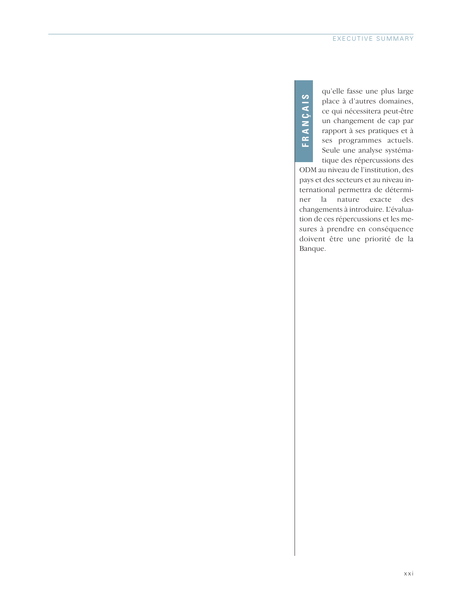# FRANÇAIS **FRANÇAIS**

qu'elle fasse une plus large place à d'autres domaines, ce qui nécessitera peut-être un changement de cap par rapport à ses pratiques et à ses programmes actuels. Seule une analyse systématique des répercussions des

ODM au niveau de l'institution, des pays et des secteurs et au niveau international permettra de déterminer la nature exacte des changements à introduire. L'évaluation de ces répercussions et les mesures à prendre en conséquence doivent être une priorité de la Banque.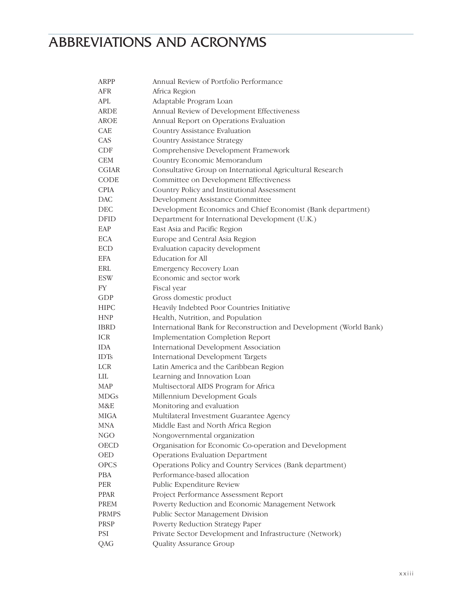### ABBREVIATIONS AND ACRONYMS

| ARPP         | Annual Review of Portfolio Performance                             |
|--------------|--------------------------------------------------------------------|
| <b>AFR</b>   | Africa Region                                                      |
| APL          | Adaptable Program Loan                                             |
| <b>ARDE</b>  | Annual Review of Development Effectiveness                         |
| AROE         | Annual Report on Operations Evaluation                             |
| CAE          | Country Assistance Evaluation                                      |
| CAS          | <b>Country Assistance Strategy</b>                                 |
| CDF          | Comprehensive Development Framework                                |
| <b>CEM</b>   | Country Economic Memorandum                                        |
| <b>CGIAR</b> | Consultative Group on International Agricultural Research          |
| <b>CODE</b>  | Committee on Development Effectiveness                             |
| <b>CPIA</b>  | Country Policy and Institutional Assessment                        |
| DAC          | Development Assistance Committee                                   |
| DEC          | Development Economics and Chief Economist (Bank department)        |
| DFID         | Department for International Development (U.K.)                    |
| EAP          | East Asia and Pacific Region                                       |
| <b>ECA</b>   | Europe and Central Asia Region                                     |
| <b>ECD</b>   | Evaluation capacity development                                    |
| <b>EFA</b>   | Education for All                                                  |
| ERL          | <b>Emergency Recovery Loan</b>                                     |
| <b>ESW</b>   | Economic and sector work                                           |
| <b>FY</b>    | Fiscal year                                                        |
| GDP          | Gross domestic product                                             |
| <b>HIPC</b>  | Heavily Indebted Poor Countries Initiative                         |
| <b>HNP</b>   | Health, Nutrition, and Population                                  |
| <b>IBRD</b>  | International Bank for Reconstruction and Development (World Bank) |
| <b>ICR</b>   | <b>Implementation Completion Report</b>                            |
| <b>IDA</b>   | <b>International Development Association</b>                       |
| <b>IDTs</b>  | <b>International Development Targets</b>                           |
| <b>LCR</b>   | Latin America and the Caribbean Region                             |
| <b>LIL</b>   | Learning and Innovation Loan                                       |
| <b>MAP</b>   | Multisectoral AIDS Program for Africa                              |
| <b>MDGs</b>  | Millennium Development Goals                                       |
| M&E          | Monitoring and evaluation                                          |
| <b>MIGA</b>  | Multilateral Investment Guarantee Agency                           |
| <b>MNA</b>   | Middle East and North Africa Region                                |
| NGO          | Nongovernmental organization                                       |
| OECD         | Organisation for Economic Co-operation and Development             |
| OED          | <b>Operations Evaluation Department</b>                            |
| <b>OPCS</b>  | Operations Policy and Country Services (Bank department)           |
| <b>PBA</b>   | Performance-based allocation                                       |
| PER          | Public Expenditure Review                                          |
| <b>PPAR</b>  | Project Performance Assessment Report                              |
| PREM         | Poverty Reduction and Economic Management Network                  |
| <b>PRMPS</b> | Public Sector Management Division                                  |
| PRSP         | Poverty Reduction Strategy Paper                                   |
| PSI          | Private Sector Development and Infrastructure (Network)            |
| QAG          | Quality Assurance Group                                            |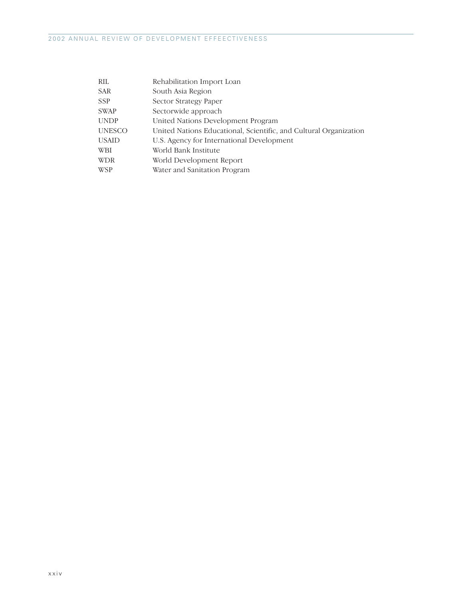| RIL           | Rehabilitation Import Loan                                        |
|---------------|-------------------------------------------------------------------|
| <b>SAR</b>    | South Asia Region                                                 |
| <b>SSP</b>    | Sector Strategy Paper                                             |
| <b>SWAP</b>   | Sectorwide approach                                               |
| <b>UNDP</b>   | United Nations Development Program                                |
| <b>UNESCO</b> | United Nations Educational, Scientific, and Cultural Organization |
| <b>USAID</b>  | U.S. Agency for International Development                         |
| WBI           | World Bank Institute                                              |
| <b>WDR</b>    | World Development Report                                          |
| WSP           | Water and Sanitation Program                                      |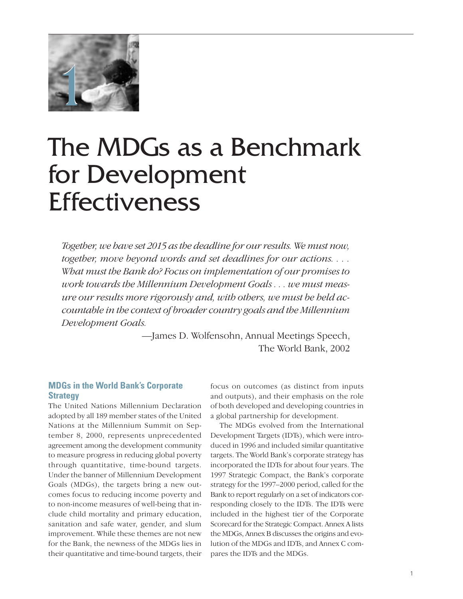

## The MDGs as a Benchmark for Development Effectiveness

*Together, we have set 2015 as the deadline for our results. We must now, together, move beyond words and set deadlines for our actions. . . . What must the Bank do? Focus on implementation of our promises to work towards the Millennium Development Goals . . . we must measure our results more rigorously and, with others, we must be held accountable in the context of broader country goals and the Millennium Development Goals.* 

> —James D. Wolfensohn, Annual Meetings Speech, The World Bank, 2002

#### **MDGs in the World Bank's Corporate Strategy**

The United Nations Millennium Declaration adopted by all 189 member states of the United Nations at the Millennium Summit on September 8, 2000, represents unprecedented agreement among the development community to measure progress in reducing global poverty through quantitative, time-bound targets. Under the banner of Millennium Development Goals (MDGs), the targets bring a new outcomes focus to reducing income poverty and to non-income measures of well-being that include child mortality and primary education, sanitation and safe water, gender, and slum improvement. While these themes are not new for the Bank, the newness of the MDGs lies in their quantitative and time-bound targets, their

focus on outcomes (as distinct from inputs and outputs), and their emphasis on the role of both developed and developing countries in a global partnership for development.

The MDGs evolved from the International Development Targets (IDTs), which were introduced in 1996 and included similar quantitative targets. The World Bank's corporate strategy has incorporated the IDTs for about four years. The 1997 Strategic Compact, the Bank's corporate strategy for the 1997–2000 period, called for the Bank to report regularly on a set of indicators corresponding closely to the IDTs. The IDTs were included in the highest tier of the Corporate Scorecard for the Strategic Compact. Annex A lists the MDGs, Annex B discusses the origins and evolution of the MDGs and IDTs, and Annex C compares the IDTs and the MDGs.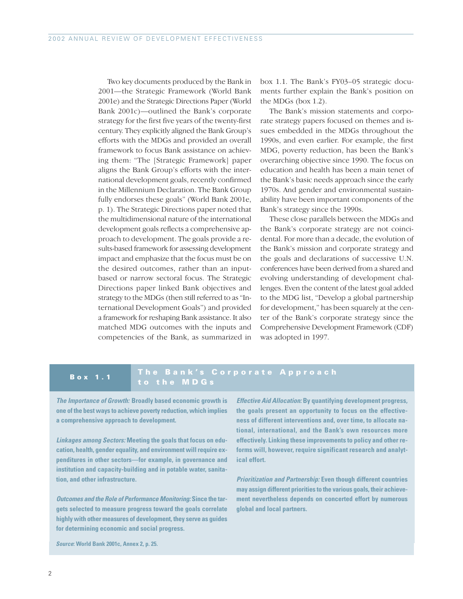Two key documents produced by the Bank in 2001—the Strategic Framework (World Bank 2001e) and the Strategic Directions Paper (World Bank 2001c)—outlined the Bank's corporate strategy for the first five years of the twenty-first century. They explicitly aligned the Bank Group's efforts with the MDGs and provided an overall framework to focus Bank assistance on achieving them: "The [Strategic Framework] paper aligns the Bank Group's efforts with the international development goals, recently confirmed in the Millennium Declaration. The Bank Group fully endorses these goals" (World Bank 2001e, p. 1). The Strategic Directions paper noted that the multidimensional nature of the international development goals reflects a comprehensive approach to development. The goals provide a results-based framework for assessing development impact and emphasize that the focus must be on the desired outcomes, rather than an inputbased or narrow sectoral focus. The Strategic Directions paper linked Bank objectives and strategy to the MDGs (then still referred to as "International Development Goals") and provided a framework for reshaping Bank assistance. It also matched MDG outcomes with the inputs and competencies of the Bank, as summarized in

box 1.1. The Bank's FY03–05 strategic documents further explain the Bank's position on the MDGs (box 1.2).

The Bank's mission statements and corporate strategy papers focused on themes and issues embedded in the MDGs throughout the 1990s, and even earlier. For example, the first MDG, poverty reduction, has been the Bank's overarching objective since 1990. The focus on education and health has been a main tenet of the Bank's basic needs approach since the early 1970s. And gender and environmental sustainability have been important components of the Bank's strategy since the 1990s.

These close parallels between the MDGs and the Bank's corporate strategy are not coincidental. For more than a decade, the evolution of the Bank's mission and corporate strategy and the goals and declarations of successive U.N. conferences have been derived from a shared and evolving understanding of development challenges. Even the content of the latest goal added to the MDG list, "Develop a global partnership for development," has been squarely at the center of the Bank's corporate strategy since the Comprehensive Development Framework (CDF) was adopted in 1997.

#### **The Bank's Corporate Approach to the MDGs Box 1.1**

*The Importance of Growth:* **Broadly based economic growth is one of the best ways to achieve poverty reduction, which implies a comprehensive approach to development.**

*Linkages among Sectors:* **Meeting the goals that focus on education, health, gender equality, and environment will require expenditures in other sectors—for example, in governance and institution and capacity-building and in potable water, sanitation, and other infrastructure.**

*Outcomes and the Role of Performance Monitoring:* **Since the targets selected to measure progress toward the goals correlate highly with other measures of development, they serve as guides for determining economic and social progress.**

*Effective Aid Allocation:* **By quantifying development progress, the goals present an opportunity to focus on the effectiveness of different interventions and, over time, to allocate national, international, and the Bank's own resources more effectively. Linking these improvements to policy and other reforms will, however, require significant research and analytical effort.**

*Prioritization and Partnership:* **Even though different countries may assign different priorities to the various goals, their achievement nevertheless depends on concerted effort by numerous global and local partners.**

*Source***: World Bank 2001c, Annex 2, p. 25.**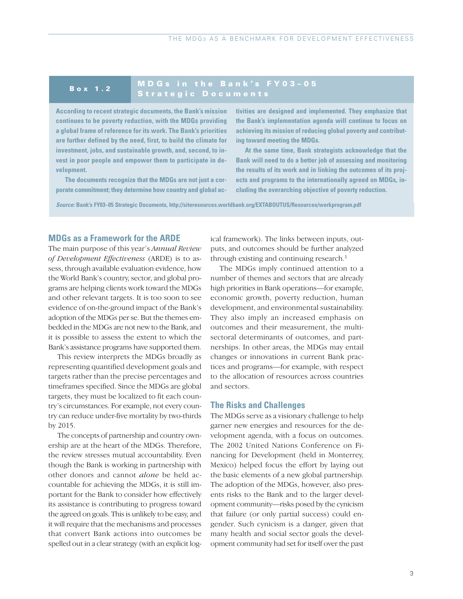#### **MDGs in the Bank's FY03–05 Strategic Documents Box 1.2**

**According to recent strategic documents, the Bank's mission continues to be poverty reduction, with the MDGs providing a global frame of reference for its work. The Bank's priorities are further defined by the need, first, to build the climate for investment, jobs, and sustainable growth, and, second, to invest in poor people and empower them to participate in development.**

**The documents recognize that the MDGs are not just a corporate commitment; they determine how country and global ac-** **tivities are designed and implemented. They emphasize that the Bank's implementation agenda will continue to focus on achieving its mission of reducing global poverty and contributing toward meeting the MDGs.**

**At the same time, Bank strategists acknowledge that the Bank will need to do a better job of assessing and monitoring the results of its work and in linking the outcomes of its projects and programs to the internationally agreed on MDGs, including the overarching objective of poverty reduction.**

*Source:* **Bank's FY03–05 Strategic Documents, http://siteresources.worldbank.org/EXTABOUTUS/Resources/workprogram.pdf**

#### **MDGs as a Framework for the ARDE**

The main purpose of this year's *Annual Review of Development Effectiveness* (ARDE) is to assess, through available evaluation evidence, how the World Bank's country, sector, and global programs are helping clients work toward the MDGs and other relevant targets. It is too soon to see evidence of on-the-ground impact of the Bank's adoption of the MDGs per se. But the themes embedded in the MDGs are not new to the Bank, and it is possible to assess the extent to which the Bank's assistance programs have supported them.

This review interprets the MDGs broadly as representing quantified development goals and targets rather than the precise percentages and timeframes specified. Since the MDGs are global targets, they must be localized to fit each country's circumstances. For example, not every country can reduce under-five mortality by two-thirds by 2015.

The concepts of partnership and country ownership are at the heart of the MDGs. Therefore, the review stresses mutual accountability. Even though the Bank is working in partnership with other donors and cannot *alone* be held accountable for achieving the MDGs, it is still important for the Bank to consider how effectively its assistance is contributing to progress toward the agreed on goals. This is unlikely to be easy, and it will require that the mechanisms and processes that convert Bank actions into outcomes be spelled out in a clear strategy (with an explicit logical framework). The links between inputs, outputs, and outcomes should be further analyzed through existing and continuing research.<sup>1</sup>

The MDGs imply continued attention to a number of themes and sectors that are already high priorities in Bank operations—for example, economic growth, poverty reduction, human development, and environmental sustainability. They also imply an increased emphasis on outcomes and their measurement, the multisectoral determinants of outcomes, and partnerships. In other areas, the MDGs may entail changes or innovations in current Bank practices and programs—for example, with respect to the allocation of resources across countries and sectors.

#### **The Risks and Challenges**

The MDGs serve as a visionary challenge to help garner new energies and resources for the development agenda, with a focus on outcomes. The 2002 United Nations Conference on Financing for Development (held in Monterrey, Mexico) helped focus the effort by laying out the basic elements of a new global partnership. The adoption of the MDGs, however, also presents risks to the Bank and to the larger development community—risks posed by the cynicism that failure (or only partial success) could engender. Such cynicism is a danger, given that many health and social sector goals the development community had set for itself over the past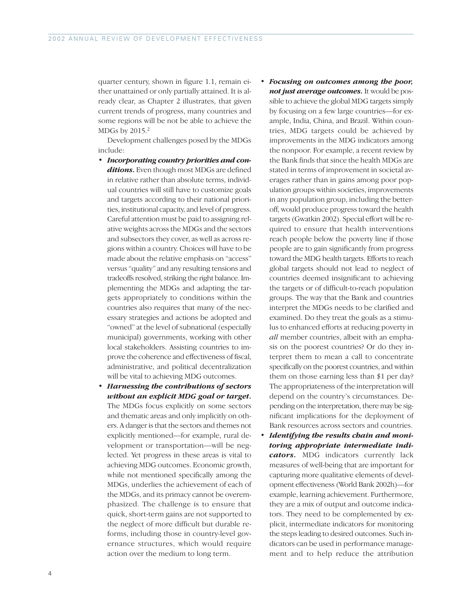quarter century, shown in figure 1.1, remain either unattained or only partially attained. It is already clear, as Chapter 2 illustrates, that given current trends of progress, many countries and some regions will be not be able to achieve the MDGs by 2015.2

Development challenges posed by the MDGs include:

- *Incorporating country priorities and conditions***.** Even though most MDGs are defined in relative rather than absolute terms, individual countries will still have to customize goals and targets according to their national priorities, institutional capacity, and level of progress. Careful attention must be paid to assigning relative weights across the MDGs and the sectors and subsectors they cover, as well as across regions within a country. Choices will have to be made about the relative emphasis on "access" versus "quality" and any resulting tensions and tradeoffs resolved, striking the right balance. Implementing the MDGs and adapting the targets appropriately to conditions within the countries also requires that many of the necessary strategies and actions be adopted and "owned" at the level of subnational (especially municipal) governments, working with other local stakeholders. Assisting countries to improve the coherence and effectiveness of fiscal, administrative, and political decentralization will be vital to achieving MDG outcomes.
- *Harnessing the contributions of sectors without an explicit MDG goal or target***.** The MDGs focus explicitly on some sectors and thematic areas and only implicitly on others. A danger is that the sectors and themes not explicitly mentioned—for example, rural development or transportation—will be neglected. Yet progress in these areas is vital to achieving MDG outcomes. Economic growth, while not mentioned specifically among the MDGs, underlies the achievement of each of the MDGs, and its primacy cannot be overemphasized. The challenge is to ensure that quick, short-term gains are not supported to the neglect of more difficult but durable reforms, including those in country-level governance structures, which would require action over the medium to long term.
- *Focusing on outcomes among the poor, not just average outcomes***.** It would be possible to achieve the global MDG targets simply by focusing on a few large countries—for example, India, China, and Brazil. Within countries, MDG targets could be achieved by improvements in the MDG indicators among the nonpoor. For example, a recent review by the Bank finds that since the health MDGs are stated in terms of improvement in societal averages rather than in gains among poor population groups within societies, improvements in any population group, including the betteroff, would produce progress toward the health targets (Gwatkin 2002). Special effort will be required to ensure that health interventions reach people below the poverty line if those people are to gain significantly from progress toward the MDG health targets. Efforts to reach global targets should not lead to neglect of countries deemed insignificant to achieving the targets or of difficult-to-reach population groups. The way that the Bank and countries interpret the MDGs needs to be clarified and examined. Do they treat the goals as a stimulus to enhanced efforts at reducing poverty in *all* member countries, albeit with an emphasis on the poorest countries? Or do they interpret them to mean a call to concentrate specifically on the poorest countries, and within them on those earning less than \$1 per day? The appropriateness of the interpretation will depend on the country's circumstances. Depending on the interpretation, there may be significant implications for the deployment of Bank resources across sectors and countries.
- *Identifying the results chain and monitoring appropriate intermediate indicators***.** MDG indicators currently lack measures of well-being that are important for capturing more qualitative elements of development effectiveness (World Bank 2002h)—for example, learning achievement. Furthermore, they are a mix of output and outcome indicators. They need to be complemented by explicit, intermediate indicators for monitoring the steps leading to desired outcomes. Such indicators can be used in performance management and to help reduce the attribution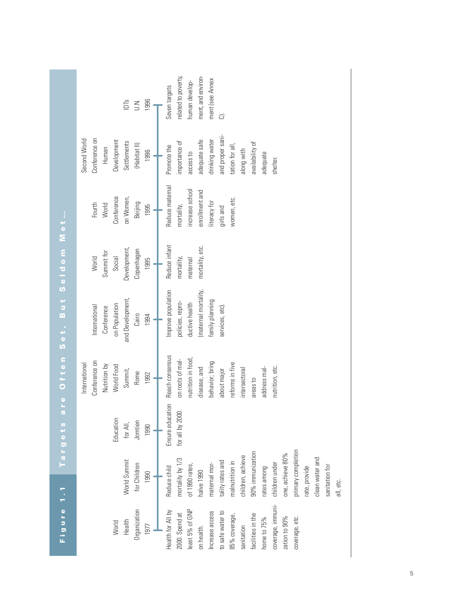| re Often Set, But Seldom Met | 1996<br>IDTs<br>N.<br>U.<br>Conference on<br>Second World<br>Development<br>Settlements<br>(Habitat II)<br>Human<br>1996<br>Conference<br>on Women,<br>Beijing<br>World<br>Fourth<br>1995<br>Development,<br>Copenhagen<br>Summit for<br>Social<br>World<br>1995<br>and Development,<br>on Population<br>International<br>Conference<br>Cairo<br>1994<br>Conference on<br>International<br>Nutrition by<br>World Food<br>Summit,<br>Rome<br>1992 | elated to poverty,<br>ment, and environ-<br>ment (see Annex<br>human develop-<br>Seven targets<br>ි<br>and proper sani-<br>drinking water<br>adequate safe<br>importance of<br>availability of<br>tation for all,<br>Promote the<br>along with<br>access to<br>adequate<br>shelter.<br>Reduce maternal<br>increase school<br>enrollment and<br>women, etc.<br>literacy for<br>mortality,<br>girls and<br>Reduce infant<br>mortality, etc.<br>mortality,<br>maternal<br>(maternal mortality,<br>Improve population<br>family planning<br>policies, repro-<br>ductive health<br>services, etc).<br>Reach consensus<br>nutrition in food<br>on roots of mal-<br>behavior; bring<br>reforms in five<br>disease, and<br>nutrition, etc.<br>address mal-<br>about major<br>intersectoral<br>areas to |
|------------------------------|--------------------------------------------------------------------------------------------------------------------------------------------------------------------------------------------------------------------------------------------------------------------------------------------------------------------------------------------------------------------------------------------------------------------------------------------------|------------------------------------------------------------------------------------------------------------------------------------------------------------------------------------------------------------------------------------------------------------------------------------------------------------------------------------------------------------------------------------------------------------------------------------------------------------------------------------------------------------------------------------------------------------------------------------------------------------------------------------------------------------------------------------------------------------------------------------------------------------------------------------------------|
|                              |                                                                                                                                                                                                                                                                                                                                                                                                                                                  |                                                                                                                                                                                                                                                                                                                                                                                                                                                                                                                                                                                                                                                                                                                                                                                                |
| Targets                      | Education<br>Jomtien<br>for All,<br>1990<br>World Summit<br>for Children<br>1990                                                                                                                                                                                                                                                                                                                                                                 | Ensure education<br>for all by 2000.<br>primary completion<br>90% immunization<br>one, achieve 80%<br>children, achieve<br>mortality by 1/3<br>clean water and<br>tality rates and<br>malnutrition in<br>maternal mor-<br>children under<br>of 1990 rates,<br>sanitation for<br>ate, provide<br>Reduce child<br>ates among<br>halve 1990<br>all, etc.                                                                                                                                                                                                                                                                                                                                                                                                                                          |
| Figure 1.1                   | Organization<br>Health<br>World<br>1977                                                                                                                                                                                                                                                                                                                                                                                                          | coverage, immuni-<br>east 5% of GNP<br>Health for All by<br>Increase access<br>to safe water to<br>2000. Spend at<br>facilities in the<br>85% coverage,<br>coverage, etc.<br>zation to 90%<br>home to 75%<br>on health.<br>sanitation                                                                                                                                                                                                                                                                                                                                                                                                                                                                                                                                                          |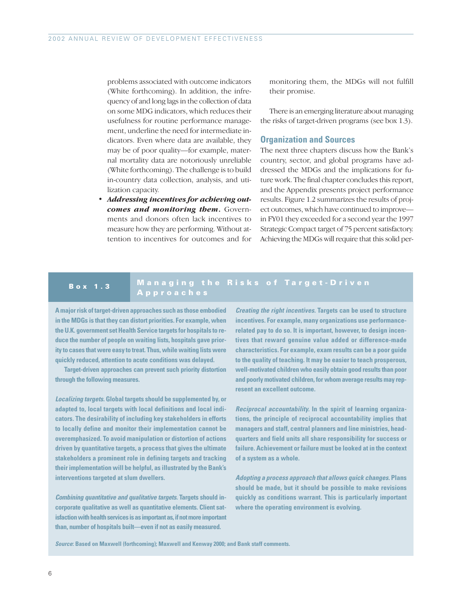problems associated with outcome indicators (White forthcoming). In addition, the infrequency of and long lags in the collection of data on some MDG indicators, which reduces their usefulness for routine performance management, underline the need for intermediate indicators. Even where data are available, they may be of poor quality—for example, maternal mortality data are notoriously unreliable (White forthcoming). The challenge is to build in-country data collection, analysis, and utilization capacity.

• *Addressing incentives for achieving outcomes and monitoring them***.** Governments and donors often lack incentives to measure how they are performing. Without attention to incentives for outcomes and for

monitoring them, the MDGs will not fulfill their promise.

There is an emerging literature about managing the risks of target-driven programs (see box 1.3).

#### **Organization and Sources**

The next three chapters discuss how the Bank's country, sector, and global programs have addressed the MDGs and the implications for future work. The final chapter concludes this report, and the Appendix presents project performance results. Figure 1.2 summarizes the results of project outcomes, which have continued to improve in FY01 they exceeded for a second year the 1997 Strategic Compact target of 75 percent satisfactory. Achieving the MDGs will require that this solid per-

#### **Managing the Risks of Target-Driven Approaches Box 1.3**

**A major risk of target-driven approaches such as those embodied in the MDGs is that they can distort priorities. For example, when the U.K. government set Health Service targets for hospitals to reduce the number of people on waiting lists, hospitals gave priority to cases that were easy to treat. Thus, while waiting lists were quickly reduced, attention to acute conditions was delayed.** 

**Target-driven approaches can prevent such priority distortion through the following measures.** 

*Localizing targets.* **Global targets should be supplemented by, or adapted to, local targets with local definitions and local indicators. The desirability of including key stakeholders in efforts to locally define and monitor their implementation cannot be overemphasized. To avoid manipulation or distortion of actions driven by quantitative targets, a process that gives the ultimate stakeholders a prominent role in defining targets and tracking their implementation will be helpful, as illustrated by the Bank's interventions targeted at slum dwellers.**

*Combining quantitative and qualitative targets.* **Targets should incorporate qualitative as well as quantitative elements. Client satisfaction with health services is as important as, if not more important than, number of hospitals built—even if not as easily measured.**

*Creating the right incentives.* **Targets can be used to structure incentives. For example, many organizations use performancerelated pay to do so. It is important, however, to design incentives that reward genuine value added or difference-made characteristics. For example, exam results can be a poor guide to the quality of teaching. It may be easier to teach prosperous, well-motivated children who easily obtain good results than poor and poorly motivated children, for whom average results may represent an excellent outcome.** 

*Reciprocal accountability.* **In the spirit of learning organizations, the principle of reciprocal accountability implies that managers and staff, central planners and line ministries, headquarters and field units all share responsibility for success or failure. Achievement or failure must be looked at in the context of a system as a whole.**

*Adopting a process approach that allows quick changes.* **Plans should be made, but it should be possible to make revisions quickly as conditions warrant. This is particularly important where the operating environment is evolving.**

*Source***: Based on Maxwell (forthcoming); Maxwell and Kenway 2000; and Bank staff comments.**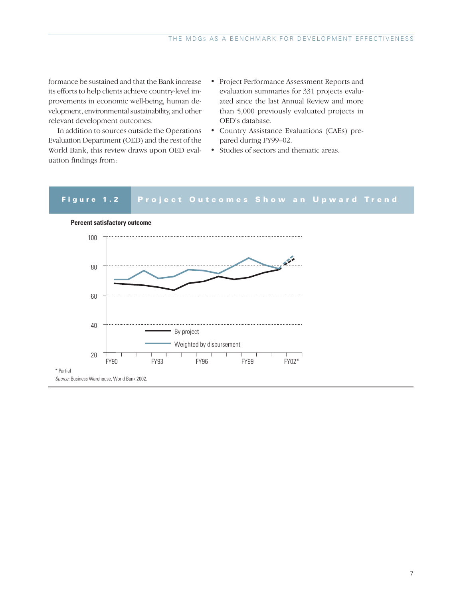formance be sustained and that the Bank increase its efforts to help clients achieve country-level improvements in economic well-being, human development, environmental sustainability, and other relevant development outcomes.

In addition to sources outside the Operations Evaluation Department (OED) and the rest of the World Bank, this review draws upon OED evaluation findings from:

- Project Performance Assessment Reports and evaluation summaries for 331 projects evaluated since the last Annual Review and more than 5,000 previously evaluated projects in OED's database.
- Country Assistance Evaluations (CAEs) prepared during FY99–02.
- Studies of sectors and thematic areas.

#### **Figure 1.2 Project Outcomes Show an Upward Trend**

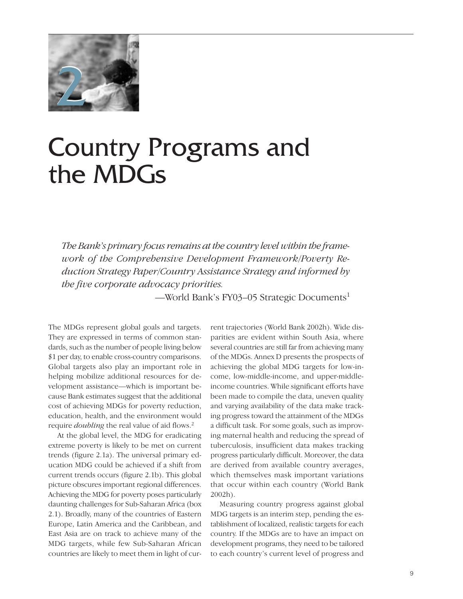

## Country Programs and the MDGs

*The Bank's primary focus remains at the country level within the framework of the Comprehensive Development Framework/Poverty Reduction Strategy Paper/Country Assistance Strategy and informed by the five corporate advocacy priorities.*

—World Bank's FY03–05 Strategic Documents1

The MDGs represent global goals and targets. They are expressed in terms of common standards, such as the number of people living below \$1 per day, to enable cross-country comparisons. Global targets also play an important role in helping mobilize additional resources for development assistance—which is important because Bank estimates suggest that the additional cost of achieving MDGs for poverty reduction, education, health, and the environment would require *doubling* the real value of aid flows.2

At the global level, the MDG for eradicating extreme poverty is likely to be met on current trends (figure 2.1a). The universal primary education MDG could be achieved if a shift from current trends occurs (figure 2.1b). This global picture obscures important regional differences. Achieving the MDG for poverty poses particularly daunting challenges for Sub-Saharan Africa (box 2.1). Broadly, many of the countries of Eastern Europe, Latin America and the Caribbean, and East Asia are on track to achieve many of the MDG targets, while few Sub-Saharan African countries are likely to meet them in light of current trajectories (World Bank 2002h). Wide disparities are evident within South Asia, where several countries are still far from achieving many of the MDGs. Annex D presents the prospects of achieving the global MDG targets for low-income, low-middle-income, and upper-middleincome countries. While significant efforts have been made to compile the data, uneven quality and varying availability of the data make tracking progress toward the attainment of the MDGs a difficult task. For some goals, such as improving maternal health and reducing the spread of tuberculosis, insufficient data makes tracking progress particularly difficult. Moreover, the data are derived from available country averages, which themselves mask important variations that occur within each country (World Bank 2002h).

Measuring country progress against global MDG targets is an interim step, pending the establishment of localized, realistic targets for each country. If the MDGs are to have an impact on development programs, they need to be tailored to each country's current level of progress and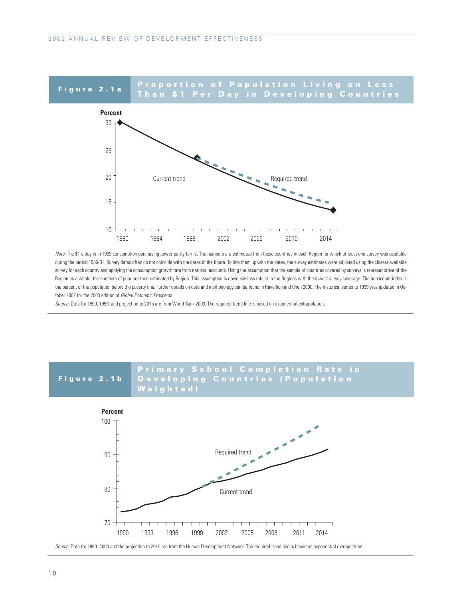

*Note:* The \$1 a day is in 1993 consumption purchasing power parity terms. The numbers are estimated from those countries in each Region for which at least one survey was available during the period 1985-01. Survey dates often do not coincide with the dates in the figure. To line them up with the dates, the survey estimates were adjusted using the closest available survey for each country and applying the consumption growth rate from national accounts. Using the assumption that the sample of countries covered by surveys is representative of the Region as a whole, the numbers of poor are then estimated by Region. This assumption is obviously less robust in the Regions with the lowest survey coverage. The headcount index is the percent of the population below the poverty line. Further details on data and methodology can be found in Ravallion and Chen 2000. The historical series to 1999 was updated in October 2002 for the 2003 edition of *Global Economic Prospects*.

*Source*: Data for 1990, 1999, and projection to 2015 are from World Bank 2003. The required trend line is based on exponential extrapolation.



*Source*: Data for 1990–2000 and the projection to 2015 are from the Human Development Network. The required trend line is based on exponential extrapolation.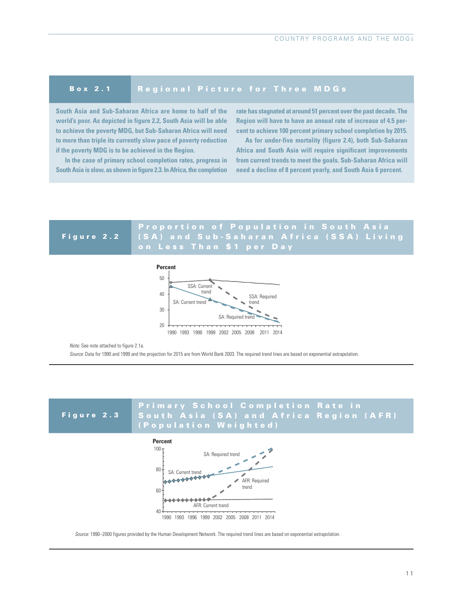#### **Box 2.1 Regional Picture for Three MDGs**

**South Asia and Sub-Saharan Africa are home to half of the world's poor. As depicted in figure 2.2, South Asia will be able to achieve the poverty MDG, but Sub-Saharan Africa will need to more than triple its currently slow pace of poverty reduction if the poverty MDG is to be achieved in the Region.**

**In the case of primary school completion rates, progress in South Asia is slow, as shown in figure 2.3. In Africa, the completion**

**rate has stagnated at around 51 percent over the past decade. The Region will have to have an annual rate of increase of 4.5 percent to achieve 100 percent primary school completion by 2015.**

**As for under-five mortality (figure 2.4), both Sub-Saharan Africa and South Asia will require significant improvements from current trends to meet the goals. Sub-Saharan Africa will need a decline of 8 percent yearly, and South Asia 6 percent.**

#### **Figure 2.2**

#### **Proportion of Population in South Asia (SA) and Sub-Saharan Africa (SSA) Living on Less Than \$1 per Day**



*Note:* See note attached to figure 2.1a.

*Source*: Data for 1990 and 1999 and the projection for 2015 are from World Bank 2003. The required trend lines are based on exponential extrapolation.



*Source:* 1990–2000 figures provided by the Human Development Network. The required trend lines are based on exponential extrapolation.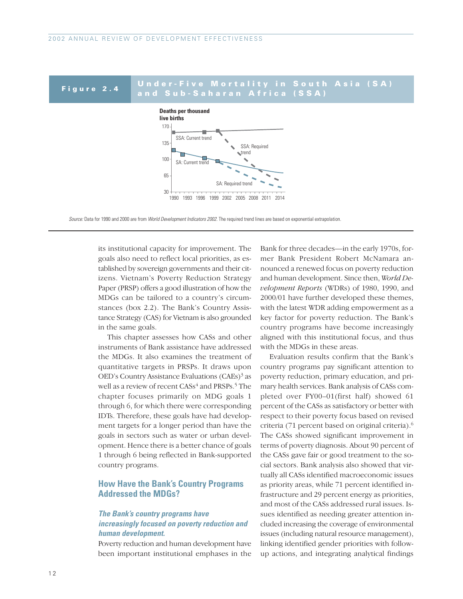

*Source:* Data for 1990 and 2000 are from *World Development Indicators 2002*. The required trend lines are based on exponential extrapolation.

its institutional capacity for improvement. The goals also need to reflect local priorities, as established by sovereign governments and their citizens. Vietnam's Poverty Reduction Strategy Paper (PRSP) offers a good illustration of how the MDGs can be tailored to a country's circumstances (box 2.2). The Bank's Country Assistance Strategy (CAS) for Vietnam is also grounded in the same goals.

This chapter assesses how CASs and other instruments of Bank assistance have addressed the MDGs. It also examines the treatment of quantitative targets in PRSPs. It draws upon OED's Country Assistance Evaluations  $(CAEs)^3$  as well as a review of recent  $CASS<sup>4</sup>$  and PRSPs.<sup>5</sup> The chapter focuses primarily on MDG goals 1 through 6, for which there were corresponding IDTs. Therefore, these goals have had development targets for a longer period than have the goals in sectors such as water or urban development. Hence there is a better chance of goals 1 through 6 being reflected in Bank-supported country programs.

#### **How Have the Bank's Country Programs Addressed the MDGs?**

#### *The Bank's country programs have increasingly focused on poverty reduction and human development.*

Poverty reduction and human development have been important institutional emphases in the

Bank for three decades—in the early 1970s, former Bank President Robert McNamara announced a renewed focus on poverty reduction and human development. Since then, *World Development Reports* (WDRs) of 1980, 1990, and 2000/01 have further developed these themes, with the latest WDR adding empowerment as a key factor for poverty reduction. The Bank's country programs have become increasingly aligned with this institutional focus, and thus with the MDGs in these areas.

Evaluation results confirm that the Bank's country programs pay significant attention to poverty reduction, primary education, and primary health services. Bank analysis of CASs completed over FY00–01(first half) showed 61 percent of the CASs as satisfactory or better with respect to their poverty focus based on revised criteria (71 percent based on original criteria).6 The CASs showed significant improvement in terms of poverty diagnosis. About 90 percent of the CASs gave fair or good treatment to the social sectors. Bank analysis also showed that virtually all CASs identified macroeconomic issues as priority areas, while 71 percent identified infrastructure and 29 percent energy as priorities, and most of the CASs addressed rural issues. Issues identified as needing greater attention included increasing the coverage of environmental issues (including natural resource management), linking identified gender priorities with followup actions, and integrating analytical findings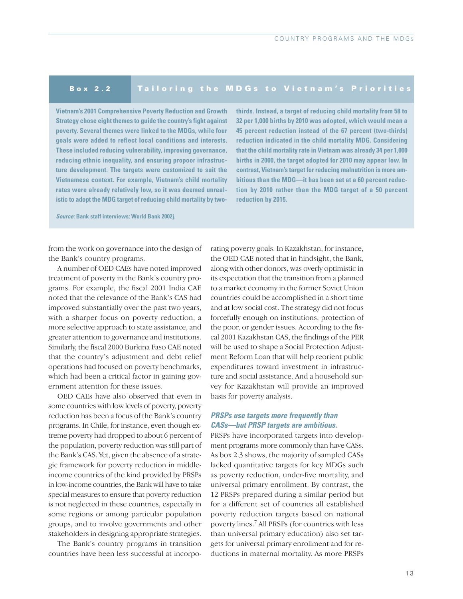### **Box 2.2 T ailoring the MDGs to Vietnam's Priorities**

**Vietnam's 2001 Comprehensive Poverty Reduction and Growth Strategy chose eight themes to guide the country's fight against poverty. Several themes were linked to the MDGs, while four goals were added to reflect local conditions and interests. These included reducing vulnerability, improving governance, reducing ethnic inequality, and ensuring propoor infrastructure development. The targets were customized to suit the Vietnamese context. For example, Vietnam's child mortality rates were already relatively low, so it was deemed unrealistic to adopt the MDG target of reducing child mortality by two-**

*Source***: Bank staff interviews; World Bank 2002j.**

from the work on governance into the design of the Bank's country programs.

A number of OED CAEs have noted improved treatment of poverty in the Bank's country programs. For example, the fiscal 2001 India CAE noted that the relevance of the Bank's CAS had improved substantially over the past two years, with a sharper focus on poverty reduction, a more selective approach to state assistance, and greater attention to governance and institutions. Similarly, the fiscal 2000 Burkina Faso CAE noted that the country's adjustment and debt relief operations had focused on poverty benchmarks, which had been a critical factor in gaining government attention for these issues.

OED CAEs have also observed that even in some countries with low levels of poverty, poverty reduction has been a focus of the Bank's country programs. In Chile, for instance, even though extreme poverty had dropped to about 6 percent of the population, poverty reduction was still part of the Bank's CAS. Yet, given the absence of a strategic framework for poverty reduction in middleincome countries of the kind provided by PRSPs in low-income countries, the Bank will have to take special measures to ensure that poverty reduction is not neglected in these countries, especially in some regions or among particular population groups, and to involve governments and other stakeholders in designing appropriate strategies.

The Bank's country programs in transition countries have been less successful at incorpo**thirds. Instead, a target of reducing child mortality from 58 to 32 per 1,000 births by 2010 was adopted, which would mean a 45 percent reduction instead of the 67 percent (two-thirds) reduction indicated in the child mortality MDG. Considering that the child mortality rate in Vietnam was already 34 per 1,000 births in 2000, the target adopted for 2010 may appear low. In contrast, Vietnam's target for reducing malnutrition is more ambitious than the MDG—it has been set at a 60 percent reduction by 2010 rather than the MDG target of a 50 percent reduction by 2015.** 

rating poverty goals. In Kazakhstan, for instance, the OED CAE noted that in hindsight, the Bank, along with other donors, was overly optimistic in its expectation that the transition from a planned to a market economy in the former Soviet Union countries could be accomplished in a short time and at low social cost. The strategy did not focus forcefully enough on institutions, protection of the poor, or gender issues. According to the fiscal 2001 Kazakhstan CAS, the findings of the PER will be used to shape a Social Protection Adjustment Reform Loan that will help reorient public expenditures toward investment in infrastructure and social assistance. And a household survey for Kazakhstan will provide an improved basis for poverty analysis.

### *PRSPs use targets more frequently than CASs—but PRSP targets are ambitious.*

PRSPs have incorporated targets into development programs more commonly than have CASs. As box 2.3 shows, the majority of sampled CASs lacked quantitative targets for key MDGs such as poverty reduction, under-five mortality, and universal primary enrollment. By contrast, the 12 PRSPs prepared during a similar period but for a different set of countries all established poverty reduction targets based on national poverty lines.7 All PRSPs (for countries with less than universal primary education) also set targets for universal primary enrollment and for reductions in maternal mortality. As more PRSPs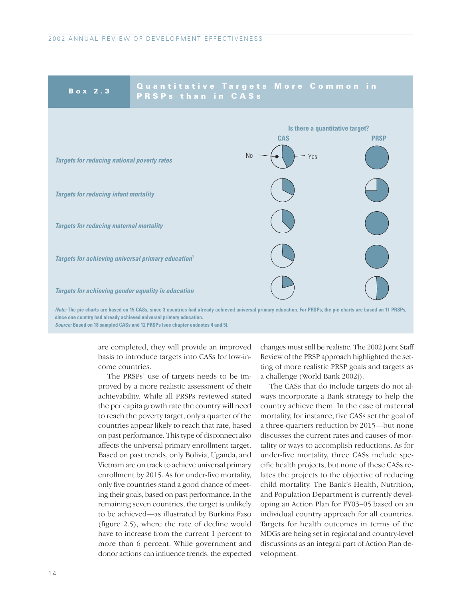

*Note:* **The pie charts are based on 15 CASs, since 3 countries had already achieved universal primary education. For PRSPs, the pie charts are based on 11 PRSPs, since one country had already achieved universal primary education.**

*Source:* **Based on 18 sampled CASs and 12 PRSPs (see chapter endnotes 4 and 5).**

are completed, they will provide an improved basis to introduce targets into CASs for low-income countries.

The PRSPs' use of targets needs to be improved by a more realistic assessment of their achievability. While all PRSPs reviewed stated the per capita growth rate the country will need to reach the poverty target, only a quarter of the countries appear likely to reach that rate, based on past performance. This type of disconnect also affects the universal primary enrollment target. Based on past trends, only Bolivia, Uganda, and Vietnam are on track to achieve universal primary enrollment by 2015. As for under-five mortality, only five countries stand a good chance of meeting their goals, based on past performance. In the remaining seven countries, the target is unlikely to be achieved—as illustrated by Burkina Faso (figure 2.5), where the rate of decline would have to increase from the current 1 percent to more than 6 percent. While government and donor actions can influence trends, the expected

changes must still be realistic. The 2002 Joint Staff Review of the PRSP approach highlighted the setting of more realistic PRSP goals and targets as a challenge (World Bank 2002j).

The CASs that do include targets do not always incorporate a Bank strategy to help the country achieve them. In the case of maternal mortality, for instance, five CASs set the goal of a three-quarters reduction by 2015—but none discusses the current rates and causes of mortality or ways to accomplish reductions. As for under-five mortality, three CASs include specific health projects, but none of these CASs relates the projects to the objective of reducing child mortality. The Bank's Health, Nutrition, and Population Department is currently developing an Action Plan for FY03–05 based on an individual country approach for all countries. Targets for health outcomes in terms of the MDGs are being set in regional and country-level discussions as an integral part of Action Plan development.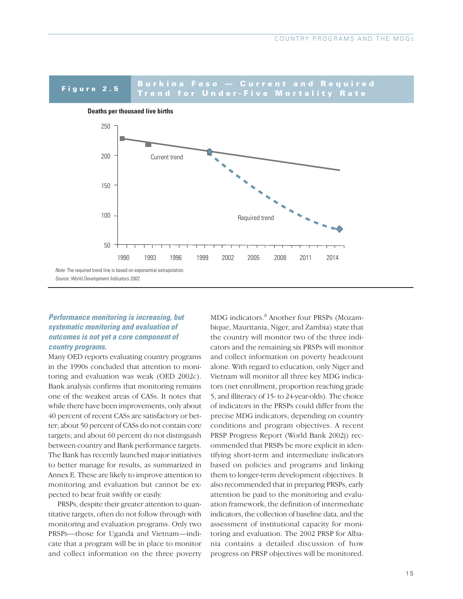## **Burkina Faso — Current and Required T r end for Under-Five Mortality Rate Figure 2.5**



### **Deaths per thousand live births**

### *Performance monitoring is increasing, but systematic monitoring and evaluation of outcomes is not yet a core component of country programs.*

Many OED reports evaluating country programs in the 1990s concluded that attention to monitoring and evaluation was weak (OED 2002c). Bank analysis confirms that monitoring remains one of the weakest areas of CASs. It notes that while there have been improvements, only about 40 percent of recent CASs are satisfactory or better; about 50 percent of CASs do not contain core targets; and about 60 percent do not distinguish between country and Bank performance targets. The Bank has recently launched major initiatives to better manage for results, as summarized in Annex E. These are likely to improve attention to monitoring and evaluation but cannot be expected to bear fruit swiftly or easily.

PRSPs, despite their greater attention to quantitative targets, often do not follow through with monitoring and evaluation programs. Only two PRSPs—those for Uganda and Vietnam—indicate that a program will be in place to monitor and collect information on the three poverty MDG indicators.8 Another four PRSPs (Mozambique, Mauritania, Niger, and Zambia) state that the country will monitor two of the three indicators and the remaining six PRSPs will monitor and collect information on poverty headcount alone. With regard to education, only Niger and Vietnam will monitor all three key MDG indicators (net enrollment, proportion reaching grade 5, and illiteracy of 15- to 24-year-olds). The choice of indicators in the PRSPs could differ from the precise MDG indicators, depending on country conditions and program objectives. A recent PRSP Progress Report (World Bank 2002j) recommended that PRSPs be more explicit in identifying short-term and intermediate indicators based on policies and programs and linking them to longer-term development objectives. It also recommended that in preparing PRSPs, early attention be paid to the monitoring and evaluation framework, the definition of intermediate indicators, the collection of baseline data, and the assessment of institutional capacity for monitoring and evaluation. The 2002 PRSP for Albania contains a detailed discussion of how progress on PRSP objectives will be monitored.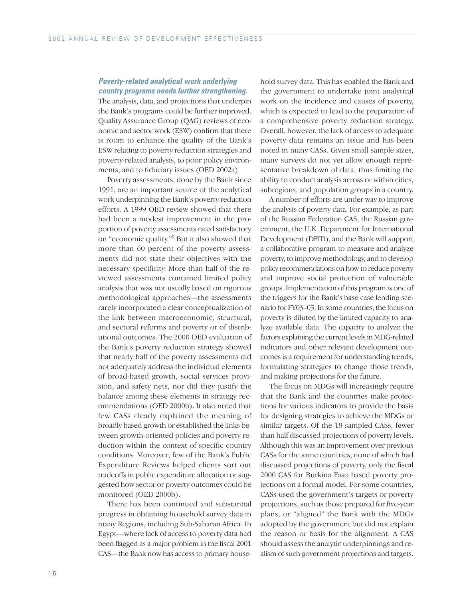### *Poverty-related analytical work underlying country programs needs further strengthening.*

The analysis, data, and projections that underpin the Bank's programs could be further improved. Quality Assurance Group (QAG) reviews of economic and sector work (ESW) confirm that there is room to enhance the quality of the Bank's ESW relating to poverty reduction strategies and poverty-related analysis, to poor policy environments, and to fiduciary issues (OED 2002a).

Poverty assessments, done by the Bank since 1991, are an important source of the analytical work underpinning the Bank's poverty-reduction efforts. A 1999 OED review showed that there had been a modest improvement in the proportion of poverty assessments rated satisfactory on "economic quality."9 But it also showed that more than 60 percent of the poverty assessments did not state their objectives with the necessary specificity. More than half of the reviewed assessments contained limited policy analysis that was not usually based on rigorous methodological approaches—the assessments rarely incorporated a clear conceptualization of the link between macroeconomic, structural, and sectoral reforms and poverty or of distributional outcomes. The 2000 OED evaluation of the Bank's poverty reduction strategy showed that nearly half of the poverty assessments did not adequately address the individual elements of broad-based growth, social services provision, and safety nets, nor did they justify the balance among these elements in strategy recommendations (OED 2000b). It also noted that few CASs clearly explained the meaning of broadly based growth or established the links between growth-oriented policies and poverty reduction within the context of specific country conditions. Moreover, few of the Bank's Public Expenditure Reviews helped clients sort out tradeoffs in public expenditure allocation or suggested how sector or poverty outcomes could be monitored (OED 2000b).

There has been continued and substantial progress in obtaining household survey data in many Regions, including Sub-Saharan Africa. In Egypt—where lack of access to poverty data had been flagged as a major problem in the fiscal 2001 CAS—the Bank now has access to primary house-

hold survey data. This has enabled the Bank and the government to undertake joint analytical work on the incidence and causes of poverty, which is expected to lead to the preparation of a comprehensive poverty reduction strategy. Overall, however, the lack of access to adequate poverty data remains an issue and has been noted in many CASs. Given small sample sizes, many surveys do not yet allow enough representative breakdown of data, thus limiting the ability to conduct analysis across or within cities, subregions, and population groups in a country.

A number of efforts are under way to improve the analysis of poverty data. For example, as part of the Russian Federation CAS, the Russian government, the U.K. Department for International Development (DFID), and the Bank will support a collaborative program to measure and analyze poverty, to improve methodology, and to develop policy recommendations on how to reduce poverty and improve social protection of vulnerable groups. Implementation of this program is one of the triggers for the Bank's base case lending scenario for FY03–05. In some countries, the focus on poverty is diluted by the limited capacity to analyze available data. The capacity to analyze the factors explaining the current levels in MDG-related indicators and other relevant development outcomes is a requirement for understanding trends, formulating strategies to change those trends, and making projections for the future.

The focus on MDGs will increasingly require that the Bank and the countries make projections for various indicators to provide the basis for designing strategies to achieve the MDGs or similar targets. Of the 18 sampled CASs, fewer than half discussed projections of poverty levels. Although this was an improvement over previous CASs for the same countries, none of which had discussed projections of poverty, only the fiscal 2000 CAS for Burkina Faso based poverty projections on a formal model. For some countries, CASs used the government's targets or poverty projections, such as those prepared for five-year plans, or "aligned" the Bank with the MDGs adopted by the government but did not explain the reason or basis for the alignment. A CAS should assess the analytic underpinnings and realism of such government projections and targets.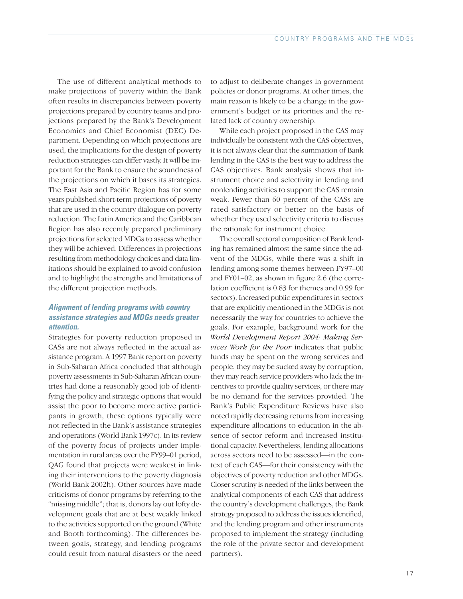The use of different analytical methods to make projections of poverty within the Bank often results in discrepancies between poverty projections prepared by country teams and projections prepared by the Bank's Development Economics and Chief Economist (DEC) Department. Depending on which projections are used, the implications for the design of poverty reduction strategies can differ vastly. It will be important for the Bank to ensure the soundness of the projections on which it bases its strategies. The East Asia and Pacific Region has for some years published short-term projections of poverty that are used in the country dialogue on poverty reduction. The Latin America and the Caribbean Region has also recently prepared preliminary projections for selected MDGs to assess whether they will be achieved. Differences in projections resulting from methodology choices and data limitations should be explained to avoid confusion and to highlight the strengths and limitations of the different projection methods.

### *Alignment of lending programs with country assistance strategies and MDGs needs greater attention.*

Strategies for poverty reduction proposed in CASs are not always reflected in the actual assistance program. A 1997 Bank report on poverty in Sub-Saharan Africa concluded that although poverty assessments in Sub-Saharan African countries had done a reasonably good job of identifying the policy and strategic options that would assist the poor to become more active participants in growth, these options typically were not reflected in the Bank's assistance strategies and operations (World Bank 1997c). In its review of the poverty focus of projects under implementation in rural areas over the FY99–01 period, QAG found that projects were weakest in linking their interventions to the poverty diagnosis (World Bank 2002h). Other sources have made criticisms of donor programs by referring to the "missing middle"; that is, donors lay out lofty development goals that are at best weakly linked to the activities supported on the ground (White and Booth forthcoming). The differences between goals, strategy, and lending programs could result from natural disasters or the need

to adjust to deliberate changes in government policies or donor programs. At other times, the main reason is likely to be a change in the government's budget or its priorities and the related lack of country ownership.

While each project proposed in the CAS may individually be consistent with the CAS objectives, it is not always clear that the summation of Bank lending in the CAS is the best way to address the CAS objectives. Bank analysis shows that instrument choice and selectivity in lending and nonlending activities to support the CAS remain weak. Fewer than 60 percent of the CASs are rated satisfactory or better on the basis of whether they used selectivity criteria to discuss the rationale for instrument choice.

The overall sectoral composition of Bank lending has remained almost the same since the advent of the MDGs, while there was a shift in lending among some themes between FY97–00 and FY01–02, as shown in figure 2.6 (the correlation coefficient is 0.83 for themes and 0.99 for sectors). Increased public expenditures in sectors that are explicitly mentioned in the MDGs is not necessarily the way for countries to achieve the goals. For example, background work for the *World Development Report 2004: Making Services Work for the Poor* indicates that public funds may be spent on the wrong services and people, they may be sucked away by corruption, they may reach service providers who lack the incentives to provide quality services, or there may be no demand for the services provided. The Bank's Public Expenditure Reviews have also noted rapidly decreasing returns from increasing expenditure allocations to education in the absence of sector reform and increased institutional capacity. Nevertheless, lending allocations across sectors need to be assessed—in the context of each CAS—for their consistency with the objectives of poverty reduction and other MDGs. Closer scrutiny is needed of the links between the analytical components of each CAS that address the country's development challenges, the Bank strategy proposed to address the issues identified, and the lending program and other instruments proposed to implement the strategy (including the role of the private sector and development partners).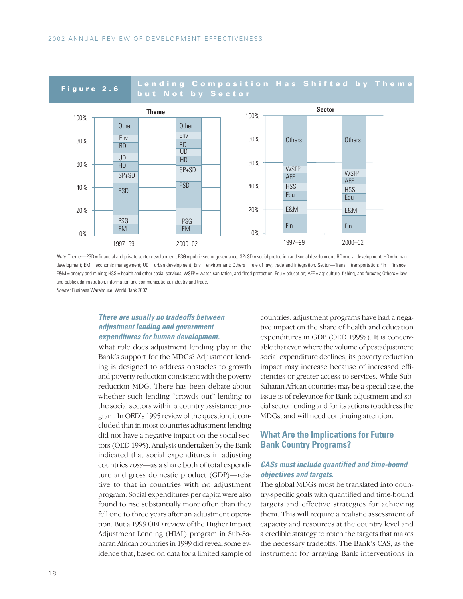

### **Lending Composition Has Shifted by Theme but Not by Sector Figure 2.6**

*Note:* Theme—PSD = financial and private sector development; PSG = public sector governance; SP+SD = social protection and social development; RD = rural development; HD = human development; EM = economic management; UD = urban development; Env = environment; Others = rule of law, trade and integration. Sector—Trans = transportation; Fin = finance; E&M = energy and mining; HSS = health and other social services; WSFP = water, sanitation, and flood protection; Edu = education; AFF = agriculture, fishing, and forestry; Others = law and public administration, information and communications, industry and trade.

*Sourc*e: Business Warehouse, World Bank 2002.

### *There are usually no tradeoffs between adjustment lending and government expenditures for human development.*

What role does adjustment lending play in the Bank's support for the MDGs? Adjustment lending is designed to address obstacles to growth and poverty reduction consistent with the poverty reduction MDG. There has been debate about whether such lending "crowds out" lending to the social sectors within a country assistance program. In OED's 1995 review of the question, it concluded that in most countries adjustment lending did not have a negative impact on the social sectors (OED 1995). Analysis undertaken by the Bank indicated that social expenditures in adjusting countries *rose*—as a share both of total expenditure and gross domestic product (GDP)—relative to that in countries with no adjustment program. Social expenditures per capita were also found to rise substantially more often than they fell one to three years after an adjustment operation. But a 1999 OED review of the Higher Impact Adjustment Lending (HIAL) program in Sub-Saharan African countries in 1999 did reveal some evidence that, based on data for a limited sample of

countries, adjustment programs have had a negative impact on the share of health and education expenditures in GDP (OED 1999a). It is conceivable that even where the volume of postadjustment social expenditure declines, its poverty reduction impact may increase because of increased efficiencies or greater access to services. While Sub-Saharan African countries may be a special case, the issue is of relevance for Bank adjustment and social sector lending and for its actions to address the MDGs, and will need continuing attention.

### **What Are the Implications for Future Bank Country Programs?**

### *CASs must include quantified and time-bound objectives and targets.*

The global MDGs must be translated into country-specific goals with quantified and time-bound targets and effective strategies for achieving them. This will require a realistic assessment of capacity and resources at the country level and a credible strategy to reach the targets that makes the necessary tradeoffs. The Bank's CAS, as the instrument for arraying Bank interventions in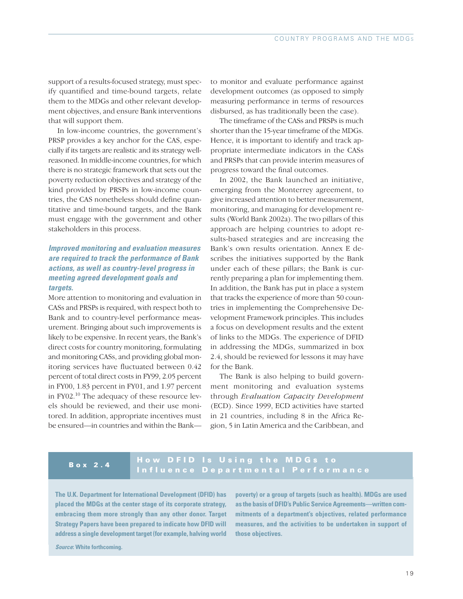support of a results-focused strategy, must specify quantified and time-bound targets, relate them to the MDGs and other relevant development objectives, and ensure Bank interventions that will support them.

In low-income countries, the government's PRSP provides a key anchor for the CAS, especially if its targets are realistic and its strategy wellreasoned. In middle-income countries, for which there is no strategic framework that sets out the poverty reduction objectives and strategy of the kind provided by PRSPs in low-income countries, the CAS nonetheless should define quantitative and time-bound targets, and the Bank must engage with the government and other stakeholders in this process.

### *Improved monitoring and evaluation measures are required to track the performance of Bank actions, as well as country-level progress in meeting agreed development goals and targets.*

More attention to monitoring and evaluation in CASs and PRSPs is required, with respect both to Bank and to country-level performance measurement. Bringing about such improvements is likely to be expensive. In recent years, the Bank's direct costs for country monitoring, formulating and monitoring CASs, and providing global monitoring services have fluctuated between 0.42 percent of total direct costs in FY99, 2.05 percent in FY00, 1.83 percent in FY01, and 1.97 percent in FY02.10 The adequacy of these resource levels should be reviewed, and their use monitored. In addition, appropriate incentives must be ensured—in countries and within the Bankto monitor and evaluate performance against development outcomes (as opposed to simply measuring performance in terms of resources disbursed, as has traditionally been the case).

The timeframe of the CASs and PRSPs is much shorter than the 15-year timeframe of the MDGs. Hence, it is important to identify and track appropriate intermediate indicators in the CASs and PRSPs that can provide interim measures of progress toward the final outcomes.

In 2002, the Bank launched an initiative, emerging from the Monterrey agreement, to give increased attention to better measurement, monitoring, and managing for development results (World Bank 2002a). The two pillars of this approach are helping countries to adopt results-based strategies and are increasing the Bank's own results orientation. Annex E describes the initiatives supported by the Bank under each of these pillars; the Bank is currently preparing a plan for implementing them. In addition, the Bank has put in place a system that tracks the experience of more than 50 countries in implementing the Comprehensive Development Framework principles. This includes a focus on development results and the extent of links to the MDGs. The experience of DFID in addressing the MDGs, summarized in box 2.4, should be reviewed for lessons it may have for the Bank.

The Bank is also helping to build government monitoring and evaluation systems through *Evaluation Capacity Development* (ECD). Since 1999, ECD activities have started in 21 countries, including 8 in the Africa Region, 5 in Latin America and the Caribbean, and

### **How DFID Is Using the MDGs to Influence Departmental Performance Box 2.4**

**The U.K. Department for International Development (DFID) has placed the MDGs at the center stage of its corporate strategy, embracing them more strongly than any other donor. Target Strategy Papers have been prepared to indicate how DFID will address a single development target (for example, halving world**

**poverty) or a group of targets (such as health). MDGs are used as the basis of DFID's Public Service Agreements—written commitments of a department's objectives, related performance measures, and the activities to be undertaken in support of those objectives.** 

*Source***: White forthcoming.**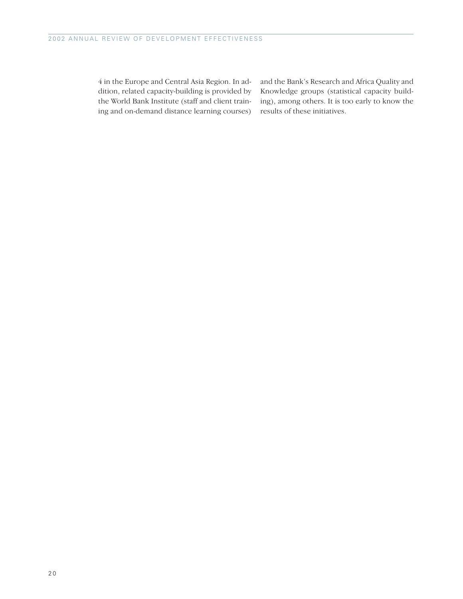4 in the Europe and Central Asia Region. In addition, related capacity-building is provided by the World Bank Institute (staff and client training and on-demand distance learning courses)

and the Bank's Research and Africa Quality and Knowledge groups (statistical capacity building), among others. It is too early to know the results of these initiatives.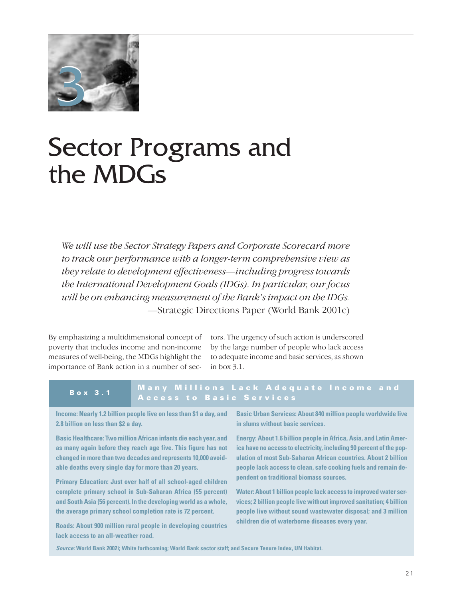

# Sector Programs and the MDGs

*We will use the Sector Strategy Papers and Corporate Scorecard more to track our performance with a longer-term comprehensive view as they relate to development effectiveness—including progress towards the International Development Goals (IDGs). In particular, our focus will be on enhancing measurement of the Bank's impact on the IDGs.*  —Strategic Directions Paper (World Bank 2001c)

By emphasizing a multidimensional concept of poverty that includes income and non-income measures of well-being, the MDGs highlight the importance of Bank action in a number of sectors. The urgency of such action is underscored by the large number of people who lack access to adequate income and basic services, as shown in box 3.1.

### **Many Millions Lack Adequate Income and Box 3.1 Access to Basic Services**

**Income: Nearly 1.2 billion people live on less than \$1 a day, and 2.8 billion on less than \$2 a day.**

**Basic Healthcare: Two million African infants die each year, and as many again before they reach age five. This figure has not changed in more than two decades and represents 10,000 avoidable deaths every single day for more than 20 years.**

**Primary Education: Just over half of all school-aged children complete primary school in Sub-Saharan Africa (55 percent) and South Asia (56 percent). In the developing world as a whole, the average primary school completion rate is 72 percent.**

**Roads: About 900 million rural people in developing countries lack access to an all-weather road.**

**Basic Urban Services: About 840 million people worldwide live in slums without basic services.**

**Energy: About 1.6 billion people in Africa, Asia, and Latin America have no access to electricity, including 90 percent of the population of most Sub-Saharan African countries. About 2 billion people lack access to clean, safe cooking fuels and remain dependent on traditional biomass sources.** 

**Water: About 1 billion people lack access to improved water services; 2 billion people live without improved sanitation; 4 billion people live without sound wastewater disposal; and 3 million children die of waterborne diseases every year.** 

*Source:* **World Bank 2002i; White forthcoming; World Bank sector staff; and Secure Tenure Index, UN Habitat.**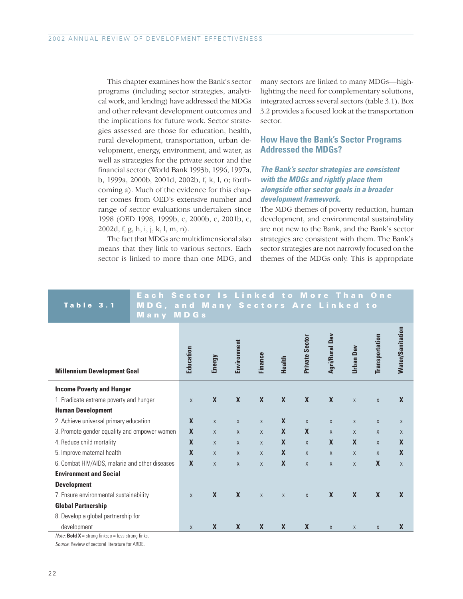This chapter examines how the Bank's sector programs (including sector strategies, analytical work, and lending) have addressed the MDGs and other relevant development outcomes and the implications for future work. Sector strategies assessed are those for education, health, rural development, transportation, urban development, energy, environment, and water, as well as strategies for the private sector and the financial sector (World Bank 1993b, 1996, 1997a, b, 1999a, 2000b, 2001d, 2002b, f, k, l, o; forthcoming a). Much of the evidence for this chapter comes from OED's extensive number and range of sector evaluations undertaken since 1998 (OED 1998, 1999b, c, 2000b, c, 2001b, c, 2002d, f, g, h, i, j, k, l, m, n).

The fact that MDGs are multidimensional also means that they link to various sectors. Each sector is linked to more than one MDG, and

many sectors are linked to many MDGs—highlighting the need for complementary solutions, integrated across several sectors (table 3.1). Box 3.2 provides a focused look at the transportation sector.

### **How Have the Bank's Sector Programs Addressed the MDGs?**

### *The Bank's sector strategies are consistent with the MDGs and rightly place them alongside other sector goals in a broader development framework.*

The MDG themes of poverty reduction, human development, and environmental sustainability are not new to the Bank, and the Bank's sector strategies are consistent with them. The Bank's sector strategies are not narrowly focused on the themes of the MDGs only. This is appropriate

### **T able 3.1**

**Each Sector Is Linked to More Than One MDG, and Many Sectors Are Linked to Many MDGs** 

| <b>Millennium Development Goal</b>             | Education        | Energy           | Environment      | <b>Finance</b>   | Health           | <b>Private Sector</b> | Agri/Rural Dev   | <b>Urban Dev</b> | <b>Transportation</b> | Water/Sanitation |
|------------------------------------------------|------------------|------------------|------------------|------------------|------------------|-----------------------|------------------|------------------|-----------------------|------------------|
| <b>Income Poverty and Hunger</b>               |                  |                  |                  |                  |                  |                       |                  |                  |                       |                  |
| 1. Eradicate extreme poverty and hunger        | $\mathsf{X}$     | $\mathbf{x}$     | $\mathbf{x}$     | $\mathbf x$      | $\mathbf{x}$     | $\mathbf x$           | $\mathbf{x}$     | $\mathsf{X}$     | $\mathsf{X}$          | $\boldsymbol{x}$ |
| <b>Human Development</b>                       |                  |                  |                  |                  |                  |                       |                  |                  |                       |                  |
| 2. Achieve universal primary education         | $\boldsymbol{x}$ | $\mathsf{X}$     | $\chi$           | $\mathsf{X}$     | $\mathbf{x}$     | $\chi$                | $\chi$           | $\mathsf{X}$     | $\chi$                | X                |
| 3. Promote gender equality and empower women   | $\boldsymbol{x}$ | $\mathsf{X}$     | $\mathsf{X}$     | $\mathsf{X}$     | $\boldsymbol{x}$ | $\pmb{\chi}$          | $\chi$           | $\mathsf{X}$     | X                     | X                |
| 4. Reduce child mortality                      | $\boldsymbol{x}$ | $\mathsf{X}$     | $\mathsf{X}$     | $\mathsf{X}$     | $\mathbf{x}$     | $\mathsf{X}$          | $\boldsymbol{x}$ | $\boldsymbol{x}$ | $\mathsf{X}$          | X                |
| 5. Improve maternal health                     | $\boldsymbol{x}$ | X                | $\mathsf{X}$     | $\mathsf{X}$     | $\boldsymbol{X}$ | $\mathsf{X}$          | $\chi$           | $\mathsf{X}$     | $\mathsf{X}$          | X                |
| 6. Combat HIV/AIDS, malaria and other diseases | $\mathbf{x}$     | $\mathsf{X}$     | $\mathsf{X}$     | $\mathsf{X}$     | $\boldsymbol{x}$ | $\mathsf{X}$          | $\mathsf{X}$     | $\mathsf{X}$     | $\pmb{\chi}$          | $\mathsf{X}$     |
| <b>Environment and Social</b>                  |                  |                  |                  |                  |                  |                       |                  |                  |                       |                  |
| <b>Development</b>                             |                  |                  |                  |                  |                  |                       |                  |                  |                       |                  |
| 7. Ensure environmental sustainability         | $\mathsf{X}$     | $\mathbf{x}$     | $\boldsymbol{x}$ | $\mathsf{X}$     | $\mathsf{X}$     | $\chi$                | $\boldsymbol{x}$ | $\boldsymbol{x}$ | $\boldsymbol{x}$      | $\boldsymbol{x}$ |
| <b>Global Partnership</b>                      |                  |                  |                  |                  |                  |                       |                  |                  |                       |                  |
| 8. Develop a global partnership for            |                  |                  |                  |                  |                  |                       |                  |                  |                       |                  |
| development                                    | $\mathsf{X}$     | $\boldsymbol{x}$ | $\boldsymbol{x}$ | $\boldsymbol{x}$ | $\mathbf{x}$     | $\boldsymbol{x}$      | X                | X                | $\mathsf{X}$          | $\boldsymbol{X}$ |

*Note:* **Bold X** = strong links;  $x =$  less strong links.

*Source*: Review of sectoral literature for ARDE.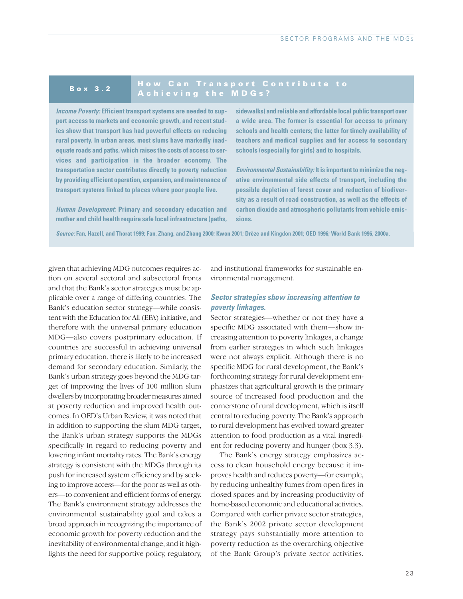## **Achieving the MDGs? Box 3.2**

*Income Poverty:* **Efficient transport systems are needed to support access to markets and economic growth, and recent studies show that transport has had powerful effects on reducing rural poverty. In urban areas, most slums have markedly inadequate roads and paths, which raises the costs of access to services and participation in the broader economy. The transportation sector contributes directly to poverty reduction by providing efficient operation, expansion, and maintenance of transport systems linked to places where poor people live.**

*Human Development:* **Primary and secondary education and mother and child health require safe local infrastructure (paths,** **sidewalks) and reliable and affordable local public transport over a wide area. The former is essential for access to primary schools and health centers; the latter for timely availability of teachers and medical supplies and for access to secondary schools (especially for girls) and to hospitals.** 

*Environmental Sustainability:* **It is important to minimize the negative environmental side effects of transport, including the possible depletion of forest cover and reduction of biodiversity as a result of road construction, as well as the effects of carbon dioxide and atmospheric pollutants from vehicle emissions.**

*Source:* **Fan, Hazell, and Thorat 1999; Fan, Zhang, and Zhang 2000; Kwon 2001; Drèze and Kingdon 2001; OED 1996; World Bank 1996, 2000a.**

given that achieving MDG outcomes requires action on several sectoral and subsectoral fronts and that the Bank's sector strategies must be applicable over a range of differing countries. The Bank's education sector strategy—while consistent with the Education for All (EFA) initiative, and therefore with the universal primary education MDG—also covers postprimary education. If countries are successful in achieving universal primary education, there is likely to be increased demand for secondary education. Similarly, the Bank's urban strategy goes beyond the MDG target of improving the lives of 100 million slum dwellers by incorporating broader measures aimed at poverty reduction and improved health outcomes. In OED's Urban Review, it was noted that in addition to supporting the slum MDG target, the Bank's urban strategy supports the MDGs specifically in regard to reducing poverty and lowering infant mortality rates. The Bank's energy strategy is consistent with the MDGs through its push for increased system efficiency and by seeking to improve access—for the poor as well as others—to convenient and efficient forms of energy. The Bank's environment strategy addresses the environmental sustainability goal and takes a broad approach in recognizing the importance of economic growth for poverty reduction and the inevitability of environmental change, and it highlights the need for supportive policy, regulatory,

and institutional frameworks for sustainable environmental management.

### *Sector strategies show increasing attention to poverty linkages.*

Sector strategies—whether or not they have a specific MDG associated with them—show increasing attention to poverty linkages, a change from earlier strategies in which such linkages were not always explicit. Although there is no specific MDG for rural development, the Bank's forthcoming strategy for rural development emphasizes that agricultural growth is the primary source of increased food production and the cornerstone of rural development, which is itself central to reducing poverty. The Bank's approach to rural development has evolved toward greater attention to food production as a vital ingredient for reducing poverty and hunger (box 3.3).

The Bank's energy strategy emphasizes access to clean household energy because it improves health and reduces poverty—for example, by reducing unhealthy fumes from open fires in closed spaces and by increasing productivity of home-based economic and educational activities. Compared with earlier private sector strategies, the Bank's 2002 private sector development strategy pays substantially more attention to poverty reduction as the overarching objective of the Bank Group's private sector activities.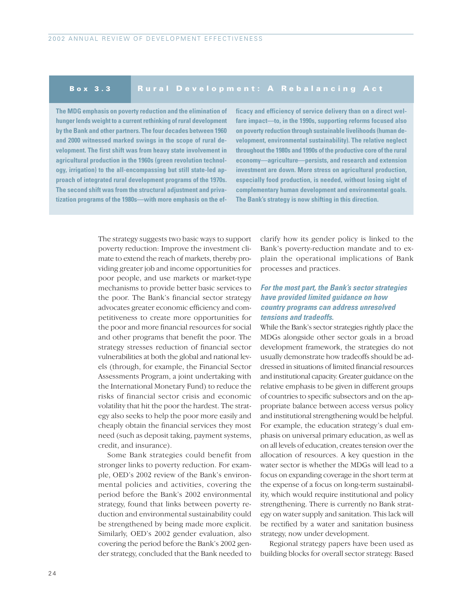### **Box 3.3 Rural Development: A Rebalancing Act**

**The MDG emphasis on poverty reduction and the elimination of hunger lends weight to a current rethinking of rural development by the Bank and other partners. The four decades between 1960 and 2000 witnessed marked swings in the scope of rural development. The first shift was from heavy state involvement in agricultural production in the 1960s (green revolution technology, irrigation) to the all-encompassing but still state-led approach of integrated rural development programs of the 1970s. The second shift was from the structural adjustment and privatization programs of the 1980s—with more emphasis on the ef-** **ficacy and efficiency of service delivery than on a direct welfare impact—to, in the 1990s, supporting reforms focused also on poverty reduction through sustainable livelihoods (human development, environmental sustainability). The relative neglect throughout the 1980s and 1990s of the productive core of the rural economy—agriculture—persists, and research and extension investment are down. More stress on agricultural production, especially food production, is needed, without losing sight of complementary human development and environmental goals. The Bank's strategy is now shifting in this direction.**

The strategy suggests two basic ways to support poverty reduction: Improve the investment climate to extend the reach of markets, thereby providing greater job and income opportunities for poor people, and use markets or market-type mechanisms to provide better basic services to the poor. The Bank's financial sector strategy advocates greater economic efficiency and competitiveness to create more opportunities for the poor and more financial resources for social and other programs that benefit the poor. The strategy stresses reduction of financial sector vulnerabilities at both the global and national levels (through, for example, the Financial Sector Assessments Program, a joint undertaking with the International Monetary Fund) to reduce the risks of financial sector crisis and economic volatility that hit the poor the hardest. The strategy also seeks to help the poor more easily and cheaply obtain the financial services they most need (such as deposit taking, payment systems, credit, and insurance).

Some Bank strategies could benefit from stronger links to poverty reduction. For example, OED's 2002 review of the Bank's environmental policies and activities, covering the period before the Bank's 2002 environmental strategy, found that links between poverty reduction and environmental sustainability could be strengthened by being made more explicit. Similarly, OED's 2002 gender evaluation, also covering the period before the Bank's 2002 gender strategy, concluded that the Bank needed to

clarify how its gender policy is linked to the Bank's poverty-reduction mandate and to explain the operational implications of Bank processes and practices.

### *For the most part, the Bank's sector strategies have provided limited guidance on how country programs can address unresolved tensions and tradeoffs.*

While the Bank's sector strategies rightly place the MDGs alongside other sector goals in a broad development framework, the strategies do not usually demonstrate how tradeoffs should be addressed in situations of limited financial resources and institutional capacity. Greater guidance on the relative emphasis to be given in different groups of countries to specific subsectors and on the appropriate balance between access versus policy and institutional strengthening would be helpful. For example, the education strategy's dual emphasis on universal primary education, as well as on all levels of education, creates tension over the allocation of resources. A key question in the water sector is whether the MDGs will lead to a focus on expanding coverage in the short term at the expense of a focus on long-term sustainability, which would require institutional and policy strengthening. There is currently no Bank strategy on water supply and sanitation. This lack will be rectified by a water and sanitation business strategy, now under development.

Regional strategy papers have been used as building blocks for overall sector strategy. Based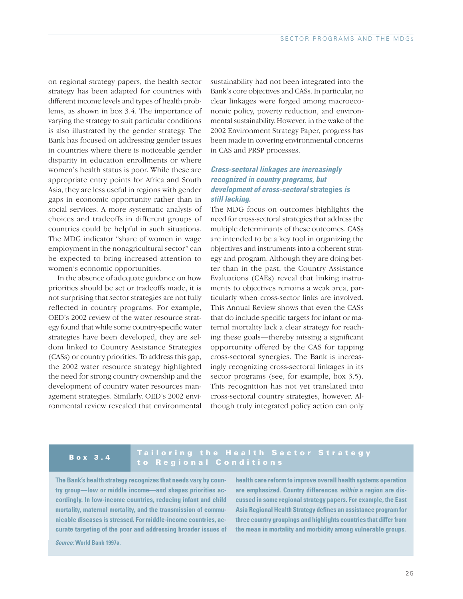on regional strategy papers, the health sector strategy has been adapted for countries with different income levels and types of health problems, as shown in box 3.4. The importance of varying the strategy to suit particular conditions is also illustrated by the gender strategy. The Bank has focused on addressing gender issues in countries where there is noticeable gender disparity in education enrollments or where women's health status is poor. While these are appropriate entry points for Africa and South Asia, they are less useful in regions with gender gaps in economic opportunity rather than in social services. A more systematic analysis of choices and tradeoffs in different groups of countries could be helpful in such situations. The MDG indicator "share of women in wage employment in the nonagricultural sector" can be expected to bring increased attention to women's economic opportunities.

In the absence of adequate guidance on how priorities should be set or tradeoffs made, it is not surprising that sector strategies are not fully reflected in country programs. For example, OED's 2002 review of the water resource strategy found that while some country-specific water strategies have been developed, they are seldom linked to Country Assistance Strategies (CASs) or country priorities. To address this gap, the 2002 water resource strategy highlighted the need for strong country ownership and the development of country water resources management strategies. Similarly, OED's 2002 environmental review revealed that environmental

sustainability had not been integrated into the Bank's core objectives and CASs. In particular, no clear linkages were forged among macroeconomic policy, poverty reduction, and environmental sustainability. However, in the wake of the 2002 Environment Strategy Paper, progress has been made in covering environmental concerns in CAS and PRSP processes.

### *Cross-sectoral linkages are increasingly recognized in country programs, but development of cross-sectoral* **strategies** *is still lacking.*

The MDG focus on outcomes highlights the need for cross-sectoral strategies that address the multiple determinants of these outcomes. CASs are intended to be a key tool in organizing the objectives and instruments into a coherent strategy and program. Although they are doing better than in the past, the Country Assistance Evaluations (CAEs) reveal that linking instruments to objectives remains a weak area, particularly when cross-sector links are involved. This Annual Review shows that even the CASs that do include specific targets for infant or maternal mortality lack a clear strategy for reaching these goals—thereby missing a significant opportunity offered by the CAS for tapping cross-sectoral synergies. The Bank is increasingly recognizing cross-sectoral linkages in its sector programs (see, for example, box 3.5). This recognition has not yet translated into cross-sectoral country strategies, however. Although truly integrated policy action can only

### **T a iloring the Health Sector Strategy to Regional Conditions Box 3.4**

**The Bank's health strategy recognizes that needs vary by country group—low or middle income—and shapes priorities accordingly. In low-income countries, reducing infant and child mortality, maternal mortality, and the transmission of communicable diseases is stressed. For middle-income countries, accurate targeting of the poor and addressing broader issues of** *Source:* **World Bank 1997a.**

**health care reform to improve overall health systems operation are emphasized. Country differences** *within* **a region are discussed in some regional strategy papers. For example, the East Asia Regional Health Strategy defines an assistance program for three country groupings and highlights countries that differ from the mean in mortality and morbidity among vulnerable groups.**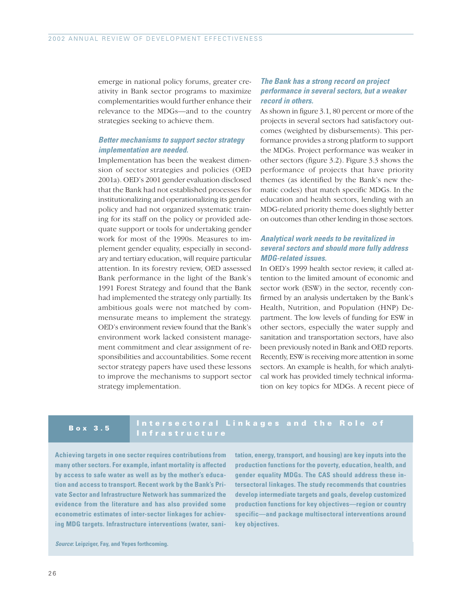emerge in national policy forums, greater creativity in Bank sector programs to maximize complementarities would further enhance their relevance to the MDGs—and to the country strategies seeking to achieve them.

### *Better mechanisms to support sector strategy implementation are needed.*

Implementation has been the weakest dimension of sector strategies and policies (OED 2001a). OED's 2001 gender evaluation disclosed that the Bank had not established processes for institutionalizing and operationalizing its gender policy and had not organized systematic training for its staff on the policy or provided adequate support or tools for undertaking gender work for most of the 1990s. Measures to implement gender equality, especially in secondary and tertiary education, will require particular attention. In its forestry review, OED assessed Bank performance in the light of the Bank's 1991 Forest Strategy and found that the Bank had implemented the strategy only partially. Its ambitious goals were not matched by commensurate means to implement the strategy. OED's environment review found that the Bank's environment work lacked consistent management commitment and clear assignment of responsibilities and accountabilities. Some recent sector strategy papers have used these lessons to improve the mechanisms to support sector strategy implementation.

### *The Bank has a strong record on project performance in several sectors, but a weaker record in others.*

As shown in figure 3.1, 80 percent or more of the projects in several sectors had satisfactory outcomes (weighted by disbursements). This performance provides a strong platform to support the MDGs. Project performance was weaker in other sectors (figure 3.2). Figure 3.3 shows the performance of projects that have priority themes (as identified by the Bank's new thematic codes) that match specific MDGs. In the education and health sectors, lending with an MDG-related priority theme does slightly better on outcomes than other lending in those sectors.

### *Analytical work needs to be revitalized in several sectors and should more fully address MDG-related issues.*

In OED's 1999 health sector review, it called attention to the limited amount of economic and sector work (ESW) in the sector, recently confirmed by an analysis undertaken by the Bank's Health, Nutrition, and Population (HNP) Department. The low levels of funding for ESW in other sectors, especially the water supply and sanitation and transportation sectors, have also been previously noted in Bank and OED reports. Recently, ESW is receiving more attention in some sectors. An example is health, for which analytical work has provided timely technical information on key topics for MDGs. A recent piece of

### **Intersectoral Linkages and the Role of Infrastructure Box 3.5**

**Achieving targets in one sector requires contributions from many other sectors. For example, infant mortality is affected by access to safe water as well as by the mother's education and access to transport. Recent work by the Bank's Private Sector and Infrastructure Network has summarized the evidence from the literature and has also provided some econometric estimates of inter-sector linkages for achieving MDG targets. Infrastructure interventions (water, sani-** **tation, energy, transport, and housing) are key inputs into the production functions for the poverty, education, health, and gender equality MDGs. The CAS should address these intersectoral linkages. The study recommends that countries develop intermediate targets and goals, develop customized production functions for key objectives—region or country specific—and package multisectoral interventions around key objectives.**

*Source***: Leipziger, Fay, and Yepes forthcoming.**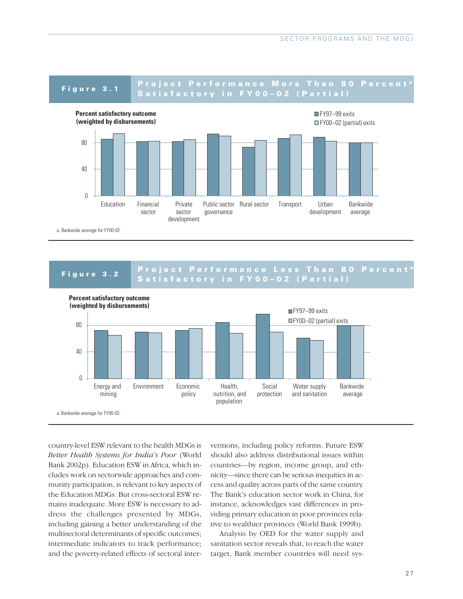

a. Bankwide average for FY00-02.

### **Project Performance Less Than 80 Percent <sup>a</sup> Satisfactory in FY00–02 (Partial) Figure 3.2**



country-level ESW relevant to the health MDGs is *Better Health Systems for India's Poor* (World Bank 2002p). Education ESW in Africa, which includes work on sectorwide approaches and community participation, is relevant to key aspects of the Education MDGs. But cross-sectoral ESW remains inadequate. More ESW is necessary to address the challenges presented by MDGs, including gaining a better understanding of the multisectoral determinants of specific outcomes; intermediate indicators to track performance; and the poverty-related effects of sectoral interventions, including policy reforms. Future ESW should also address distributional issues within countries—by region, income group, and ethnicity—since there can be serious inequities in access and quality across parts of the same country. The Bank's education sector work in China, for instance, acknowledges vast differences in providing primary education in poor provinces relative to wealthier provinces (World Bank 1999b).

Analysis by OED for the water supply and sanitation sector reveals that, to reach the water target, Bank member countries will need sys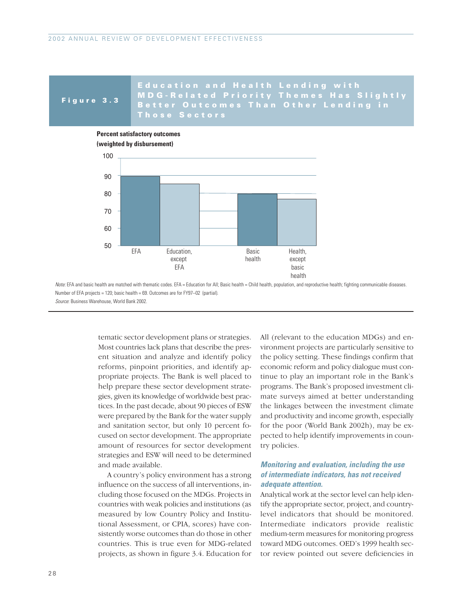**Figure 3.3**

**Education and Health Lending with MDG-Related Priority Themes Has Slightly Better Outcomes Than Other Lending in**

**Percent satisfactory outcomes (weighted by disbursement)**



*Note:* EFA and basic health are matched with thematic codes. EFA = Education for All; Basic health = Child health, population, and reproductive health; fighting communicable diseases. Number of EFA projects = 120; basic health = 69. Outcomes are for FY97–02 (partial). *Source*: Business Warehouse, World Bank 2002.

> tematic sector development plans or strategies. Most countries lack plans that describe the present situation and analyze and identify policy reforms, pinpoint priorities, and identify appropriate projects. The Bank is well placed to help prepare these sector development strategies, given its knowledge of worldwide best practices. In the past decade, about 90 pieces of ESW were prepared by the Bank for the water supply and sanitation sector, but only 10 percent focused on sector development. The appropriate amount of resources for sector development strategies and ESW will need to be determined and made available.

> A country's policy environment has a strong influence on the success of all interventions, including those focused on the MDGs. Projects in countries with weak policies and institutions (as measured by low Country Policy and Institutional Assessment, or CPIA, scores) have consistently worse outcomes than do those in other countries. This is true even for MDG-related projects, as shown in figure 3.4. Education for

All (relevant to the education MDGs) and environment projects are particularly sensitive to the policy setting. These findings confirm that economic reform and policy dialogue must continue to play an important role in the Bank's programs. The Bank's proposed investment climate surveys aimed at better understanding the linkages between the investment climate and productivity and income growth, especially for the poor (World Bank 2002h), may be expected to help identify improvements in country policies.

### *Monitoring and evaluation, including the use of intermediate indicators, has not received adequate attention.*

Analytical work at the sector level can help identify the appropriate sector, project, and countrylevel indicators that should be monitored. Intermediate indicators provide realistic medium-term measures for monitoring progress toward MDG outcomes. OED's 1999 health sector review pointed out severe deficiencies in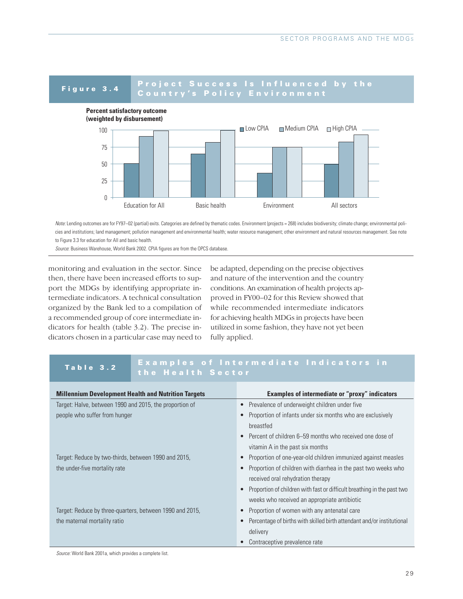## **Project Success Is Influenced by the Country's Policy Environment Figure 3.4**



*Note:* Lending outcomes are for FY97–02 (partial) exits. Categories are defined by thematic codes. Environment (projects = 268) includes biodiversity; climate change; environmental policies and institutions; land management; pollution management and environmental health; water resource management; other environment and natural resources management. See note to Figure 3.3 for education for All and basic health.

*Source*: Business Warehouse, World Bank 2002. CPIA figures are from the OPCS database.

monitoring and evaluation in the sector. Since then, there have been increased efforts to support the MDGs by identifying appropriate intermediate indicators. A technical consultation organized by the Bank led to a compilation of a recommended group of core intermediate indicators for health (table 3.2). The precise indicators chosen in a particular case may need to

be adapted, depending on the precise objectives and nature of the intervention and the country conditions. An examination of health projects approved in FY00–02 for this Review showed that while recommended intermediate indicators for achieving health MDGs in projects have been utilized in some fashion, they have not yet been fully applied.

## **the Health Sector Table 3.2**

| <b>Millennium Development Health and Nutrition Targets</b> | Examples of intermediate or "proxy" indicators                          |
|------------------------------------------------------------|-------------------------------------------------------------------------|
| Target: Halve, between 1990 and 2015, the proportion of    | Prevalence of underweight children under five<br>$\bullet$              |
| people who suffer from hunger                              | Proportion of infants under six months who are exclusively<br>$\bullet$ |
|                                                            | breastfed                                                               |
|                                                            | Percent of children 6–59 months who received one dose of                |
|                                                            | vitamin A in the past six months                                        |
| Target: Reduce by two-thirds, between 1990 and 2015,       | Proportion of one-year-old children immunized against measles           |
| the under-five mortality rate                              | Proportion of children with diarrhea in the past two weeks who          |
|                                                            | received oral rehydration therapy                                       |
|                                                            | Proportion of children with fast or difficult breathing in the past two |
|                                                            | weeks who received an appropriate antibiotic                            |
| Target: Reduce by three-quarters, between 1990 and 2015,   | Proportion of women with any antenatal care                             |
| the maternal mortality ratio                               | Percentage of births with skilled birth attendant and/or institutional  |
|                                                            | delivery                                                                |
|                                                            | Contraceptive prevalence rate                                           |

*Source:* World Bank 2001a, which provides a complete list.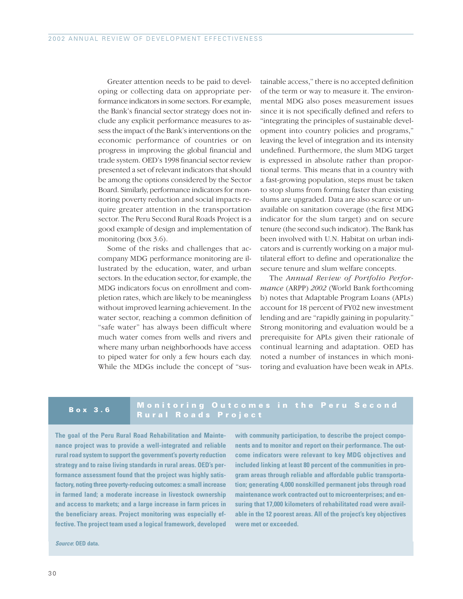Greater attention needs to be paid to developing or collecting data on appropriate performance indicators in some sectors. For example, the Bank's financial sector strategy does not include any explicit performance measures to assess the impact of the Bank's interventions on the economic performance of countries or on progress in improving the global financial and trade system. OED's 1998 financial sector review presented a set of relevant indicators that should be among the options considered by the Sector Board. Similarly, performance indicators for monitoring poverty reduction and social impacts require greater attention in the transportation sector. The Peru Second Rural Roads Project is a good example of design and implementation of monitoring (box 3.6).

Some of the risks and challenges that accompany MDG performance monitoring are illustrated by the education, water, and urban sectors. In the education sector, for example, the MDG indicators focus on enrollment and completion rates, which are likely to be meaningless without improved learning achievement. In the water sector, reaching a common definition of "safe water" has always been difficult where much water comes from wells and rivers and where many urban neighborhoods have access to piped water for only a few hours each day. While the MDGs include the concept of "sus-

tainable access," there is no accepted definition of the term or way to measure it. The environmental MDG also poses measurement issues since it is not specifically defined and refers to "integrating the principles of sustainable development into country policies and programs," leaving the level of integration and its intensity undefined. Furthermore, the slum MDG target is expressed in absolute rather than proportional terms. This means that in a country with a fast-growing population, steps must be taken to stop slums from forming faster than existing slums are upgraded. Data are also scarce or unavailable on sanitation coverage (the first MDG indicator for the slum target) and on secure tenure (the second such indicator). The Bank has been involved with U.N. Habitat on urban indicators and is currently working on a major multilateral effort to define and operationalize the secure tenure and slum welfare concepts.

The *Annual Review of Portfolio Performance* (ARPP) *2002* (World Bank forthcoming b) notes that Adaptable Program Loans (APLs) account for 18 percent of FY02 new investment lending and are "rapidly gaining in popularity." Strong monitoring and evaluation would be a prerequisite for APLs given their rationale of continual learning and adaptation. OED has noted a number of instances in which monitoring and evaluation have been weak in APLs.

### **Monitoring Outcomes in the Peru Second Rural Roads Project Box 3.6**

**The goal of the Peru Rural Road Rehabilitation and Maintenance project was to provide a well-integrated and reliable rural road system to support the government's poverty reduction strategy and to raise living standards in rural areas. OED's performance assessment found that the project was highly satisfactory, noting three poverty-reducing outcomes: a small increase in farmed land; a moderate increase in livestock ownership and access to markets; and a large increase in farm prices in the beneficiary areas. Project monitoring was especially effective. The project team used a logical framework, developed**

*Source***: OED data.**

**with community participation, to describe the project components and to monitor and report on their performance. The outcome indicators were relevant to key MDG objectives and included linking at least 80 percent of the communities in program areas through reliable and affordable public transportation; generating 4,000 nonskilled permanent jobs through road maintenance work contracted out to microenterprises; and ensuring that 17,000 kilometers of rehabilitated road were available in the 12 poorest areas. All of the project's key objectives were met or exceeded.**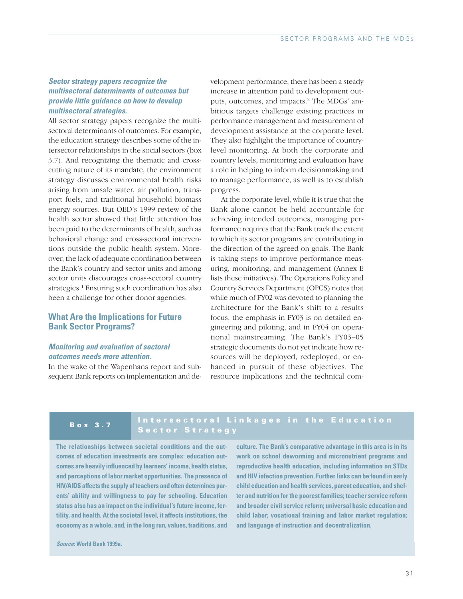### *Sector strategy papers recognize the multisectoral determinants of outcomes but provide little guidance on how to develop multisectoral strategies.*

All sector strategy papers recognize the multisectoral determinants of outcomes. For example, the education strategy describes some of the intersector relationships in the social sectors (box 3.7). And recognizing the thematic and crosscutting nature of its mandate, the environment strategy discusses environmental health risks arising from unsafe water, air pollution, transport fuels, and traditional household biomass energy sources. But OED's 1999 review of the health sector showed that little attention has been paid to the determinants of health, such as behavioral change and cross-sectoral interventions outside the public health system. Moreover, the lack of adequate coordination between the Bank's country and sector units and among sector units discourages cross-sectoral country strategies.<sup>1</sup> Ensuring such coordination has also been a challenge for other donor agencies.

### **What Are the Implications for Future Bank Sector Programs?**

### *Monitoring and evaluation of sectoral outcomes needs more attention.*

In the wake of the Wapenhans report and subsequent Bank reports on implementation and development performance, there has been a steady increase in attention paid to development outputs, outcomes, and impacts.2 The MDGs' ambitious targets challenge existing practices in performance management and measurement of development assistance at the corporate level. They also highlight the importance of countrylevel monitoring. At both the corporate and country levels, monitoring and evaluation have a role in helping to inform decisionmaking and to manage performance, as well as to establish progress.

At the corporate level, while it is true that the Bank alone cannot be held accountable for achieving intended outcomes, managing performance requires that the Bank track the extent to which its sector programs are contributing in the direction of the agreed on goals. The Bank is taking steps to improve performance measuring, monitoring, and management (Annex E lists these initiatives). The Operations Policy and Country Services Department (OPCS) notes that while much of FY02 was devoted to planning the architecture for the Bank's shift to a results focus, the emphasis in FY03 is on detailed engineering and piloting, and in FY04 on operational mainstreaming. The Bank's FY03–05 strategic documents do not yet indicate how resources will be deployed, redeployed, or enhanced in pursuit of these objectives. The resource implications and the technical com-

### **Intersectoral Linkages in the Education Sector Strategy Box 3.7**

**The relationships between societal conditions and the outcomes of education investments are complex: education outcomes are heavily influenced by learners' income, health status, and perceptions of labor market opportunities. The presence of HIV/AIDS affects the supply of teachers and often determines parents' ability and willingness to pay for schooling. Education status also has an impact on the individual's future income, fertility, and health. At the societal level, it affects institutions, the economy as a whole, and, in the long run, values, traditions, and**

**culture. The Bank's comparative advantage in this area is in its work on school deworming and micronutrient programs and reproductive health education, including information on STDs and HIV infection prevention. Further links can be found in early child education and health services, parent education, and shelter and nutrition for the poorest families; teacher service reform and broader civil service reform; universal basic education and child labor; vocational training and labor market regulation; and language of instruction and decentralization.**

*Source***: World Bank 1999a.**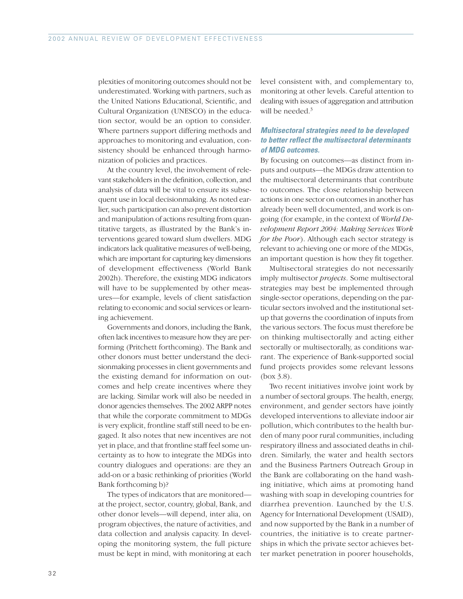plexities of monitoring outcomes should not be underestimated. Working with partners, such as the United Nations Educational, Scientific, and Cultural Organization (UNESCO) in the education sector, would be an option to consider. Where partners support differing methods and approaches to monitoring and evaluation, consistency should be enhanced through harmonization of policies and practices.

At the country level, the involvement of relevant stakeholders in the definition, collection, and analysis of data will be vital to ensure its subsequent use in local decisionmaking. As noted earlier, such participation can also prevent distortion and manipulation of actions resulting from quantitative targets, as illustrated by the Bank's interventions geared toward slum dwellers. MDG indicators lack qualitative measures of well-being, which are important for capturing key dimensions of development effectiveness (World Bank 2002h). Therefore, the existing MDG indicators will have to be supplemented by other measures—for example, levels of client satisfaction relating to economic and social services or learning achievement.

Governments and donors, including the Bank, often lack incentives to measure how they are performing (Pritchett forthcoming). The Bank and other donors must better understand the decisionmaking processes in client governments and the existing demand for information on outcomes and help create incentives where they are lacking. Similar work will also be needed in donor agencies themselves. The 2002 ARPP notes that while the corporate commitment to MDGs is very explicit, frontline staff still need to be engaged. It also notes that new incentives are not yet in place, and that frontline staff feel some uncertainty as to how to integrate the MDGs into country dialogues and operations: are they an add-on or a basic rethinking of priorities (World Bank forthcoming b)?

The types of indicators that are monitored at the project, sector, country, global, Bank, and other donor levels—will depend, inter alia, on program objectives, the nature of activities, and data collection and analysis capacity. In developing the monitoring system, the full picture must be kept in mind, with monitoring at each level consistent with, and complementary to, monitoring at other levels. Careful attention to dealing with issues of aggregation and attribution will be needed.<sup>3</sup>

### *Multisectoral strategies need to be developed to better reflect the multisectoral determinants of MDG outcomes.*

By focusing on outcomes—as distinct from inputs and outputs—the MDGs draw attention to the multisectoral determinants that contribute to outcomes. The close relationship between actions in one sector on outcomes in another has already been well documented, and work is ongoing (for example, in the context of *World Development Report 2004: Making Services Work for the Poor*). Although each sector strategy is relevant to achieving one or more of the MDGs, an important question is how they fit together.

Multisectoral strategies do not necessarily imply multisector *projects*. Some multisectoral strategies may best be implemented through single-sector operations, depending on the particular sectors involved and the institutional setup that governs the coordination of inputs from the various sectors. The focus must therefore be on thinking multisectorally and acting either sectorally or multisectorally, as conditions warrant. The experience of Bank-supported social fund projects provides some relevant lessons (box 3.8).

Two recent initiatives involve joint work by a number of sectoral groups. The health, energy, environment, and gender sectors have jointly developed interventions to alleviate indoor air pollution, which contributes to the health burden of many poor rural communities, including respiratory illness and associated deaths in children. Similarly, the water and health sectors and the Business Partners Outreach Group in the Bank are collaborating on the hand washing initiative, which aims at promoting hand washing with soap in developing countries for diarrhea prevention. Launched by the U.S. Agency for International Development (USAID), and now supported by the Bank in a number of countries, the initiative is to create partnerships in which the private sector achieves better market penetration in poorer households,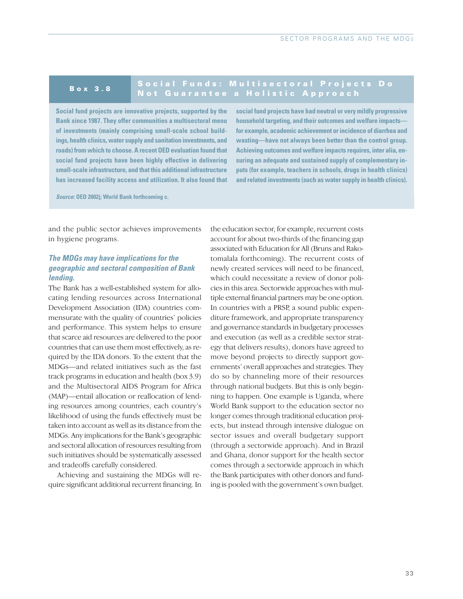### **Social Funds: Multisectoral Projects Do Not Guarantee a Holistic Approach Box 3.8**

**Social fund projects are innovative projects, supported by the Bank since 1987. They offer communities a multisectoral menu of investments (mainly comprising small-scale school buildings, health clinics, water supply and sanitation investments, and roads) from which to choose. A recent OED evaluation found that social fund projects have been highly effective in delivering small-scale infrastructure, and that this additional infrastructure has increased facility access and utilization. It also found that**

*Source***: OED 2002j; World Bank forthcoming c.**

and the public sector achieves improvements in hygiene programs.

### *The MDGs may have implications for the geographic and sectoral composition of Bank lending.*

The Bank has a well-established system for allocating lending resources across International Development Association (IDA) countries commensurate with the quality of countries' policies and performance. This system helps to ensure that scarce aid resources are delivered to the poor countries that can use them most effectively, as required by the IDA donors. To the extent that the MDGs—and related initiatives such as the fast track programs in education and health (box 3.9) and the Multisectoral AIDS Program for Africa (MAP)—entail allocation or reallocation of lending resources among countries, each country's likelihood of using the funds effectively must be taken into account as well as its distance from the MDGs. Any implications for the Bank's geographic and sectoral allocation of resources resulting from such initiatives should be systematically assessed and tradeoffs carefully considered.

Achieving and sustaining the MDGs will require significant additional recurrent financing. In

**social fund projects have had neutral or very mildly progressive household targeting, and their outcomes and welfare impacts for example, academic achievement or incidence of diarrhea and wasting—have not always been better than the control group. Achieving outcomes and welfare impacts requires, inter alia, ensuring an adequate and sustained supply of complementary inputs (for example, teachers in schools, drugs in health clinics) and related investments (such as water supply in health clinics).**

the education sector, for example, recurrent costs account for about two-thirds of the financing gap associated with Education for All (Bruns and Rakotomalala forthcoming). The recurrent costs of newly created services will need to be financed, which could necessitate a review of donor policies in this area. Sectorwide approaches with multiple external financial partners may be one option. In countries with a PRSP, a sound public expenditure framework, and appropriate transparency and governance standards in budgetary processes and execution (as well as a credible sector strategy that delivers results), donors have agreed to move beyond projects to directly support governments' overall approaches and strategies. They do so by channeling more of their resources through national budgets. But this is only beginning to happen. One example is Uganda, where World Bank support to the education sector no longer comes through traditional education projects, but instead through intensive dialogue on sector issues and overall budgetary support (through a sectorwide approach). And in Brazil and Ghana, donor support for the health sector comes through a sectorwide approach in which the Bank participates with other donors and funding is pooled with the government's own budget.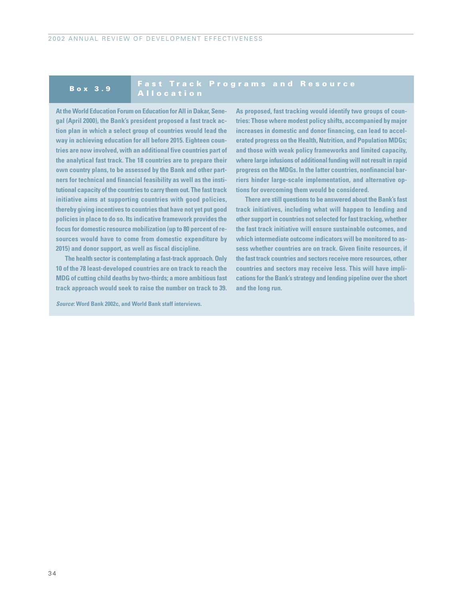### **Fast Track Programs and Resource Allocation Box 3.9**

**At the World Education Forum on Education for All in Dakar, Senegal (April 2000), the Bank's president proposed a fast track action plan in which a select group of countries would lead the way in achieving education for all before 2015. Eighteen countries are now involved, with an additional five countries part of the analytical fast track. The 18 countries are to prepare their own country plans, to be assessed by the Bank and other partners for technical and financial feasibility as well as the institutional capacity of the countries to carry them out. The fast track initiative aims at supporting countries with good policies, thereby giving incentives to countries that have not yet put good policies in place to do so. Its indicative framework provides the focus for domestic resource mobilization (up to 80 percent of resources would have to come from domestic expenditure by 2015) and donor support, as well as fiscal discipline.** 

**The health sector is contemplating a fast-track approach. Only 10 of the 78 least-developed countries are on track to reach the MDG of cutting child deaths by two-thirds; a more ambitious fast track approach would seek to raise the number on track to 39.**

*Source***: Word Bank 2002c, and World Bank staff interviews.**

**As proposed, fast tracking would identify two groups of countries: Those where modest policy shifts, accompanied by major increases in domestic and donor financing, can lead to accelerated progress on the Health, Nutrition, and Population MDGs; and those with weak policy frameworks and limited capacity, where large infusions of additional funding will not result in rapid progress on the MDGs. In the latter countries, nonfinancial barriers hinder large-scale implementation, and alternative options for overcoming them would be considered.** 

**There are still questions to be answered about the Bank's fast track initiatives, including what will happen to lending and other support in countries not selected for fast tracking, whether the fast track initiative will ensure sustainable outcomes, and which intermediate outcome indicators will be monitored to assess whether countries are on track. Given finite resources, if the fast track countries and sectors receive more resources, other countries and sectors may receive less. This will have implications for the Bank's strategy and lending pipeline over the short and the long run.**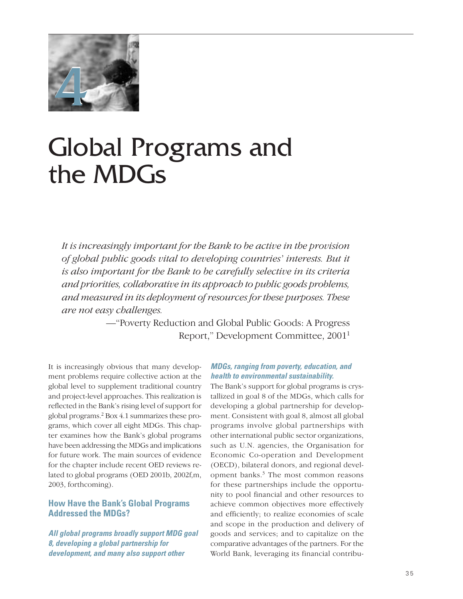

# Global Programs and the MDGs

*It is increasingly important for the Bank to be active in the provision of global public goods vital to developing countries' interests. But it is also important for the Bank to be carefully selective in its criteria and priorities, collaborative in its approach to public goods problems, and measured in its deployment of resources for these purposes. These are not easy challenges.*

> —"Poverty Reduction and Global Public Goods: A Progress Report," Development Committee, 20011

It is increasingly obvious that many development problems require collective action at the global level to supplement traditional country and project-level approaches. This realization is reflected in the Bank's rising level of support for global programs.2 Box 4.1 summarizes these programs, which cover all eight MDGs. This chapter examines how the Bank's global programs have been addressing the MDGs and implications for future work. The main sources of evidence for the chapter include recent OED reviews related to global programs (OED 2001b, 2002f,m, 2003, forthcoming).

### **How Have the Bank's Global Programs Addressed the MDGs?**

*All global programs broadly support MDG goal 8, developing a global partnership for development, and many also support other*

### *MDGs, ranging from poverty, education, and health to environmental sustainability.*

The Bank's support for global programs is crystallized in goal 8 of the MDGs, which calls for developing a global partnership for development. Consistent with goal 8, almost all global programs involve global partnerships with other international public sector organizations, such as U.N. agencies, the Organisation for Economic Co-operation and Development (OECD), bilateral donors, and regional development banks.3 The most common reasons for these partnerships include the opportunity to pool financial and other resources to achieve common objectives more effectively and efficiently; to realize economies of scale and scope in the production and delivery of goods and services; and to capitalize on the comparative advantages of the partners. For the World Bank, leveraging its financial contribu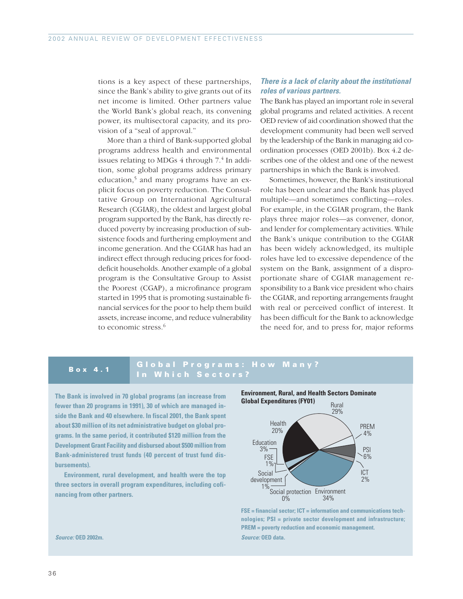tions is a key aspect of these partnerships, since the Bank's ability to give grants out of its net income is limited. Other partners value the World Bank's global reach, its convening power, its multisectoral capacity, and its provision of a "seal of approval."

More than a third of Bank-supported global programs address health and environmental issues relating to MDGs  $4$  through  $7<sup>4</sup>$  In addition, some global programs address primary education,<sup>5</sup> and many programs have an explicit focus on poverty reduction. The Consultative Group on International Agricultural Research (CGIAR), the oldest and largest global program supported by the Bank, has directly reduced poverty by increasing production of subsistence foods and furthering employment and income generation. And the CGIAR has had an indirect effect through reducing prices for fooddeficit households. Another example of a global program is the Consultative Group to Assist the Poorest (CGAP), a microfinance program started in 1995 that is promoting sustainable financial services for the poor to help them build assets, increase income, and reduce vulnerability to economic stress.6

### *There is a lack of clarity about the institutional roles of various partners.*

The Bank has played an important role in several global programs and related activities. A recent OED review of aid coordination showed that the development community had been well served by the leadership of the Bank in managing aid coordination processes (OED 2001b). Box 4.2 describes one of the oldest and one of the newest partnerships in which the Bank is involved.

Sometimes, however, the Bank's institutional role has been unclear and the Bank has played multiple—and sometimes conflicting—roles. For example, in the CGIAR program, the Bank plays three major roles—as convener, donor, and lender for complementary activities. While the Bank's unique contribution to the CGIAR has been widely acknowledged, its multiple roles have led to excessive dependence of the system on the Bank, assignment of a disproportionate share of CGIAR management responsibility to a Bank vice president who chairs the CGIAR, and reporting arrangements fraught with real or perceived conflict of interest. It has been difficult for the Bank to acknowledge the need for, and to press for, major reforms

### **Global Programs: How Many? In Which Sectors? Box 4.1**

**The Bank is involved in 70 global programs (an increase from fewer than 20 programs in 1991), 30 of which are managed inside the Bank and 40 elsewhere. In fiscal 2001, the Bank spent about \$30 million of its net administrative budget on global programs. In the same period, it contributed \$120 million from the Development Grant Facility and disbursed about \$500 million from Bank-administered trust funds (40 percent of trust fund disbursements).** 

**Environment, rural development, and health were the top three sectors in overall program expenditures, including cofinancing from other partners.**

### **Environment, Rural, and Health Sectors Dominate Global Expenditures (FY01)**



**FSE = financial sector; ICT = information and communications technologies; PSI = private sector development and infrastructure; PREM = poverty reduction and economic management.** *Source:* **OED data.**

*Source:* **OED 2002m.**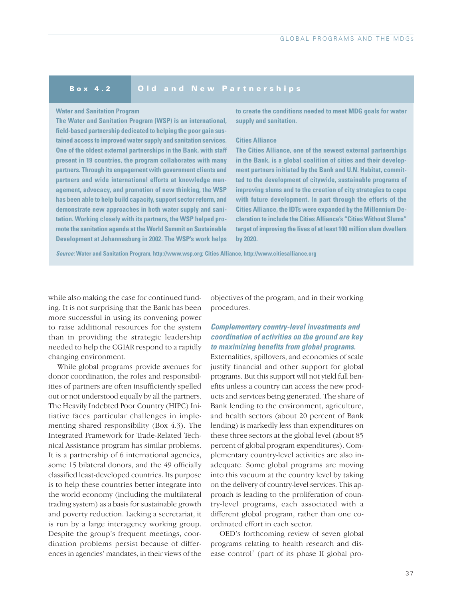### **Box 4.2 Old and New Partnerships**

### **Water and Sanitation Program**

**The Water and Sanitation Program (WSP) is an international, field-based partnership dedicated to helping the poor gain sustained access to improved water supply and sanitation services. One of the oldest external partnerships in the Bank, with staff present in 19 countries, the program collaborates with many partners. Through its engagement with government clients and partners and wide international efforts at knowledge management, advocacy, and promotion of new thinking, the WSP has been able to help build capacity, support sector reform, and demonstrate new approaches in both water supply and sanitation. Working closely with its partners, the WSP helped promote the sanitation agenda at the World Summit on Sustainable Development at Johannesburg in 2002. The WSP's work helps**

**to create the conditions needed to meet MDG goals for water supply and sanitation.**

### **Cities Alliance**

**The Cities Alliance, one of the newest external partnerships in the Bank, is a global coalition of cities and their development partners initiated by the Bank and U.N. Habitat, committed to the development of citywide, sustainable programs of improving slums and to the creation of city strategies to cope with future development. In part through the efforts of the Cities Alliance, the IDTs were expanded by the Millennium Declaration to include the Cities Alliance's "Cities Without Slums" target of improving the lives of at least 100 million slum dwellers by 2020.**

*Source***: Water and Sanitation Program, http://www.wsp.org; Cities Alliance, http://www.citiesalliance.org**

while also making the case for continued funding. It is not surprising that the Bank has been more successful in using its convening power to raise additional resources for the system than in providing the strategic leadership needed to help the CGIAR respond to a rapidly changing environment.

While global programs provide avenues for donor coordination, the roles and responsibilities of partners are often insufficiently spelled out or not understood equally by all the partners. The Heavily Indebted Poor Country (HIPC) Initiative faces particular challenges in implementing shared responsibility (Box 4.3). The Integrated Framework for Trade-Related Technical Assistance program has similar problems. It is a partnership of 6 international agencies, some 15 bilateral donors, and the 49 officially classified least-developed countries. Its purpose is to help these countries better integrate into the world economy (including the multilateral trading system) as a basis for sustainable growth and poverty reduction. Lacking a secretariat, it is run by a large interagency working group. Despite the group's frequent meetings, coordination problems persist because of differences in agencies' mandates, in their views of the

objectives of the program, and in their working procedures.

### *Complementary country-level investments and coordination of activities on the ground are key to maximizing benefits from global programs.*

Externalities, spillovers, and economies of scale justify financial and other support for global programs. But this support will not yield full benefits unless a country can access the new products and services being generated. The share of Bank lending to the environment, agriculture, and health sectors (about 20 percent of Bank lending) is markedly less than expenditures on these three sectors at the global level (about 85 percent of global program expenditures). Complementary country-level activities are also inadequate. Some global programs are moving into this vacuum at the country level by taking on the delivery of country-level services. This approach is leading to the proliferation of country-level programs, each associated with a different global program, rather than one coordinated effort in each sector.

OED's forthcoming review of seven global programs relating to health research and disease control<sup>7</sup> (part of its phase II global pro-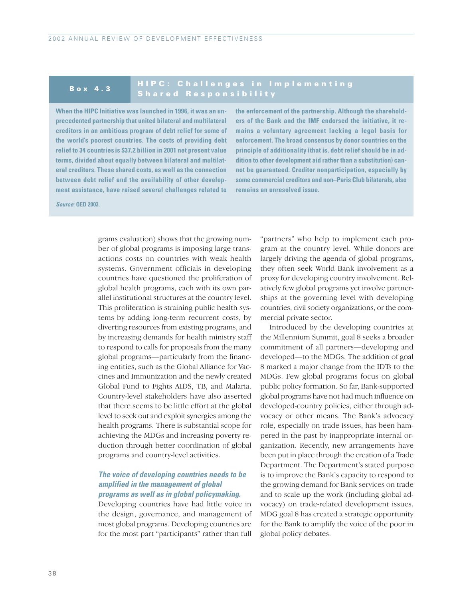### **HIPC: Challenges in Implementing Shared Responsibility Box 4.3**

**When the HIPC Initiative was launched in 1996, it was an unprecedented partnership that united bilateral and multilateral creditors in an ambitious program of debt relief for some of the world's poorest countries. The costs of providing debt relief to 34 countries is \$37.2 billion in 2001 net present value terms, divided about equally between bilateral and multilateral creditors. These shared costs, as well as the connection between debt relief and the availability of other development assistance, have raised several challenges related to**

*Source***: OED 2003.**

grams evaluation) shows that the growing number of global programs is imposing large transactions costs on countries with weak health systems. Government officials in developing countries have questioned the proliferation of global health programs, each with its own parallel institutional structures at the country level. This proliferation is straining public health systems by adding long-term recurrent costs, by diverting resources from existing programs, and by increasing demands for health ministry staff to respond to calls for proposals from the many global programs—particularly from the financing entities, such as the Global Alliance for Vaccines and Immunization and the newly created Global Fund to Fights AIDS, TB, and Malaria. Country-level stakeholders have also asserted that there seems to be little effort at the global level to seek out and exploit synergies among the health programs. There is substantial scope for achieving the MDGs and increasing poverty reduction through better coordination of global programs and country-level activities.

### *The voice of developing countries needs to be amplified in the management of global programs as well as in global policymaking.*

Developing countries have had little voice in the design, governance, and management of most global programs. Developing countries are for the most part "participants" rather than full

**the enforcement of the partnership. Although the shareholders of the Bank and the IMF endorsed the initiative, it remains a voluntary agreement lacking a legal basis for enforcement. The broad consensus by donor countries on the principle of additionality (that is, debt relief should be in addition to other development aid rather than a substitution) cannot be guaranteed. Creditor nonparticipation, especially by some commercial creditors and non–Paris Club bilaterals, also remains an unresolved issue.**

> "partners" who help to implement each program at the country level. While donors are largely driving the agenda of global programs, they often seek World Bank involvement as a proxy for developing country involvement. Relatively few global programs yet involve partnerships at the governing level with developing countries, civil society organizations, or the commercial private sector.

> Introduced by the developing countries at the Millennium Summit, goal 8 seeks a broader commitment of all partners—developing and developed—to the MDGs. The addition of goal 8 marked a major change from the IDTs to the MDGs. Few global programs focus on global public policy formation. So far, Bank-supported global programs have not had much influence on developed-country policies, either through advocacy or other means. The Bank's advocacy role, especially on trade issues, has been hampered in the past by inappropriate internal organization. Recently, new arrangements have been put in place through the creation of a Trade Department. The Department's stated purpose is to improve the Bank's capacity to respond to the growing demand for Bank services on trade and to scale up the work (including global advocacy) on trade-related development issues. MDG goal 8 has created a strategic opportunity for the Bank to amplify the voice of the poor in global policy debates.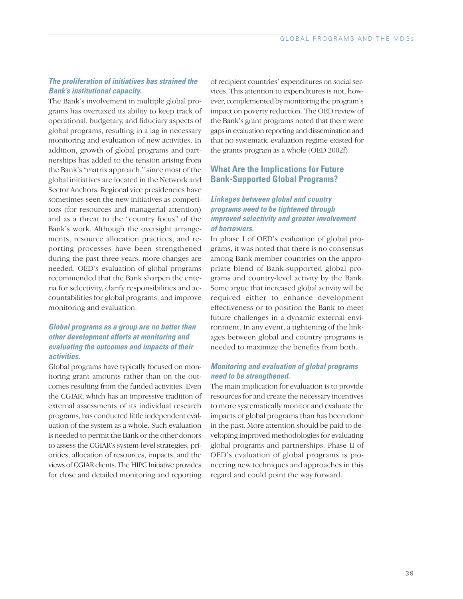### *The proliferation of initiatives has strained the Bank's institutional capacity.*

The Bank's involvement in multiple global programs has overtaxed its ability to keep track of operational, budgetary, and fiduciary aspects of global programs, resulting in a lag in necessary monitoring and evaluation of new activities. In addition, growth of global programs and partnerships has added to the tension arising from the Bank's "matrix approach," since most of the global initiatives are located in the Network and Sector Anchors. Regional vice presidencies have sometimes seen the new initiatives as competitors (for resources and managerial attention) and as a threat to the "country focus" of the Bank's work. Although the oversight arrangements, resource allocation practices, and reporting processes have been strengthened during the past three years, more changes are needed. OED's evaluation of global programs recommended that the Bank sharpen the criteria for selectivity, clarify responsibilities and accountabilities for global programs, and improve monitoring and evaluation.

### *Global programs as a group are no better than other development efforts at monitoring and evaluating the outcomes and impacts of their activities.*

Global programs have typically focused on monitoring grant amounts rather than on the outcomes resulting from the funded activities. Even the CGIAR, which has an impressive tradition of external assessments of its individual research programs, has conducted little independent evaluation of the system as a whole. Such evaluation is needed to permit the Bank or the other donors to assess the CGIAR's system-level strategies, priorities, allocation of resources, impacts, and the views of CGIAR clients. The HIPC Initiative provides for close and detailed monitoring and reporting

of recipient countries' expenditures on social services. This attention to expenditures is not, however, complemented by monitoring the program's impact on poverty reduction. The OED review of the Bank's grant programs noted that there were gaps in evaluation reporting and dissemination and that no systematic evaluation regime existed for the grants program as a whole (OED 2002f).

### **What Are the Implications for Future Bank-Supported Global Programs?**

### *Linkages between global and country programs need to be tightened through improved selectivity and greater involvement of borrowers.*

In phase I of OED's evaluation of global programs, it was noted that there is no consensus among Bank member countries on the appropriate blend of Bank-supported global programs and country-level activity by the Bank. Some argue that increased global activity will be required either to enhance development effectiveness or to position the Bank to meet future challenges in a dynamic external environment. In any event, a tightening of the linkages between global and country programs is needed to maximize the benefits from both.

### *Monitoring and evaluation of global programs need to be strengthened.*

The main implication for evaluation is to provide resources for and create the necessary incentives to more systematically monitor and evaluate the impacts of global programs than has been done in the past. More attention should be paid to developing improved methodologies for evaluating global programs and partnerships. Phase II of OED's evaluation of global programs is pioneering new techniques and approaches in this regard and could point the way forward.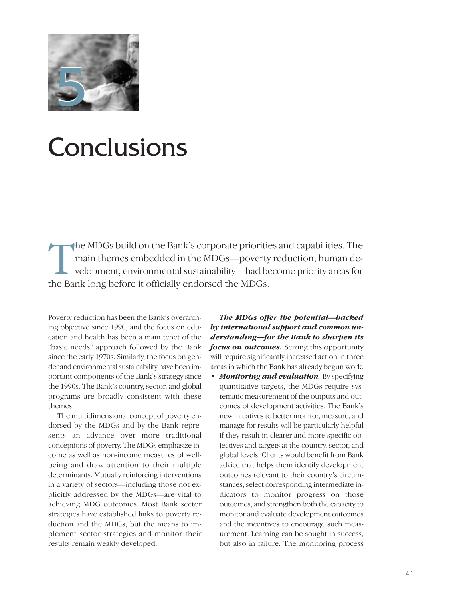

# **Conclusions**

The MDGs build on the Bank's corporate priorities and capabilities. The<br>main themes embedded in the MDGs—poverty reduction, human de-<br>velopment, environmental sustainability—had become priority areas for<br>the Bank long befo main themes embedded in the MDGs—poverty reduction, human development, environmental sustainability—had become priority areas for the Bank long before it officially endorsed the MDGs.

Poverty reduction has been the Bank's overarching objective since 1990, and the focus on education and health has been a main tenet of the "basic needs" approach followed by the Bank since the early 1970s. Similarly, the focus on gender and environmental sustainability have been important components of the Bank's strategy since the 1990s. The Bank's country, sector, and global programs are broadly consistent with these themes.

The multidimensional concept of poverty endorsed by the MDGs and by the Bank represents an advance over more traditional conceptions of poverty. The MDGs emphasize income as well as non-income measures of wellbeing and draw attention to their multiple determinants. Mutually reinforcing interventions in a variety of sectors—including those not explicitly addressed by the MDGs—are vital to achieving MDG outcomes. Most Bank sector strategies have established links to poverty reduction and the MDGs, but the means to implement sector strategies and monitor their results remain weakly developed.

*The MDGs offer the potential—backed by international support and common understanding—for the Bank to sharpen its focus on outcomes.* Seizing this opportunity will require significantly increased action in three areas in which the Bank has already begun work.

• *Monitoring and evaluation.* By specifying quantitative targets, the MDGs require systematic measurement of the outputs and outcomes of development activities. The Bank's new initiatives to better monitor, measure, and manage for results will be particularly helpful if they result in clearer and more specific objectives and targets at the country, sector, and global levels. Clients would benefit from Bank advice that helps them identify development outcomes relevant to their country's circumstances, select corresponding intermediate indicators to monitor progress on those outcomes, and strengthen both the capacity to monitor and evaluate development outcomes and the incentives to encourage such measurement. Learning can be sought in success, but also in failure. The monitoring process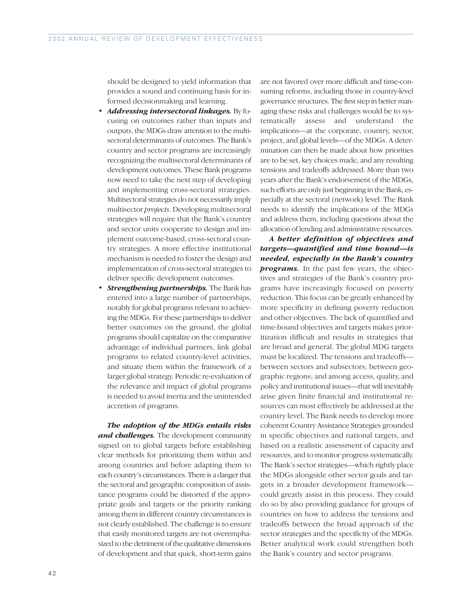should be designed to yield information that provides a sound and continuing basis for informed decisionmaking and learning.

- *Addressing intersectoral linkages.* By focusing on outcomes rather than inputs and outputs, the MDGs draw attention to the multisectoral determinants of outcomes. The Bank's country and sector programs are increasingly recognizing the multisectoral determinants of development outcomes. These Bank programs now need to take the next step of developing and implementing cross-sectoral strategies. Multisectoral strategies do not necessarily imply multisector *projects*. Developing multisectoral strategies will require that the Bank's country and sector units cooperate to design and implement outcome-based, cross-sectoral country strategies. A more effective institutional mechanism is needed to foster the design and implementation of cross-sectoral strategies to deliver specific development outcomes.
- *Strengthening partnerships.* The Bank has entered into a large number of partnerships, notably for global programs relevant to achieving the MDGs. For these partnerships to deliver better outcomes on the ground, the global programs should capitalize on the comparative advantage of individual partners, link global programs to related country-level activities, and situate them within the framework of a larger global strategy. Periodic re-evaluation of the relevance and impact of global programs is needed to avoid inertia and the unintended accretion of programs.

*The adoption of the MDGs entails risks and challenges.* The development community signed on to global targets before establishing clear methods for prioritizing them within and among countries and before adapting them to each country's circumstances. There is a danger that the sectoral and geographic composition of assistance programs could be distorted if the appropriate goals and targets or the priority ranking among them in different country circumstances is not clearly established. The challenge is to ensure that easily monitored targets are not overemphasized to the detriment of the qualitative dimensions of development and that quick, short-term gains

are not favored over more difficult and time-consuming reforms, including those in country-level governance structures. The first step in better managing these risks and challenges would be to systematically assess and understand the implications—at the corporate, country, sector, project, and global levels—of the MDGs. A determination can then be made about how priorities are to be set, key choices made, and any resulting tensions and tradeoffs addressed. More than two years after the Bank's endorsement of the MDGs, such efforts are only just beginning in the Bank, especially at the sectoral (network) level. The Bank needs to identify the implications of the MDGs and address them, including questions about the allocation of lending and administrative resources.

*A better definition of objectives and targets—quantified and time bound—is needed, especially in the Bank's country programs.* In the past few years, the objectives and strategies of the Bank's country programs have increasingly focused on poverty reduction. This focus can be greatly enhanced by more specificity in defining poverty reduction and other objectives. The lack of quantified and time-bound objectives and targets makes prioritization difficult and results in strategies that are broad and general. The global MDG targets must be localized. The tensions and tradeoffs between sectors and subsectors; between geographic regions; and among access, quality, and policy and institutional issues—that will inevitably arise given finite financial and institutional resources can most effectively be addressed at the country level. The Bank needs to develop more coherent Country Assistance Strategies grounded in specific objectives and national targets, and based on a realistic assessment of capacity and resources, and to monitor progress systematically. The Bank's sector strategies—which rightly place the MDGs alongside other sector goals and targets in a broader development framework could greatly assist in this process. They could do so by also providing guidance for groups of countries on how to address the tensions and tradeoffs between the broad approach of the sector strategies and the specificity of the MDGs. Better analytical work could strengthen both the Bank's country and sector programs.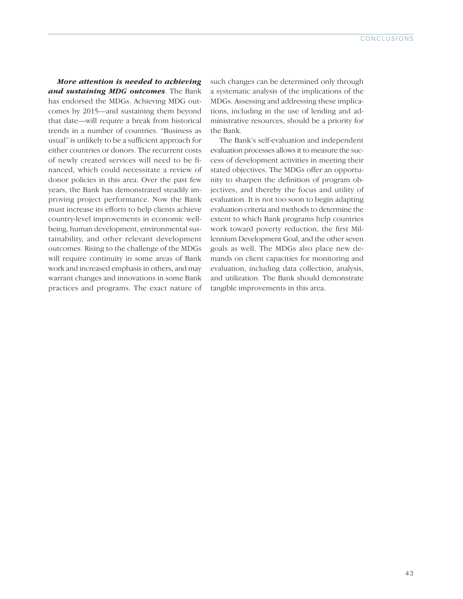*More attention is needed to achieving and sustaining MDG outcomes*. The Bank has endorsed the MDGs. Achieving MDG outcomes by 2015—and sustaining them beyond that date—will require a break from historical trends in a number of countries. "Business as usual" is unlikely to be a sufficient approach for either countries or donors. The recurrent costs of newly created services will need to be financed, which could necessitate a review of donor policies in this area. Over the past few years, the Bank has demonstrated steadily improving project performance. Now the Bank must increase its efforts to help clients achieve country-level improvements in economic wellbeing, human development, environmental sustainability, and other relevant development outcomes. Rising to the challenge of the MDGs will require continuity in some areas of Bank work and increased emphasis in others, and may warrant changes and innovations in some Bank practices and programs. The exact nature of

such changes can be determined only through a systematic analysis of the implications of the MDGs. Assessing and addressing these implications, including in the use of lending and administrative resources, should be a priority for the Bank.

The Bank's self-evaluation and independent evaluation processes allows it to measure the success of development activities in meeting their stated objectives. The MDGs offer an opportunity to sharpen the definition of program objectives, and thereby the focus and utility of evaluation. It is not too soon to begin adapting evaluation criteria and methods to determine the extent to which Bank programs help countries work toward poverty reduction, the first Millennium Development Goal, and the other seven goals as well. The MDGs also place new demands on client capacities for monitoring and evaluation, including data collection, analysis, and utilization. The Bank should demonstrate tangible improvements in this area.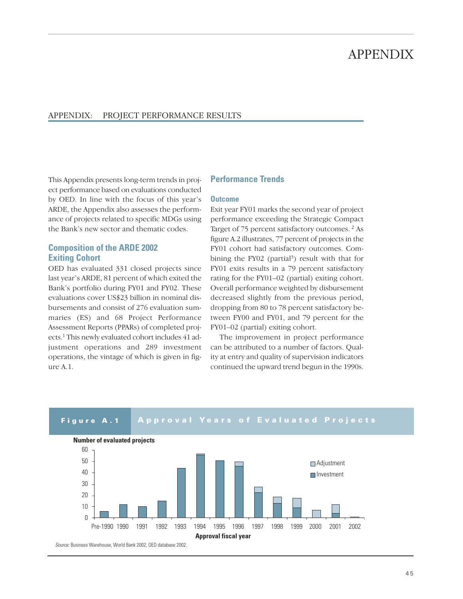## APPENDIX

### APPENDIX: PROJECT PERFORMANCE RESULTS

This Appendix presents long-term trends in project performance based on evaluations conducted by OED. In line with the focus of this year's ARDE, the Appendix also assesses the performance of projects related to specific MDGs using the Bank's new sector and thematic codes.

### **Composition of the ARDE 2002 Exiting Cohort**

OED has evaluated 331 closed projects since last year's ARDE, 81 percent of which exited the Bank's portfolio during FY01 and FY02. These evaluations cover US\$23 billion in nominal disbursements and consist of 276 evaluation summaries (ES) and 68 Project Performance Assessment Reports (PPARs) of completed projects.1 This newly evaluated cohort includes 41 adjustment operations and 289 investment operations, the vintage of which is given in figure A.1.

### **Performance Trends**

### **Outcome**

Exit year FY01 marks the second year of project performance exceeding the Strategic Compact Target of 75 percent satisfactory outcomes. <sup>2</sup> As figure A.2 illustrates, 77 percent of projects in the FY01 cohort had satisfactory outcomes. Combining the FY02 (partial<sup>3</sup>) result with that for FY01 exits results in a 79 percent satisfactory rating for the FY01–02 (partial) exiting cohort. Overall performance weighted by disbursement decreased slightly from the previous period, dropping from 80 to 78 percent satisfactory between FY00 and FY01, and 79 percent for the FY01–02 (partial) exiting cohort.

The improvement in project performance can be attributed to a number of factors. Quality at entry and quality of supervision indicators continued the upward trend begun in the 1990s.

### **Figure A.1 Approval Years of Evaluated Projects**



4 5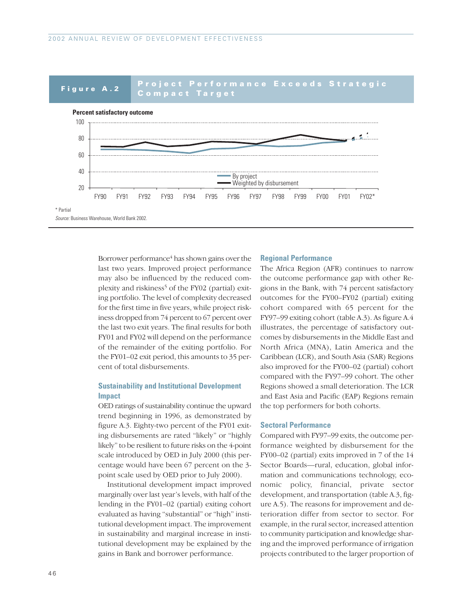**Project Performance Exceeds Strategic Compact Target Figure A.2**



FY90 FY91 FY92 FY93 FY94 FY95 FY96 FY97 FY98 FY99 FY00 FY01 FY02\*

\* Partial *Source:* Business Warehouse, World Bank 2002.

> Borrower performance $4$  has shown gains over the last two years. Improved project performance may also be influenced by the reduced complexity and riskiness<sup>5</sup> of the FY02 (partial) exiting portfolio. The level of complexity decreased for the first time in five years, while project riskiness dropped from 74 percent to 67 percent over the last two exit years. The final results for both FY01 and FY02 will depend on the performance of the remainder of the exiting portfolio. For the FY01–02 exit period, this amounts to 35 percent of total disbursements.

### **Sustainability and Institutional Development Impact**

OED ratings of sustainability continue the upward trend beginning in 1996, as demonstrated by figure A.3. Eighty-two percent of the FY01 exiting disbursements are rated "likely" or "highly likely" to be resilient to future risks on the 4-point scale introduced by OED in July 2000 (this percentage would have been 67 percent on the 3 point scale used by OED prior to July 2000).

Institutional development impact improved marginally over last year's levels, with half of the lending in the FY01–02 (partial) exiting cohort evaluated as having "substantial" or "high" institutional development impact. The improvement in sustainability and marginal increase in institutional development may be explained by the gains in Bank and borrower performance.

### **Regional Performance**

The Africa Region (AFR) continues to narrow the outcome performance gap with other Regions in the Bank, with 74 percent satisfactory outcomes for the FY00–FY02 (partial) exiting cohort compared with 65 percent for the FY97–99 exiting cohort (table A.3). As figure A.4 illustrates, the percentage of satisfactory outcomes by disbursements in the Middle East and North Africa (MNA), Latin America and the Caribbean (LCR), and South Asia (SAR) Regions also improved for the FY00–02 (partial) cohort compared with the FY97–99 cohort. The other Regions showed a small deterioration. The LCR and East Asia and Pacific (EAP) Regions remain the top performers for both cohorts.

### **Sectoral Performance**

Compared with FY97–99 exits, the outcome performance weighted by disbursement for the FY00–02 (partial) exits improved in 7 of the 14 Sector Boards—rural, education, global information and communications technology, economic policy, financial, private sector development, and transportation (table A.3, figure A.5). The reasons for improvement and deterioration differ from sector to sector. For example, in the rural sector, increased attention to community participation and knowledge sharing and the improved performance of irrigation projects contributed to the larger proportion of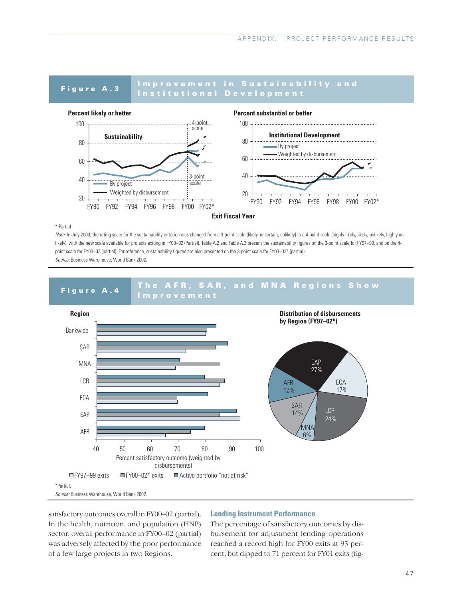## **Improvement in Sustainability and Institutional Development Figure A.3**



\* Partial

Note: In July 2000, the rating scale for the sustainability criterion was changed from a 3-point scale (likely, uncertain, unlikely) to a 4-point scale (highly likely, likely, unlikely, highly unlikely), with the new scale available for projects exiting in FY00–02 (Partial). Table A.2 and Table A.3 present the sustainability figures on the 3-point scale for FY97–99, and on the 4 point scale for FY00–02 (partial). For reference, sustainability figures are also presented on the 3-point scale for FY00–02\* (partial). *Source:* Business Warehouse, World Bank 2002.



satisfactory outcomes overall in FY00–02 (partial). In the health, nutrition, and population (HNP) sector, overall performance in FY00–02 (partial) was adversely affected by the poor performance of a few large projects in two Regions.

### **Lending Instrument Performance**

The percentage of satisfactory outcomes by disbursement for adjustment lending operations reached a record high for FY00 exits at 95 percent, but dipped to 71 percent for FY01 exits (fig-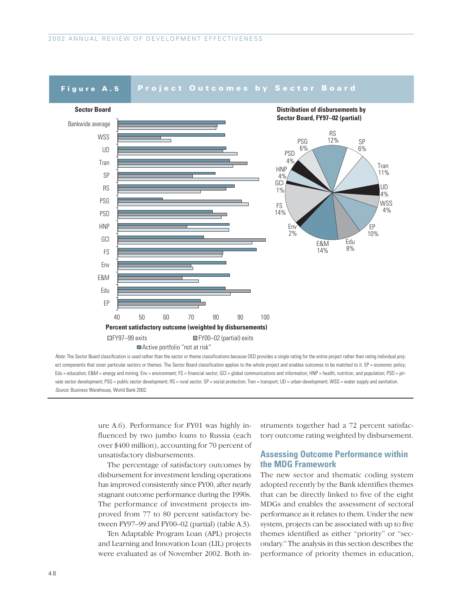

### **Figure A.5 Project Outcomes by Sector Board**

*Note:* The Sector Board classification is used rather than the sector or theme classifications because OED provides a single rating for the entire project rather than rating individual project components that cover particular sectors or themes. The Sector Board classification applies to the whole project and enables outcomes to be matched to it. EP = economic policy; Edu = education; E&M = energy and mining; Env = environment; FS = financial sector; GCI = global communications and information; HNP = health, nutrition, and population; PSD = private sector development; PSG = public sector development; RS = rural sector; SP = social protection; Tran = transport; UD = urban development; WSS = water supply and sanitation. *Source:* Business Warehouse, World Bank 2002.

> ure A.6). Performance for FY01 was highly influenced by two jumbo loans to Russia (each over \$400 million), accounting for 70 percent of unsatisfactory disbursements.

> The percentage of satisfactory outcomes by disbursement for investment lending operations has improved consistently since FY00, after nearly stagnant outcome performance during the 1990s. The performance of investment projects improved from 77 to 80 percent satisfactory between FY97–99 and FY00–02 (partial) (table A.3).

> Ten Adaptable Program Loan (APL) projects and Learning and Innovation Loan (LIL) projects were evaluated as of November 2002. Both in

struments together had a 72 percent satisfactory outcome rating weighted by disbursement.

### **Assessing Outcome Performance within the MDG Framework**

The new sector and thematic coding system adopted recently by the Bank identifies themes that can be directly linked to five of the eight MDGs and enables the assessment of sectoral performance as it relates to them. Under the new system, projects can be associated with up to five themes identified as either "priority" or "secondary." The analysis in this section describes the performance of priority themes in education,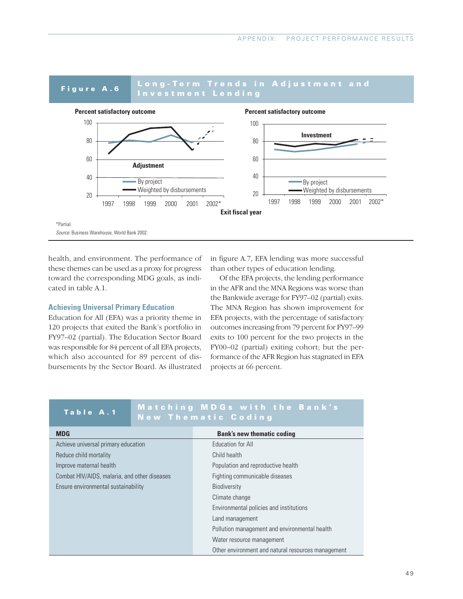

health, and environment. The performance of these themes can be used as a proxy for progress toward the corresponding MDG goals, as indicated in table A.1.

#### **Achieving Universal Primary Education**

Education for All (EFA) was a priority theme in 120 projects that exited the Bank's portfolio in FY97–02 (partial). The Education Sector Board was responsible for 84 percent of all EFA projects, which also accounted for 89 percent of disbursements by the Sector Board. As illustrated in figure A.7, EFA lending was more successful than other types of education lending.

Of the EFA projects, the lending performance in the AFR and the MNA Regions was worse than the Bankwide average for FY97–02 (partial) exits. The MNA Region has shown improvement for EFA projects, with the percentage of satisfactory outcomes increasing from 79 percent for FY97–99 exits to 100 percent for the two projects in the FY00–02 (partial) exiting cohort; but the performance of the AFR Region has stagnated in EFA projects at 66 percent.

# **Matching MDGs with the Bank's Table A.1 New Thematic Coding**

| <b>MDG</b>                                   | <b>Bank's new thematic coding</b>                  |
|----------------------------------------------|----------------------------------------------------|
| Achieve universal primary education          | Education for All                                  |
| Reduce child mortality                       | Child health                                       |
| Improve maternal health                      | Population and reproductive health                 |
| Combat HIV/AIDS, malaria, and other diseases | Fighting communicable diseases                     |
| Ensure environmental sustainability          | Biodiversity                                       |
|                                              | Climate change                                     |
|                                              | Environmental policies and institutions            |
|                                              | Land management                                    |
|                                              | Pollution management and environmental health      |
|                                              | Water resource management                          |
|                                              | Other environment and natural resources management |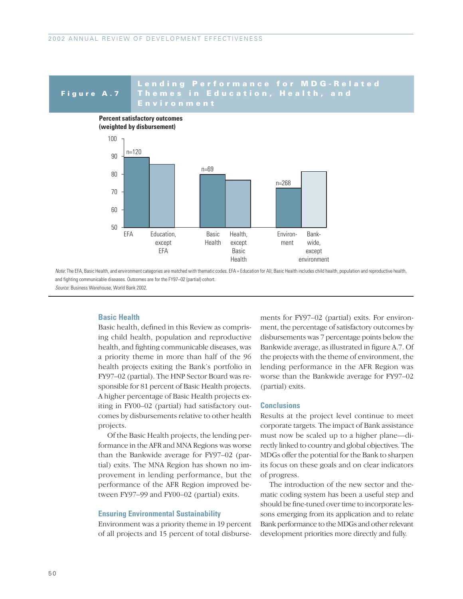**Figure A.7**







Note: The EFA, Basic Health, and environment categories are matched with thematic codes. EFA = Education for All; Basic Health includes child health, population and reproductive health, and fighting communicable diseases. Outcomes are for the FY97–02 (partial) cohort. *Source:* Business Warehouse, World Bank 2002.

#### **Basic Health**

Basic health, defined in this Review as comprising child health, population and reproductive health, and fighting communicable diseases, was a priority theme in more than half of the 96 health projects exiting the Bank's portfolio in FY97–02 (partial). The HNP Sector Board was responsible for 81 percent of Basic Health projects. A higher percentage of Basic Health projects exiting in FY00–02 (partial) had satisfactory outcomes by disbursements relative to other health projects.

Of the Basic Health projects, the lending performance in the AFR and MNA Regions was worse than the Bankwide average for FY97–02 (partial) exits. The MNA Region has shown no improvement in lending performance, but the performance of the AFR Region improved between FY97–99 and FY00–02 (partial) exits.

#### **Ensuring Environmental Sustainability**

Environment was a priority theme in 19 percent of all projects and 15 percent of total disbursements for FY97–02 (partial) exits. For environment, the percentage of satisfactory outcomes by disbursements was 7 percentage points below the Bankwide average, as illustrated in figure A.7. Of the projects with the theme of environment, the lending performance in the AFR Region was worse than the Bankwide average for FY97–02 (partial) exits.

#### **Conclusions**

Results at the project level continue to meet corporate targets. The impact of Bank assistance must now be scaled up to a higher plane—directly linked to country and global objectives. The MDGs offer the potential for the Bank to sharpen its focus on these goals and on clear indicators of progress.

The introduction of the new sector and thematic coding system has been a useful step and should be fine-tuned over time to incorporate lessons emerging from its application and to relate Bank performance to the MDGs and other relevant development priorities more directly and fully.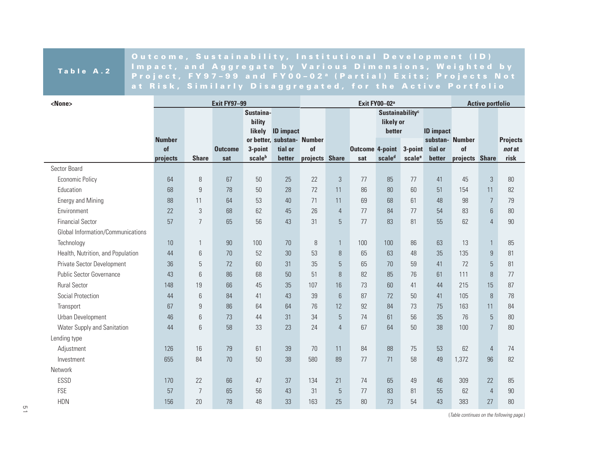**Outcome, Sustainability, Institutional Development (ID) Impact, and Aggregate by Various Dimensions, Weighted by Project, FY97–99 and FY00–02 <sup>a</sup> (Partial) Exits; Projects Not at Risk, Similarly Disaggregated, for the Active Portfolio**

| <none></none>                     | <b>Exit FY97-99</b> |                |                |           |                                                | Exit FY00-02 <sup>a</sup> |                |                        |                                   |                    |                                    | <b>Active portfolio</b> |                |                 |
|-----------------------------------|---------------------|----------------|----------------|-----------|------------------------------------------------|---------------------------|----------------|------------------------|-----------------------------------|--------------------|------------------------------------|-------------------------|----------------|-----------------|
|                                   |                     |                |                | Sustaina- |                                                |                           |                |                        | <b>Sustainability<sup>c</sup></b> |                    |                                    |                         |                |                 |
|                                   |                     |                |                | bility    |                                                |                           |                |                        | likely or                         |                    |                                    |                         |                |                 |
|                                   | <b>Number</b>       |                |                | likely    | <b>ID impact</b><br>or better, substan- Number |                           |                |                        | better                            |                    | <b>ID</b> impact<br>substan-Number |                         |                | <b>Projects</b> |
|                                   | of                  |                | <b>Outcome</b> | 3-point   | tial or                                        | of                        |                | <b>Outcome 4-point</b> |                                   | 3-point            | tial or                            | of                      |                | not at          |
|                                   | projects            | <b>Share</b>   | sat            | scaleb    | better                                         | projects Share            |                | sat                    | scale <sup>d</sup>                | scale <sup>e</sup> | better                             | projects Share          |                | risk            |
| Sector Board                      |                     |                |                |           |                                                |                           |                |                        |                                   |                    |                                    |                         |                |                 |
| <b>Economic Policy</b>            | 64                  | 8              | 67             | 50        | 25                                             | 22                        | $\mathfrak{Z}$ | 77                     | 85                                | 77                 | 41                                 | 45                      | $\sqrt{3}$     | 80              |
| Education                         | 68                  | 9              | 78             | 50        | 28                                             | 72                        | 11             | 86                     | 80                                | 60                 | 51                                 | 154                     | 11             | 82              |
| <b>Energy and Mining</b>          | 88                  | 11             | 64             | 53        | 40                                             | 71                        | 11             | 69                     | 68                                | 61                 | 48                                 | 98                      | $\overline{7}$ | 79              |
| Environment                       | 22                  | 3              | 68             | 62        | 45                                             | 26                        | $\overline{4}$ | 77                     | 84                                | 77                 | 54                                 | 83                      | $6\phantom{1}$ | 80              |
| <b>Financial Sector</b>           | 57                  | $\overline{7}$ | 65             | 56        | 43                                             | 31                        | $\overline{5}$ | 77                     | 83                                | 81                 | 55                                 | 62                      | $\overline{4}$ | $90\,$          |
| Global Information/Communications |                     |                |                |           |                                                |                           |                |                        |                                   |                    |                                    |                         |                |                 |
| Technology                        | 10                  | $\mathbf{1}$   | 90             | 100       | 70                                             | $\, 8$                    | $\mathbf{1}$   | 100                    | 100                               | 86                 | 63                                 | 13                      | $\overline{1}$ | 85              |
| Health, Nutrition, and Population | 44                  | 6              | 70             | 52        | 30                                             | 53                        | 8              | 65                     | 63                                | 48                 | 35                                 | 135                     | 9              | 81              |
| Private Sector Development        | 36                  | 5              | 72             | 60        | 31                                             | 35                        | 5              | 65                     | 70                                | 59                 | 41                                 | 72                      | 5              | 81              |
| <b>Public Sector Governance</b>   | 43                  | 6              | 86             | 68        | 50                                             | 51                        | 8              | 82                     | 85                                | 76                 | 61                                 | 111                     | 8              | 77              |
| <b>Rural Sector</b>               | 148                 | 19             | 66             | 45        | 35                                             | 107                       | 16             | 73                     | 60                                | 41                 | 44                                 | 215                     | 15             | 87              |
| Social Protection                 | 44                  | 6              | 84             | 41        | 43                                             | 39                        | 6              | 87                     | 72                                | 50                 | 41                                 | 105                     | 8              | 78              |
| Transport                         | 67                  | 9              | 86             | 64        | 64                                             | 76                        | 12             | 92                     | 84                                | 73                 | 75                                 | 163                     | 11             | 84              |
| Urban Development                 | 46                  | 6              | 73             | 44        | 31                                             | 34                        | 5              | 74                     | 61                                | 56                 | 35                                 | 76                      | 5              | 80              |
| Water Supply and Sanitation       | 44                  | 6              | 58             | 33        | 23                                             | 24                        | $\overline{4}$ | 67                     | 64                                | 50                 | 38                                 | 100                     | $\overline{7}$ | 80              |
| Lending type                      |                     |                |                |           |                                                |                           |                |                        |                                   |                    |                                    |                         |                |                 |
| Adjustment                        | 126                 | 16             | 79             | 61        | 39                                             | 70                        | 11             | 84                     | 88                                | 75                 | 53                                 | 62                      | $\overline{4}$ | 74              |
| Investment                        | 655                 | 84             | 70             | 50        | 38                                             | 580                       | 89             | 77                     | 71                                | 58                 | 49                                 | 1,372                   | 96             | 82              |
| Network                           |                     |                |                |           |                                                |                           |                |                        |                                   |                    |                                    |                         |                |                 |
| <b>ESSD</b>                       | 170                 | 22             | 66             | 47        | 37                                             | 134                       | 21             | 74                     | 65                                | 49                 | 46                                 | 309                     | 22             | 85              |
| <b>FSE</b>                        | 57                  | $\overline{7}$ | 65             | 56        | 43                                             | 31                        | 5              | 77                     | 83                                | 81                 | 55                                 | 62                      | $\overline{4}$ | 90              |
| <b>HDN</b>                        | 156                 | 20             | 78             | 48        | 33                                             | 163                       | 25             | 80                     | 73                                | 54                 | 43                                 | 383                     | 27             | $80\,$          |

(*Table continues on the following page.*)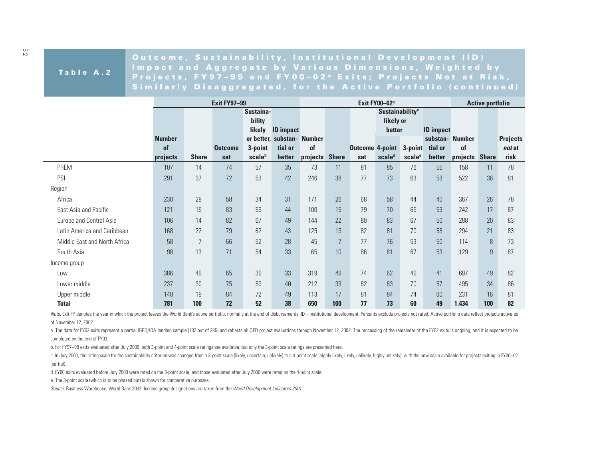5 2 **Outcome, Sustainability, Institutional Development (ID) Impact and Aggregate by Various Dimensions, Weighted by Projects, FY97–99 and FY00–02 <sup>a</sup> Exits; Projects Not at Risk, Similarly Disaggregated, for the Active Portfolio (continued)**

|                              | <b>Exit FY97-99</b> |                |                |                    |                            | Exit FY00-02 <sup>a</sup> |              |                        |                                   |                    |                  | <b>Active portfolio</b> |              |                 |
|------------------------------|---------------------|----------------|----------------|--------------------|----------------------------|---------------------------|--------------|------------------------|-----------------------------------|--------------------|------------------|-------------------------|--------------|-----------------|
|                              |                     |                |                | Sustaina-          |                            |                           |              |                        | <b>Sustainability<sup>c</sup></b> |                    |                  |                         |              |                 |
|                              |                     |                |                | bility             |                            |                           |              |                        | likely or                         |                    |                  |                         |              |                 |
|                              |                     |                |                | likely             | <b>ID impact</b>           |                           |              |                        | better                            |                    | <b>ID</b> impact |                         |              |                 |
|                              | <b>Number</b>       |                |                |                    | or better, substan- Number |                           |              |                        |                                   |                    | substan-Number   |                         |              | <b>Projects</b> |
|                              | <sub>of</sub>       |                | <b>Outcome</b> | 3-point            | tial or                    | <b>of</b>                 |              | <b>Outcome 4-point</b> |                                   | 3-point            | tial or          | of                      |              | not at          |
|                              | projects            | <b>Share</b>   | sat            | scale <sup>b</sup> | better                     | projects                  | <b>Share</b> | sat                    | scale <sup>d</sup>                | scale <sup>e</sup> | better           | projects                | <b>Share</b> | risk            |
| <b>PREM</b>                  | 107                 | 14             | 74             | 57                 | 35                         | 73                        | 11           | 81                     | 85                                | 76                 | 55               | 158                     | 11           | 78              |
| PSI                          | 291                 | 37             | 72             | 53                 | 42                         | 246                       | 38           | 77                     | 73                                | 63                 | 53               | 522                     | 36           | 81              |
| Region                       |                     |                |                |                    |                            |                           |              |                        |                                   |                    |                  |                         |              |                 |
| Africa                       | 230                 | 29             | 58             | 34                 | 31                         | 171                       | 26           | 68                     | 58                                | 44                 | 40               | 367                     | 26           | 78              |
| East Asia and Pacific        | 121                 | 15             | 83             | 56                 | 44                         | 100                       | 15           | 79                     | 70                                | 65                 | 53               | 242                     | 17           | 87              |
| Europe and Central Asia      | 106                 | 14             | 82             | 67                 | 49                         | 144                       | 22           | 80                     | 83                                | 67                 | 50               | 288                     | 20           | 83              |
| Latin America and Caribbean  | 168                 | 22             | 79             | 62                 | 43                         | 125                       | 19           | 82                     | 81                                | 70                 | 58               | 294                     | 21           | 83              |
| Middle East and North Africa | 58                  | $\overline{7}$ | 66             | 52                 | 28                         | 45                        | 7            | 77                     | 76                                | 53                 | 50               | 114                     | 8            | 73              |
| South Asia                   | 98                  | 13             | 71             | 54                 | 33                         | 65                        | 10           | 86                     | 81                                | 67                 | 53               | 129                     | 9            | 87              |
| Income group                 |                     |                |                |                    |                            |                           |              |                        |                                   |                    |                  |                         |              |                 |
| Low                          | 386                 | 49             | 65             | 39                 | 33                         | 319                       | 49           | 74                     | 62                                | 49                 | 41               | 697                     | 49           | 82              |
| Lower middle                 | 237                 | 30             | 75             | 59                 | 40                         | 212                       | 33           | 82                     | 83                                | 70                 | 57               | 495                     | 34           | 86              |
| Upper middle                 | 148                 | 19             | 84             | 72                 | 49                         | 113                       | 17           | 81                     | 84                                | 74                 | 60               | 231                     | 16           | 81              |
| <b>Total</b>                 | 781                 | 100            | 72             | 52                 | 38                         | 650                       | 100          | 77                     | 73                                | 60                 | 49               | 1,434                   | 100          | 82              |

Note: Exit FY denotes the year in which the project leaves the World Bank's active portfolio, normally at the end of disbursements. ID = institutional development. Percents exclude projects not rated. Active portfolio data of November 12, 2002.

a. The data for FY02 exits represent a partial IBRD/IDA lending sample (132 out of 285) and reflects all OED project evaluations through November 12, 2002. The processing of the remainder of the FY02 exits is ongoing, and completed by the end of FY03.

b. For FY97–99 exits evaluated after July 2000, both 3-point and 4-point scale ratings are available, but only the 3-point scale ratings are presented here.

c. In July 2000, the rating scale for the sustainability criterion was changed from a 3-point scale (likely, uncertain, unlikely) to a 4-point scale (lighly likely, unlikely) then y, unlikely, bikely, unlikely, highly unli (partial).

d. FY00 exits evaluated before July 2000 were rated on the 3-point scale, and those evaluated after July 2000 were rated on the 4-point scale.

e. The 3-point scale (which is to be phased out) is shown for comparative purposes.

*Source:* Business Warehouse, World Bank 2002. Income group designations are taken from the *World Development Indicators 2001*.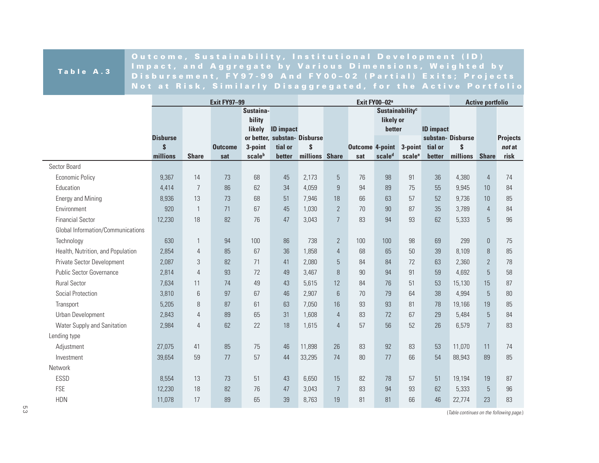# **Outcome, Sustainability, Institutional Development (ID) Impact, and Aggregate by Various Dimensions, Weighted by Disbursement, FY97-99 And FY00–02 (Partial) Exits; Projects Not at Risk, Similarly Disaggregated, for the Active Portfolio**

|                                   | <b>Exit FY97-99</b> |                |                |                    |                              | Exit FY00-02 <sup>a</sup> |                  |                         |                                   |                    |                  | <b>Active portfolio</b> |                 |                 |
|-----------------------------------|---------------------|----------------|----------------|--------------------|------------------------------|---------------------------|------------------|-------------------------|-----------------------------------|--------------------|------------------|-------------------------|-----------------|-----------------|
|                                   |                     |                |                | Sustaina-          |                              |                           |                  |                         | <b>Sustainability<sup>c</sup></b> |                    |                  |                         |                 |                 |
|                                   |                     |                |                | bility             | likely <b>ID</b> impact      |                           |                  |                         | likely or<br>better               |                    | <b>ID</b> impact |                         |                 |                 |
|                                   | <b>Disburse</b>     |                |                |                    | or better, substan- Disburse |                           |                  |                         |                                   |                    |                  | substan-Disburse        |                 | <b>Projects</b> |
|                                   | \$                  |                | <b>Outcome</b> | 3-point            | tial or                      | S                         |                  | Outcome 4-point 3-point |                                   |                    | tial or          | Ŝ                       |                 | not at          |
|                                   | millions            | <b>Share</b>   | sat            | scale <sup>b</sup> | better                       | millions Share            |                  | sat                     | scale <sup>d</sup>                | scale <sup>e</sup> | better           | millions                | <b>Share</b>    | risk            |
| Sector Board                      |                     |                |                |                    |                              |                           |                  |                         |                                   |                    |                  |                         |                 |                 |
| Economic Policy                   | 9,367               | 14             | 73             | 68                 | 45                           | 2,173                     | 5                | 76                      | 98                                | 91                 | 36               | 4,380                   | $\overline{4}$  | 74              |
| Education                         | 4,414               | $\overline{7}$ | 86             | 62                 | 34                           | 4,059                     | $\boldsymbol{9}$ | 94                      | 89                                | 75                 | 55               | 9,945                   | 10 <sup>°</sup> | 84              |
| <b>Energy and Mining</b>          | 8,936               | 13             | 73             | 68                 | 51                           | 7.946                     | 18               | 66                      | 63                                | 57                 | 52               | 9,736                   | 10 <sup>1</sup> | 85              |
| Environment                       | 920                 | $\overline{1}$ | 71             | 67                 | 45                           | 1,030                     | $\overline{2}$   | 70                      | 90                                | 87                 | 35               | 3,789                   | $\overline{4}$  | 84              |
| <b>Financial Sector</b>           | 12,230              | 18             | 82             | 76                 | 47                           | 3,043                     | $7\overline{ }$  | 83                      | 94                                | 93                 | 62               | 5,333                   | 5               | 96              |
| Global Information/Communications |                     |                |                |                    |                              |                           |                  |                         |                                   |                    |                  |                         |                 |                 |
| Technology                        | 630                 | $\mathbf{1}$   | 94             | 100                | 86                           | 738                       | $\overline{2}$   | 100                     | 100                               | 98                 | 69               | 299                     | $\overline{0}$  | 75              |
| Health, Nutrition, and Population | 2,854               | 4              | 85             | 67                 | 36                           | 1,858                     | $\overline{4}$   | 68                      | 65                                | 50                 | 39               | 8,109                   | 8               | 85              |
| Private Sector Development        | 2,087               | $\mathfrak{Z}$ | 82             | 71                 | 41                           | 2,080                     | 5                | 84                      | 84                                | 72                 | 63               | 2,360                   | $\overline{2}$  | 78              |
| <b>Public Sector Governance</b>   | 2,814               | $\overline{4}$ | 93             | 72                 | 49                           | 3,467                     | 8                | 90                      | 94                                | 91                 | 59               | 4,692                   | 5               | 58              |
| <b>Rural Sector</b>               | 7,634               | 11             | 74             | 49                 | 43                           | 5,615                     | 12               | 84                      | 76                                | 51                 | 53               | 15,130                  | 15              | 87              |
| <b>Social Protection</b>          | 3,810               | $6\phantom{1}$ | 97             | 67                 | 46                           | 2,907                     | 6                | 70                      | 79                                | 64                 | 38               | 4,994                   | 5               | 80              |
| Transport                         | 5,205               | 8              | 87             | 61                 | 63                           | 7,050                     | 16               | 93                      | 93                                | 81                 | 78               | 19,166                  | 19              | 85              |
| Urban Development                 | 2,843               | 4              | 89             | 65                 | 31                           | 1.608                     | $\overline{4}$   | 83                      | 72                                | 67                 | 29               | 5,484                   | 5               | 84              |
| Water Supply and Sanitation       | 2,984               | $\overline{4}$ | 62             | 22                 | 18                           | 1,615                     | $\overline{4}$   | 57                      | 56                                | 52                 | 26               | 6,579                   | $\overline{7}$  | 83              |
| Lending type                      |                     |                |                |                    |                              |                           |                  |                         |                                   |                    |                  |                         |                 |                 |
| Adjustment                        | 27,075              | 41             | 85             | 75                 | 46                           | 11,898                    | 26               | 83                      | 92                                | 83                 | 53               | 11,070                  | 11              | 74              |
| Investment                        | 39,654              | 59             | 77             | 57                 | 44                           | 33,295                    | 74               | 80                      | 77                                | 66                 | 54               | 88,943                  | 89              | 85              |
| Network                           |                     |                |                |                    |                              |                           |                  |                         |                                   |                    |                  |                         |                 |                 |
| ESSD                              | 8,554               | 13             | 73             | 51                 | 43                           | 6,650                     | 15               | 82                      | 78                                | 57                 | 51               | 19,194                  | 19              | 87              |
| <b>FSE</b>                        | 12,230              | 18             | 82             | 76                 | 47                           | 3,043                     | $\overline{7}$   | 83                      | 94                                | 93                 | 62               | 5,333                   | $\overline{5}$  | 96              |
| <b>HDN</b>                        | 11,078              | 17             | 89             | 65                 | 39                           | 8,763                     | 19               | 81                      | 81                                | 66                 | 46               | 22,774                  | 23              | 83              |

(*Table continues on the following page.*)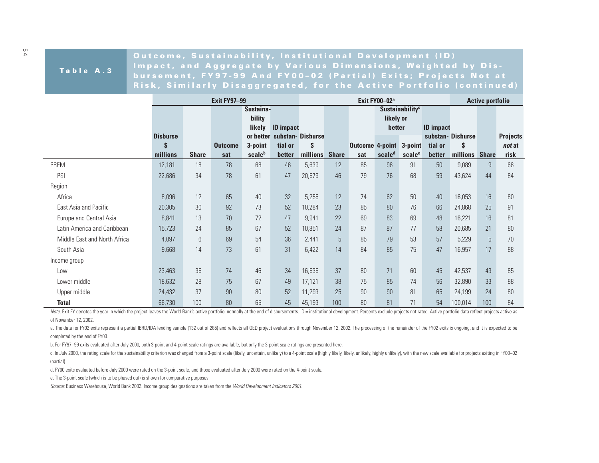# 5 4 **Outcome, Sustainability, Institutional Development (ID) Impact, and Aggregate by Various Dimensions, Weighted by Disbursement, FY97-99 And FY00–02 (Partial) Exits; Projects Not at Risk, Similarly Disaggregated, for the Active Portfolio (continued)**

|                              | <b>Exit FY97-99</b> |              |                |           |                  | Exit FY00-02 <sup>a</sup> |              |                                |                    |                                   |                  | <b>Active portfolio</b> |              |                 |
|------------------------------|---------------------|--------------|----------------|-----------|------------------|---------------------------|--------------|--------------------------------|--------------------|-----------------------------------|------------------|-------------------------|--------------|-----------------|
|                              |                     |              |                | Sustaina- |                  |                           |              |                                |                    | <b>Sustainability<sup>c</sup></b> |                  |                         |              |                 |
|                              |                     |              |                | bility    |                  |                           |              |                                | likely or          |                                   |                  |                         |              |                 |
|                              |                     |              |                | likely    | <b>ID</b> impact |                           |              |                                | better             |                                   | <b>ID</b> impact |                         |              |                 |
|                              | <b>Disburse</b>     |              |                | or better | substan-Disburse |                           |              |                                |                    |                                   |                  | substan-Disburse        |              | <b>Projects</b> |
|                              | \$                  |              | <b>Outcome</b> | 3-point   | tial or          | \$                        |              | <b>Outcome 4-point 3-point</b> |                    |                                   | tial or          | S                       |              | not at          |
|                              | millions            | <b>Share</b> | sat            | scaleb    | better           | millions                  | <b>Share</b> | sat                            | scale <sup>d</sup> | scale <sup>e</sup>                | better           | millions                | <b>Share</b> | risk            |
| PREM                         | 12,181              | 18           | 78             | 68        | 46               | 5,639                     | 12           | 85                             | 96                 | 91                                | 50               | 9,089                   | 9            | 66              |
| PSI                          | 22,686              | 34           | 78             | 61        | 47               | 20,579                    | 46           | 79                             | 76                 | 68                                | 59               | 43,624                  | 44           | 84              |
| Region                       |                     |              |                |           |                  |                           |              |                                |                    |                                   |                  |                         |              |                 |
| Africa                       | 8,096               | 12           | 65             | 40        | 32               | 5,255                     | 12           | 74                             | 62                 | 50                                | 40               | 16,053                  | 16           | 80              |
| East Asia and Pacific        | 20,305              | 30           | 92             | 73        | 52               | 10,284                    | 23           | 85                             | 80                 | 76                                | 66               | 24,868                  | 25           | 91              |
| Europe and Central Asia      | 8,841               | 13           | 70             | 72        | 47               | 9,941                     | 22           | 69                             | 83                 | 69                                | 48               | 16,221                  | 16           | 81              |
| Latin America and Caribbean  | 15,723              | 24           | 85             | 67        | 52               | 10,851                    | 24           | 87                             | 87                 | 77                                | 58               | 20,685                  | 21           | 80              |
| Middle East and North Africa | 4,097               | 6            | 69             | 54        | 36               | 2,441                     | 5            | 85                             | 79                 | 53                                | 57               | 5,229                   | 5            | 70              |
| South Asia                   | 9,668               | 14           | 73             | 61        | 31               | 6,422                     | 14           | 84                             | 85                 | 75                                | 47               | 16,957                  | 17           | 88              |
| Income group                 |                     |              |                |           |                  |                           |              |                                |                    |                                   |                  |                         |              |                 |
| Low                          | 23,463              | 35           | 74             | 46        | 34               | 16,535                    | 37           | 80                             | 71                 | 60                                | 45               | 42,537                  | 43           | 85              |
| Lower middle                 | 18,632              | 28           | 75             | 67        | 49               | 17,121                    | 38           | 75                             | 85                 | 74                                | 56               | 32,890                  | 33           | 88              |
| Upper middle                 | 24,432              | 37           | 90             | 80        | 52               | 11,293                    | 25           | 90                             | 90                 | 81                                | 65               | 24,199                  | 24           | 80              |
| <b>Total</b>                 | 66,730              | 100          | 80             | 65        | 45               | 45,193                    | 100          | 80                             | 81                 | 71                                | 54               | 100,014                 | 100          | 84              |

Note: Exit FY denotes the year in which the project leaves the World Bank's active portfolio, normally at the end of disbursements. ID = institutional development. Percents exclude projects not rated. Active portfolio data of November 12, 2002.

a. The data for FY02 exits represent a partial IBRD/IDA lending sample (132 out of 285) and reflects all OED project evaluations through November 12, 2002. The processing of the remainder of the FY02 exits is ongoing, and completed by the end of FY03.

b. For FY97–99 exits evaluated after July 2000, both 3-point and 4-point scale ratings are available, but only the 3-point scale ratings are presented here.

c. In July 2000, the rating scale for the sustainability criterion was changed from a 3-point scale (likely, uncertain, unlikely) to a 4-point scale (highly likely, likely, unlikely) to it ally likely, unlikely, bighly unl (partial).

d. FY00 exits evaluated before July 2000 were rated on the 3-point scale, and those evaluated after July 2000 were rated on the 4-point scale.

e. The 3-point scale (which is to be phased out) is shown for comparative purposes.

*Source:* Business Warehouse, World Bank 2002. Income group designations are taken from the *World Development Indicators 2001*.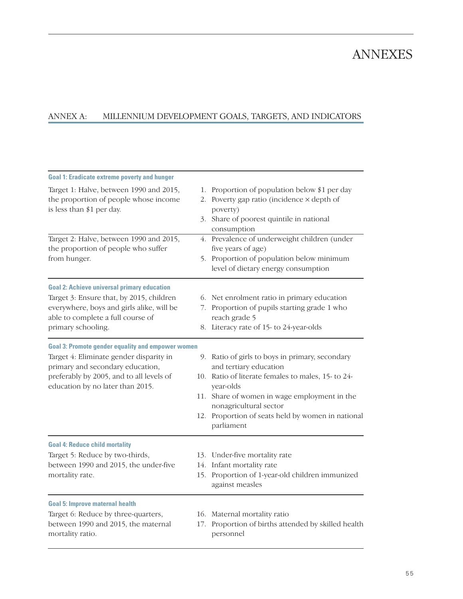# ANNEXES

# ANNEX A: MILLENNIUM DEVELOPMENT GOALS, TARGETS, AND INDICATORS

| <b>Goal 1: Eradicate extreme poverty and hunger</b>                                                                        |                                                                                                                                                                           |
|----------------------------------------------------------------------------------------------------------------------------|---------------------------------------------------------------------------------------------------------------------------------------------------------------------------|
| Target 1: Halve, between 1990 and 2015,<br>the proportion of people whose income<br>is less than \$1 per day.              | 1. Proportion of population below \$1 per day<br>2. Poverty gap ratio (incidence $\times$ depth of<br>poverty)<br>3. Share of poorest quintile in national<br>consumption |
| Target 2: Halve, between 1990 and 2015,<br>the proportion of people who suffer                                             | 4. Prevalence of underweight children (under<br>five years of age)                                                                                                        |
| from hunger.                                                                                                               | 5. Proportion of population below minimum<br>level of dietary energy consumption                                                                                          |
| <b>Goal 2: Achieve universal primary education</b>                                                                         |                                                                                                                                                                           |
| Target 3: Ensure that, by 2015, children<br>everywhere, boys and girls alike, will be<br>able to complete a full course of | 6. Net enrolment ratio in primary education<br>7. Proportion of pupils starting grade 1 who<br>reach grade 5                                                              |
| primary schooling.                                                                                                         | 8. Literacy rate of 15- to 24-year-olds                                                                                                                                   |
| <b>Goal 3: Promote gender equality and empower women</b>                                                                   |                                                                                                                                                                           |
| Target 4: Eliminate gender disparity in<br>primary and secondary education,<br>preferably by 2005, and to all levels of    | 9. Ratio of girls to boys in primary, secondary<br>and tertiary education<br>10. Ratio of literate females to males, 15- to 24-                                           |
| education by no later than 2015.                                                                                           | year-olds                                                                                                                                                                 |
|                                                                                                                            | 11. Share of women in wage employment in the<br>nonagricultural sector                                                                                                    |
|                                                                                                                            | 12. Proportion of seats held by women in national<br>parliament                                                                                                           |
| <b>Goal 4: Reduce child mortality</b>                                                                                      |                                                                                                                                                                           |
| Target 5: Reduce by two-thirds,                                                                                            | 13. Under-five mortality rate                                                                                                                                             |
| between 1990 and 2015, the under-five<br>mortality rate.                                                                   | 14. Infant mortality rate<br>15. Proportion of 1-year-old children immunized<br>against measles                                                                           |
| <b>Goal 5: Improve maternal health</b>                                                                                     |                                                                                                                                                                           |
| Target 6: Reduce by three-quarters,<br>between 1990 and 2015, the maternal<br>mortality ratio.                             | 16. Maternal mortality ratio<br>17. Proportion of births attended by skilled health<br>personnel                                                                          |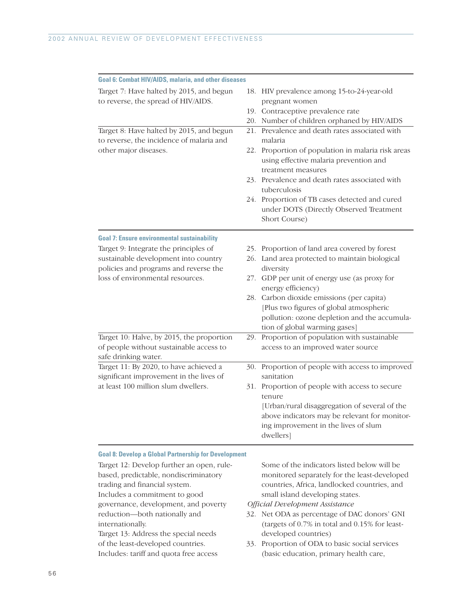| <b>Goal 6: Combat HIV/AIDS, malaria, and other diseases</b>                                                                                                                                                         |     |                                                                                                                                                                                                                             |  |  |  |  |
|---------------------------------------------------------------------------------------------------------------------------------------------------------------------------------------------------------------------|-----|-----------------------------------------------------------------------------------------------------------------------------------------------------------------------------------------------------------------------------|--|--|--|--|
| Target 7: Have halted by 2015, and begun<br>to reverse, the spread of HIV/AIDS.                                                                                                                                     |     | 18. HIV prevalence among 15-to-24-year-old<br>pregnant women<br>19. Contraceptive prevalence rate<br>20. Number of children orphaned by HIV/AIDS                                                                            |  |  |  |  |
| Target 8: Have halted by 2015, and begun                                                                                                                                                                            |     | 21. Prevalence and death rates associated with                                                                                                                                                                              |  |  |  |  |
| to reverse, the incidence of malaria and<br>other major diseases.                                                                                                                                                   |     | malaria<br>22.<br>Proportion of population in malaria risk areas<br>using effective malaria prevention and<br>treatment measures                                                                                            |  |  |  |  |
|                                                                                                                                                                                                                     |     | 23. Prevalence and death rates associated with<br>tuberculosis                                                                                                                                                              |  |  |  |  |
|                                                                                                                                                                                                                     |     | 24. Proportion of TB cases detected and cured<br>under DOTS (Directly Observed Treatment<br>Short Course)                                                                                                                   |  |  |  |  |
| <b>Goal 7: Ensure environmental sustainability</b>                                                                                                                                                                  |     |                                                                                                                                                                                                                             |  |  |  |  |
| Target 9: Integrate the principles of<br>sustainable development into country<br>policies and programs and reverse the<br>loss of environmental resources.                                                          | 27. | 25. Proportion of land area covered by forest<br>26. Land area protected to maintain biological<br>diversity<br>GDP per unit of energy use (as proxy for<br>energy efficiency)<br>28. Carbon dioxide emissions (per capita) |  |  |  |  |
|                                                                                                                                                                                                                     |     | [Plus two figures of global atmospheric<br>pollution: ozone depletion and the accumula-<br>tion of global warming gases]                                                                                                    |  |  |  |  |
| Target 10: Halve, by 2015, the proportion<br>of people without sustainable access to<br>safe drinking water.                                                                                                        |     | 29. Proportion of population with sustainable<br>access to an improved water source                                                                                                                                         |  |  |  |  |
| Target 11: By 2020, to have achieved a<br>significant improvement in the lives of                                                                                                                                   |     | 30. Proportion of people with access to improved<br>sanitation                                                                                                                                                              |  |  |  |  |
| at least 100 million slum dwellers.                                                                                                                                                                                 | 31. | Proportion of people with access to secure<br>tenure<br>[Urban/rural disaggregation of several of the<br>above indicators may be relevant for monitor-<br>ing improvement in the lives of slum<br>dwellers]                 |  |  |  |  |
| <b>Goal 8: Develop a Global Partnership for Development</b><br>Target 12: Develop further an open, rule-<br>based, predictable, nondiscriminatory<br>trading and financial system.<br>Includes a commitment to good |     | Some of the indicators listed below will be<br>monitored separately for the least-developed<br>countries, Africa, landlocked countries, and<br>small island developing states.                                              |  |  |  |  |

governance, development, and poverty *Official Development Assistance*

- reduction—both nationally and 32. Net ODA as percentage of DAC donors' GNI internationally. (targets of 0.7% in total and 0.15% for least-Target 13: Address the special needs developed countries)
- of the least-developed countries. 33. Proportion of ODA to basic social services Includes: tariff and quota free access (basic education, primary health care,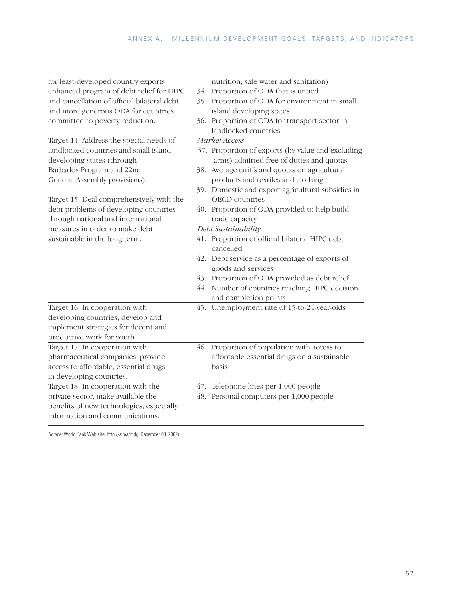| for least-developed country exports;         |
|----------------------------------------------|
| enhanced program of debt relief for HIPC     |
| and cancellation of official bilateral debt; |
| and more generous ODA for countries          |
| committed to poverty reduction.              |

Target 14: Address the special needs of *Market Access*  General Assembly provisions). products and textiles and clothing

Target 15: Deal comprehensively with the OECD countries through national and international trade capacity measures in order to make debt *Debt Sustainability* 

nutrition, safe water and sanitation)

- 34. Proportion of ODA that is untied
- 35. Proportion of ODA for environment in small island developing states
- 36. Proportion of ODA for transport sector in landlocked countries

- landlocked countries and small island 37. Proportion of exports (by value and excluding developing states (through arms) admitted free of duties and quotas
- Barbados Program and 22nd 38. Average tariffs and quotas on agricultural
	- 39. Domestic and export agricultural subsidies in
- debt problems of developing countries 40. Proportion of ODA provided to help build

- sustainable in the long term. 41. Proportion of official bilateral HIPC debt cancelled
	- 42. Debt service as a percentage of exports of goods and services
	- 43. Proportion of ODA provided as debt relief
	- 44. Number of countries reaching HIPC decision and completion points

| Target 16: In cooperation with           |     | 45. Unemployment rate of 15-to-24-year-olds |
|------------------------------------------|-----|---------------------------------------------|
| developing countries, develop and        |     |                                             |
| implement strategies for decent and      |     |                                             |
| productive work for youth.               |     |                                             |
| Target 17: In cooperation with           |     | 46. Proportion of population with access to |
| pharmaceutical companies, provide        |     | affordable essential drugs on a sustainable |
| access to affordable, essential drugs    |     | basis                                       |
| in developing countries.                 |     |                                             |
| Target 18: In cooperation with the       | 47. | Telephone lines per 1,000 people            |
| private sector, make available the       |     | 48. Personal computers per 1,000 people     |
| benefits of new technologies, especially |     |                                             |
| information and communications.          |     |                                             |

*Source:* World Bank Web site, http://sima/mdg (December 08, 2002).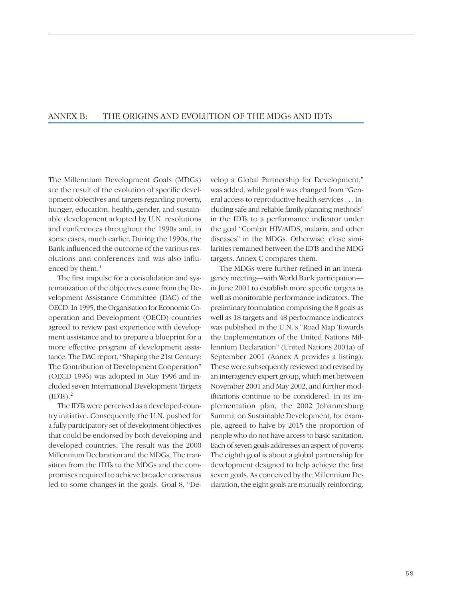# ANNEX B: THE ORIGINS AND EVOLUTION OF THE MDGS AND IDTS

The Millennium Development Goals (MDGs) are the result of the evolution of specific development objectives and targets regarding poverty, hunger, education, health, gender, and sustainable development adopted by U.N. resolutions and conferences throughout the 1990s and, in some cases, much earlier. During the 1990s, the Bank influenced the outcome of the various resolutions and conferences and was also influenced by them.<sup>1</sup>

The first impulse for a consolidation and systematization of the objectives came from the Development Assistance Committee (DAC) of the OECD. In 1995, the Organisation for Economic Cooperation and Development (OECD) countries agreed to review past experience with development assistance and to prepare a blueprint for a more effective program of development assistance. The DAC report, "Shaping the 21st Century: The Contribution of Development Cooperation" (OECD 1996) was adopted in May 1996 and included seven International Development Targets  $(IDTs).<sup>2</sup>$ 

The IDTs were perceived as a developed-country initiative. Consequently, the U.N. pushed for a fully participatory set of development objectives that could be endorsed by both developing and developed countries. The result was the 2000 Millennium Declaration and the MDGs. The transition from the IDTs to the MDGs and the compromises required to achieve broader consensus led to some changes in the goals. Goal 8, "Develop a Global Partnership for Development," was added, while goal 6 was changed from "General access to reproductive health services . . . including safe and reliable family planning methods" in the IDTs to a performance indicator under the goal "Combat HIV/AIDS, malaria, and other diseases" in the MDGs. Otherwise, close similarities remained between the IDTs and the MDG targets. Annex C compares them.

The MDGs were further refined in an interagency meeting—with World Bank participation in June 2001 to establish more specific targets as well as monitorable performance indicators. The preliminary formulation comprising the 8 goals as well as 18 targets and 48 performance indicators was published in the U.N.'s "Road Map Towards the Implementation of the United Nations Millennium Declaration" (United Nations 2001a) of September 2001 (Annex A provides a listing). These were subsequently reviewed and revised by an interagency expert group, which met between November 2001 and May 2002, and further modifications continue to be considered. In its implementation plan, the 2002 Johannesburg Summit on Sustainable Development, for example, agreed to halve by 2015 the proportion of people who do not have access to basic sanitation. Each of seven goals addresses an aspect of poverty. The eighth goal is about a global partnership for development designed to help achieve the first seven goals. As conceived by the Millennium Declaration, the eight goals are mutually reinforcing.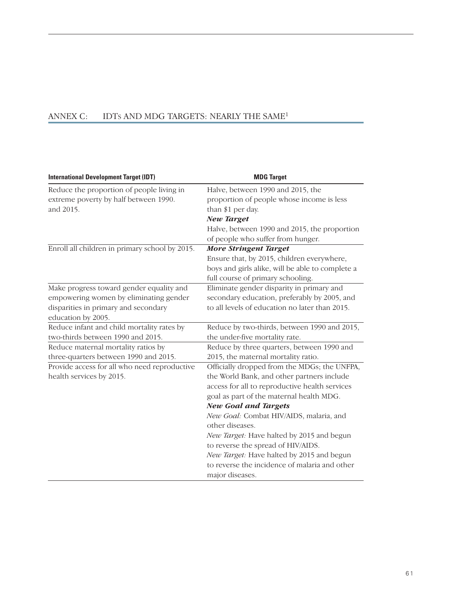# ANNEX C: IDTs AND MDG TARGETS: NEARLY THE SAME<sup>1</sup>

| <b>International Development Target (IDT)</b>  | <b>MDG Target</b>                                |  |  |  |  |  |  |
|------------------------------------------------|--------------------------------------------------|--|--|--|--|--|--|
| Reduce the proportion of people living in      | Halve, between 1990 and 2015, the                |  |  |  |  |  |  |
| extreme poverty by half between 1990.          | proportion of people whose income is less        |  |  |  |  |  |  |
| and 2015.                                      | than \$1 per day.                                |  |  |  |  |  |  |
|                                                | <b>New Target</b>                                |  |  |  |  |  |  |
|                                                | Halve, between 1990 and 2015, the proportion     |  |  |  |  |  |  |
|                                                | of people who suffer from hunger.                |  |  |  |  |  |  |
| Enroll all children in primary school by 2015. | <b>More Stringent Target</b>                     |  |  |  |  |  |  |
|                                                | Ensure that, by 2015, children everywhere,       |  |  |  |  |  |  |
|                                                | boys and girls alike, will be able to complete a |  |  |  |  |  |  |
|                                                | full course of primary schooling.                |  |  |  |  |  |  |
| Make progress toward gender equality and       | Eliminate gender disparity in primary and        |  |  |  |  |  |  |
| empowering women by eliminating gender         | secondary education, preferably by 2005, and     |  |  |  |  |  |  |
| disparities in primary and secondary           | to all levels of education no later than 2015.   |  |  |  |  |  |  |
| education by 2005.                             |                                                  |  |  |  |  |  |  |
| Reduce infant and child mortality rates by     | Reduce by two-thirds, between 1990 and 2015,     |  |  |  |  |  |  |
| two-thirds between 1990 and 2015.              | the under-five mortality rate.                   |  |  |  |  |  |  |
| Reduce maternal mortality ratios by            | Reduce by three quarters, between 1990 and       |  |  |  |  |  |  |
| three-quarters between 1990 and 2015.          | 2015, the maternal mortality ratio.              |  |  |  |  |  |  |
| Provide access for all who need reproductive   | Officially dropped from the MDGs; the UNFPA,     |  |  |  |  |  |  |
| health services by 2015.                       | the World Bank, and other partners include       |  |  |  |  |  |  |
|                                                | access for all to reproductive health services   |  |  |  |  |  |  |
|                                                | goal as part of the maternal health MDG.         |  |  |  |  |  |  |
|                                                | <b>New Goal and Targets</b>                      |  |  |  |  |  |  |
|                                                | New Goal: Combat HIV/AIDS, malaria, and          |  |  |  |  |  |  |
|                                                | other diseases.                                  |  |  |  |  |  |  |
|                                                | New Target: Have halted by 2015 and begun        |  |  |  |  |  |  |
|                                                | to reverse the spread of HIV/AIDS.               |  |  |  |  |  |  |
|                                                | New Target: Have halted by 2015 and begun        |  |  |  |  |  |  |
|                                                | to reverse the incidence of malaria and other    |  |  |  |  |  |  |
|                                                | major diseases.                                  |  |  |  |  |  |  |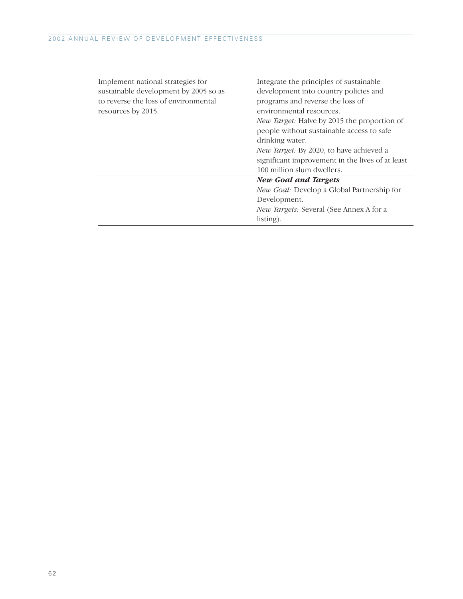| Implement national strategies for<br>sustainable development by 2005 so as<br>to reverse the loss of environmental<br>resources by 2015. | Integrate the principles of sustainable<br>development into country policies and<br>programs and reverse the loss of<br>environmental resources.<br>New Target: Halve by 2015 the proportion of<br>people without sustainable access to safe<br>drinking water.<br>New Target: By 2020, to have achieved a<br>significant improvement in the lives of at least<br>100 million slum dwellers. |
|------------------------------------------------------------------------------------------------------------------------------------------|----------------------------------------------------------------------------------------------------------------------------------------------------------------------------------------------------------------------------------------------------------------------------------------------------------------------------------------------------------------------------------------------|
|                                                                                                                                          | <b>New Goal and Targets</b><br>New Goal: Develop a Global Partnership for<br>Development.<br><i>New Targets:</i> Several (See Annex A for a<br>listing).                                                                                                                                                                                                                                     |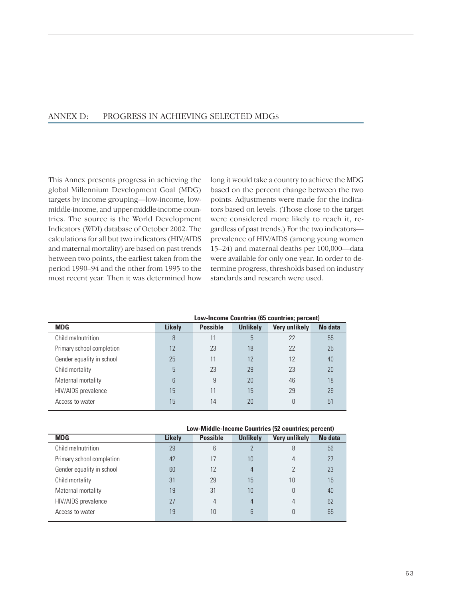### ANNEX D: PROGRESS IN ACHIEVING SELECTED MDGS

This Annex presents progress in achieving the global Millennium Development Goal (MDG) targets by income grouping—low-income, lowmiddle-income, and upper-middle-income countries. The source is the World Development Indicators (WDI) database of October 2002. The calculations for all but two indicators (HIV/AIDS and maternal mortality) are based on past trends between two points, the earliest taken from the period 1990–94 and the other from 1995 to the most recent year. Then it was determined how

long it would take a country to achieve the MDG based on the percent change between the two points. Adjustments were made for the indicators based on levels. (Those close to the target were considered more likely to reach it, regardless of past trends.) For the two indicators prevalence of HIV/AIDS (among young women 15–24) and maternal deaths per 100,000—data were available for only one year. In order to determine progress, thresholds based on industry standards and research were used.

|                           | Low-Income Countries (65 countries; percent) |                 |                 |                      |         |  |  |  |  |  |  |
|---------------------------|----------------------------------------------|-----------------|-----------------|----------------------|---------|--|--|--|--|--|--|
| <b>MDG</b>                | <b>Likely</b>                                | <b>Possible</b> | <b>Unlikely</b> | <b>Very unlikely</b> | No data |  |  |  |  |  |  |
| Child malnutrition        | 8                                            | 11              | 5               | 22                   | 55      |  |  |  |  |  |  |
| Primary school completion | 12                                           | 23              | 18              | 22                   | 25      |  |  |  |  |  |  |
| Gender equality in school | 25                                           | 11              | 12              | 12                   | 40      |  |  |  |  |  |  |
| Child mortality           | 5                                            | 23              | 29              | 23                   | 20      |  |  |  |  |  |  |
| Maternal mortality        | 6                                            | 9               | 20              | 46                   | 18      |  |  |  |  |  |  |
| HIV/AIDS prevalence       | 15                                           | 11              | 15              | 29                   | 29      |  |  |  |  |  |  |
| Access to water           | 15                                           | 14              | 20              | 0                    | 51      |  |  |  |  |  |  |
|                           |                                              |                 |                 |                      |         |  |  |  |  |  |  |

|                           | Low-Middle-Income Countries (52 countries; percent) |                 |                 |                      |         |  |  |
|---------------------------|-----------------------------------------------------|-----------------|-----------------|----------------------|---------|--|--|
| <b>MDG</b>                | Likely                                              | <b>Possible</b> | <b>Unlikely</b> | <b>Very unlikely</b> | No data |  |  |
| Child malnutrition        | 29                                                  | 6               | 2               | 8                    | 56      |  |  |
| Primary school completion | 42                                                  | 17              | 10              | 4                    | 27      |  |  |
| Gender equality in school | 60                                                  | 12              | $\overline{4}$  |                      | 23      |  |  |
| Child mortality           | 31                                                  | 29              | 15              | 10                   | 15      |  |  |
| Maternal mortality        | 19                                                  | 31              | 10              | 0                    | 40      |  |  |
| HIV/AIDS prevalence       | 27                                                  | 4               | $\overline{4}$  | 4                    | 62      |  |  |
| Access to water           | 19                                                  | 10              | 6               | Ŋ                    | 65      |  |  |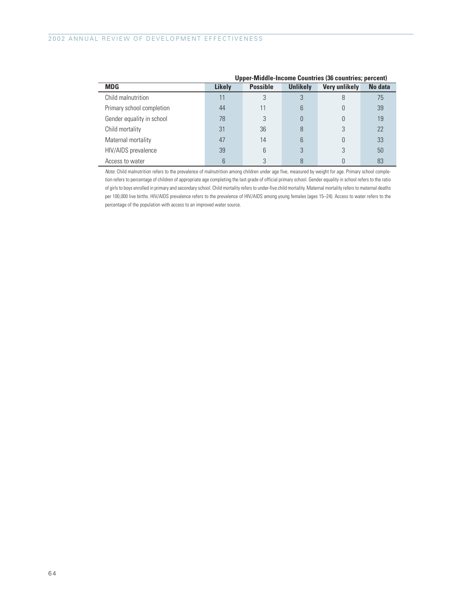## 2002 ANNUAL REVIEW OF DEVELOPMENT EFFECTIVENESS

|                           | oppor minute moonid opuntinos (ou countries, poroont) |                 |                 |                      |         |  |  |
|---------------------------|-------------------------------------------------------|-----------------|-----------------|----------------------|---------|--|--|
| <b>MDG</b>                | <b>Likely</b>                                         | <b>Possible</b> | <b>Unlikely</b> | <b>Very unlikely</b> | No data |  |  |
| Child malnutrition        |                                                       |                 |                 | 8                    | 75      |  |  |
| Primary school completion | 44                                                    | 11              | 6               | 0                    | 39      |  |  |
| Gender equality in school | 78                                                    |                 |                 |                      | 19      |  |  |
| Child mortality           | 31                                                    | 36              | 8               |                      | 22      |  |  |
| Maternal mortality        | 47                                                    | 14              | 6               | 0                    | 33      |  |  |
| HIV/AIDS prevalence       | 39                                                    | 6               |                 |                      | 50      |  |  |
| Access to water           | 6                                                     |                 |                 |                      | 83      |  |  |

#### **Upper-Middle-Income Countries (36 countries; percent)**

*Note:* Child malnutrition refers to the prevalence of malnutrition among children under age five, measured by weight for age. Primary school completion refers to percentage of children of appropriate age completing the last grade of official primary school. Gender equality in school refers to the ratio of girls to boys enrolled in primary and secondary school. Child mortality refers to under-five child mortality. Maternal mortality refers to maternal deaths per 100,000 live births. HIV/AIDS prevalence refers to the prevalence of HIV/AIDS among young females (ages 15–24). Access to water refers to the percentage of the population with access to an improved water source.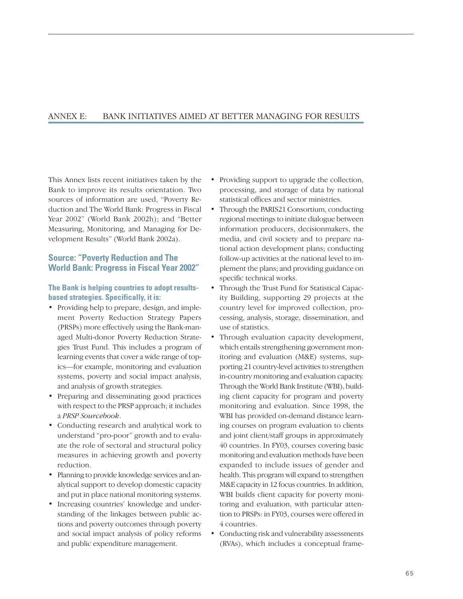# ANNEX E: BANK INITIATIVES AIMED AT BETTER MANAGING FOR RESULTS

This Annex lists recent initiatives taken by the Bank to improve its results orientation. Two sources of information are used, "Poverty Reduction and The World Bank: Progress in Fiscal Year 2002" (World Bank 2002h); and "Better Measuring, Monitoring, and Managing for Development Results" (World Bank 2002a).

# **Source: "Poverty Reduction and The World Bank: Progress in Fiscal Year 2002"**

## **The Bank is helping countries to adopt resultsbased strategies. Specifically, it is:**

- Providing help to prepare, design, and implement Poverty Reduction Strategy Papers (PRSPs) more effectively using the Bank-managed Multi-donor Poverty Reduction Strategies Trust Fund. This includes a program of learning events that cover a wide range of topics—for example, monitoring and evaluation systems, poverty and social impact analysis, and analysis of growth strategies.
- Preparing and disseminating good practices with respect to the PRSP approach; it includes a *PRSP Sourcebook*.
- Conducting research and analytical work to understand "pro-poor" growth and to evaluate the role of sectoral and structural policy measures in achieving growth and poverty reduction.
- Planning to provide knowledge services and analytical support to develop domestic capacity and put in place national monitoring systems.
- Increasing countries' knowledge and understanding of the linkages between public actions and poverty outcomes through poverty and social impact analysis of policy reforms and public expenditure management.
- Providing support to upgrade the collection, processing, and storage of data by national statistical offices and sector ministries.
- Through the PARIS21 Consortium, conducting regional meetings to initiate dialogue between information producers, decisionmakers, the media, and civil society and to prepare national action development plans; conducting follow-up activities at the national level to implement the plans; and providing guidance on specific technical works.
- Through the Trust Fund for Statistical Capacity Building, supporting 29 projects at the country level for improved collection, processing, analysis, storage, dissemination, and use of statistics.
- Through evaluation capacity development, which entails strengthening government monitoring and evaluation (M&E) systems, supporting 21 country-level activities to strengthen in-country monitoring and evaluation capacity. Through the World Bank Institute (WBI), building client capacity for program and poverty monitoring and evaluation. Since 1998, the WBI has provided on-demand distance learning courses on program evaluation to clients and joint client/staff groups in approximately 40 countries. In FY03, courses covering basic monitoring and evaluation methods have been expanded to include issues of gender and health. This program will expand to strengthen M&E capacity in 12 focus countries. In addition, WBI builds client capacity for poverty monitoring and evaluation, with particular attention to PRSPs: in FY03, courses were offered in 4 countries.
- Conducting risk and vulnerability assessments (RVAs), which includes a conceptual frame-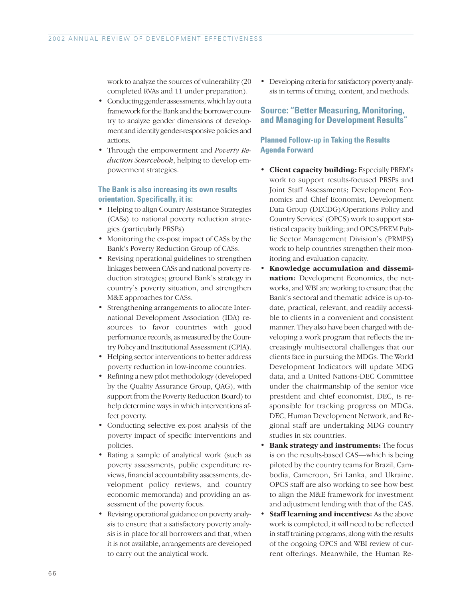work to analyze the sources of vulnerability (20 completed RVAs and 11 under preparation).

- Conducting gender assessments, which lay out a framework for the Bank and the borrower country to analyze gender dimensions of development and identify gender-responsive policies and actions.
- Through the empowerment and *Poverty Reduction Sourcebook*, helping to develop empowerment strategies.

#### **The Bank is also increasing its own results orientation. Specifically, it is:**

- Helping to align Country Assistance Strategies (CASs) to national poverty reduction strategies (particularly PRSPs)
- Monitoring the ex-post impact of CASs by the Bank's Poverty Reduction Group of CASs.
- Revising operational guidelines to strengthen linkages between CASs and national poverty reduction strategies; ground Bank's strategy in country's poverty situation, and strengthen M&E approaches for CASs.
- Strengthening arrangements to allocate International Development Association (IDA) resources to favor countries with good performance records, as measured by the Country Policy and Institutional Assessment (CPIA).
- Helping sector interventions to better address poverty reduction in low-income countries.
- Refining a new pilot methodology (developed by the Quality Assurance Group, QAG), with support from the Poverty Reduction Board) to help determine ways in which interventions affect poverty.
- Conducting selective ex-post analysis of the poverty impact of specific interventions and policies.
- Rating a sample of analytical work (such as poverty assessments, public expenditure reviews, financial accountability assessments, development policy reviews, and country economic memoranda) and providing an assessment of the poverty focus.
- Revising operational guidance on poverty analysis to ensure that a satisfactory poverty analysis is in place for all borrowers and that, when it is not available, arrangements are developed to carry out the analytical work.

• Developing criteria for satisfactory poverty analysis in terms of timing, content, and methods.

# **Source: "Better Measuring, Monitoring, and Managing for Development Results"**

## **Planned Follow-up in Taking the Results Agenda Forward**

- **Client capacity building:** Especially PREM's work to support results-focused PRSPs and Joint Staff Assessments; Development Economics and Chief Economist, Development Data Group (DECDG)/Operations Policy and Country Services' (OPCS) work to support statistical capacity building; and OPCS/PREM Public Sector Management Division's (PRMPS) work to help countries strengthen their monitoring and evaluation capacity.
- **Knowledge accumulation and dissemination:** Development Economics, the networks, and WBI are working to ensure that the Bank's sectoral and thematic advice is up-todate, practical, relevant, and readily accessible to clients in a convenient and consistent manner. They also have been charged with developing a work program that reflects the increasingly multisectoral challenges that our clients face in pursuing the MDGs. The World Development Indicators will update MDG data, and a United Nations-DEC Committee under the chairmanship of the senior vice president and chief economist, DEC, is responsible for tracking progress on MDGs. DEC, Human Development Network, and Regional staff are undertaking MDG country studies in six countries.
- **Bank strategy and instruments:** The focus is on the results-based CAS—which is being piloted by the country teams for Brazil, Cambodia, Cameroon, Sri Lanka, and Ukraine. OPCS staff are also working to see how best to align the M&E framework for investment and adjustment lending with that of the CAS.
- **Staff learning and incentives:** As the above work is completed, it will need to be reflected in staff training programs, along with the results of the ongoing OPCS and WBI review of current offerings. Meanwhile, the Human Re-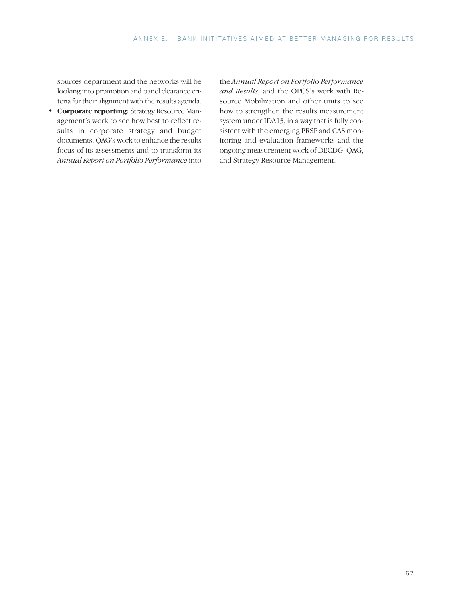sources department and the networks will be looking into promotion and panel clearance criteria for their alignment with the results agenda.

• **Corporate reporting:** Strategy Resource Management's work to see how best to reflect results in corporate strategy and budget documents; QAG's work to enhance the results focus of its assessments and to transform its *Annual Report on Portfolio Performance* into the *Annual Report on Portfolio Performance and Results*; and the OPCS's work with Resource Mobilization and other units to see how to strengthen the results measurement system under IDA13, in a way that is fully consistent with the emerging PRSP and CAS monitoring and evaluation frameworks and the ongoing measurement work of DECDG, QAG, and Strategy Resource Management.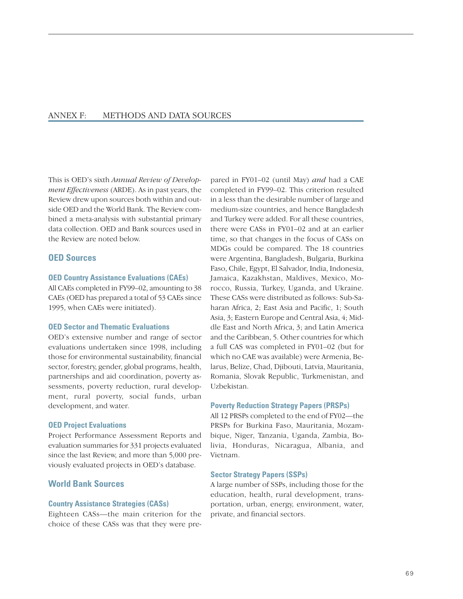#### ANNEX F: METHODS AND DATA SOURCES

This is OED's sixth *Annual Review of Development Effectiveness* (ARDE). As in past years, the Review drew upon sources both within and outside OED and the World Bank. The Review combined a meta-analysis with substantial primary data collection. OED and Bank sources used in the Review are noted below.

### **OED Sources**

#### **OED Country Assistance Evaluations (CAEs)**

All CAEs completed in FY99–02, amounting to 38 CAEs (OED has prepared a total of 53 CAEs since 1995, when CAEs were initiated).

#### **OED Sector and Thematic Evaluations**

OED's extensive number and range of sector evaluations undertaken since 1998, including those for environmental sustainability, financial sector, forestry, gender, global programs, health, partnerships and aid coordination, poverty assessments, poverty reduction, rural development, rural poverty, social funds, urban development, and water.

#### **OED Project Evaluations**

Project Performance Assessment Reports and evaluation summaries for 331 projects evaluated since the last Review, and more than 5,000 previously evaluated projects in OED's database.

# **World Bank Sources**

#### **Country Assistance Strategies (CASs)**

Eighteen CASs—the main criterion for the choice of these CASs was that they were prepared in FY01–02 (until May) *and* had a CAE completed in FY99–02. This criterion resulted in a less than the desirable number of large and medium-size countries, and hence Bangladesh and Turkey were added. For all these countries, there were CASs in FY01–02 and at an earlier time, so that changes in the focus of CASs on MDGs could be compared. The 18 countries were Argentina, Bangladesh, Bulgaria, Burkina Faso, Chile, Egypt, El Salvador, India, Indonesia, Jamaica, Kazakhstan, Maldives, Mexico, Morocco, Russia, Turkey, Uganda, and Ukraine. These CASs were distributed as follows: Sub-Saharan Africa, 2; East Asia and Pacific, 1; South Asia, 3; Eastern Europe and Central Asia, 4; Middle East and North Africa, 3; and Latin America and the Caribbean, 5. Other countries for which a full CAS was completed in FY01–02 (but for which no CAE was available) were Armenia, Belarus, Belize, Chad, Djibouti, Latvia, Mauritania, Romania, Slovak Republic, Turkmenistan, and Uzbekistan.

#### **Poverty Reduction Strategy Papers (PRSPs)**

All 12 PRSPs completed to the end of FY02—the PRSPs for Burkina Faso, Mauritania, Mozambique, Niger, Tanzania, Uganda, Zambia, Bolivia, Honduras, Nicaragua, Albania, and Vietnam.

#### **Sector Strategy Papers (SSPs)**

A large number of SSPs, including those for the education, health, rural development, transportation, urban, energy, environment, water, private, and financial sectors.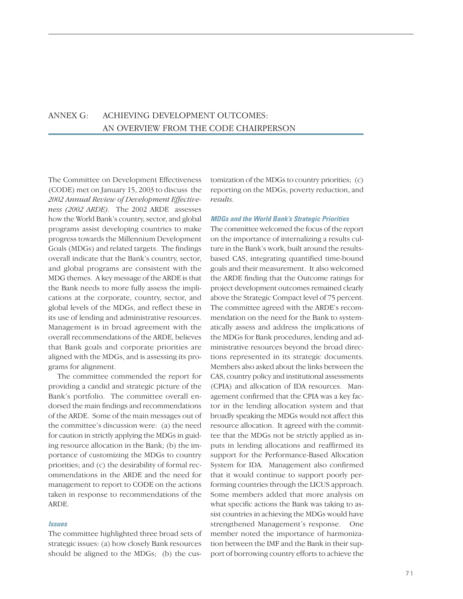# ANNEX G: ACHIEVING DEVELOPMENT OUTCOMES: AN OVERVIEW FROM THE CODE CHAIRPERSON

The Committee on Development Effectiveness (CODE) met on January 15, 2003 to discuss the *2002 Annual Review of Development Effectiveness (2002 ARDE).* The 2002 ARDE assesses how the World Bank's country, sector, and global programs assist developing countries to make progress towards the Millennium Development Goals (MDGs) and related targets. The findings overall indicate that the Bank's country, sector, and global programs are consistent with the MDG themes. A key message of the ARDE is that the Bank needs to more fully assess the implications at the corporate, country, sector, and global levels of the MDGs, and reflect these in its use of lending and administrative resources. Management is in broad agreement with the overall recommendations of the ARDE, believes that Bank goals and corporate priorities are aligned with the MDGs, and is assessing its programs for alignment.

The committee commended the report for providing a candid and strategic picture of the Bank's portfolio. The committee overall endorsed the main findings and recommendations of the ARDE. Some of the main messages out of the committee's discussion were: (a) the need for caution in strictly applying the MDGs in guiding resource allocation in the Bank; (b) the importance of customizing the MDGs to country priorities; and (c) the desirability of formal recommendations in the ARDE and the need for management to report to CODE on the actions taken in response to recommendations of the ARDE.

#### *Issues*

The committee highlighted three broad sets of strategic issues: (a) how closely Bank resources should be aligned to the MDGs; (b) the customization of the MDGs to country priorities; (c) reporting on the MDGs, poverty reduction, and *results*.

#### *MDGs and the World Bank's Strategic Priorities*

The committee welcomed the focus of the report on the importance of internalizing a results culture in the Bank's work, built around the resultsbased CAS, integrating quantified time-bound goals and their measurement. It also welcomed the ARDE finding that the Outcome ratings for project development outcomes remained clearly above the Strategic Compact level of 75 percent. The committee agreed with the ARDE's recommendation on the need for the Bank to systematically assess and address the implications of the MDGs for Bank procedures, lending and administrative resources beyond the broad directions represented in its strategic documents. Members also asked about the links between the CAS, country policy and institutional assessments (CPIA) and allocation of IDA resources. Management confirmed that the CPIA was a key factor in the lending allocation system and that broadly speaking the MDGs would not affect this resource allocation. It agreed with the committee that the MDGs not be strictly applied as inputs in lending allocations and reaffirmed its support for the Performance-Based Allocation System for IDA. Management also confirmed that it would continue to support poorly performing countries through the LICUS approach. Some members added that more analysis on what specific actions the Bank was taking to assist countries in achieving the MDGs would have strengthened Management's response. One member noted the importance of harmonization between the IMF and the Bank in their support of borrowing country efforts to achieve the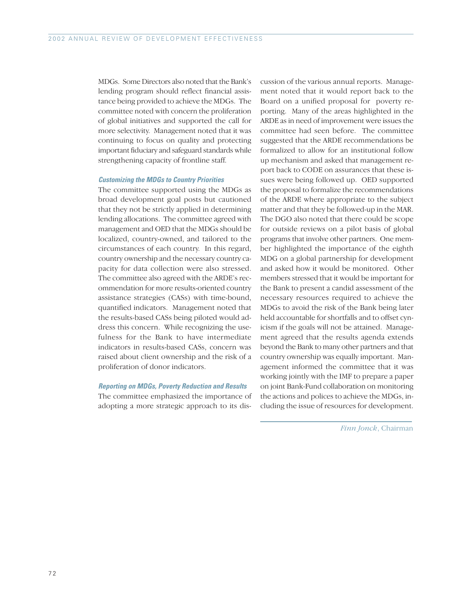MDGs. Some Directors also noted that the Bank's lending program should reflect financial assistance being provided to achieve the MDGs. The committee noted with concern the proliferation of global initiatives and supported the call for more selectivity. Management noted that it was continuing to focus on quality and protecting important fiduciary and safeguard standards while strengthening capacity of frontline staff.

#### *Customizing the MDGs to Country Priorities*

The committee supported using the MDGs as broad development goal posts but cautioned that they not be strictly applied in determining lending allocations. The committee agreed with management and OED that the MDGs should be localized, country-owned, and tailored to the circumstances of each country. In this regard, country ownership and the necessary country capacity for data collection were also stressed. The committee also agreed with the ARDE's recommendation for more results-oriented country assistance strategies (CASs) with time-bound, quantified indicators. Management noted that the results-based CASs being piloted would address this concern. While recognizing the usefulness for the Bank to have intermediate indicators in results-based CASs, concern was raised about client ownership and the risk of a proliferation of donor indicators.

#### *Reporting on MDGs, Poverty Reduction and Results*

The committee emphasized the importance of adopting a more strategic approach to its dis-

cussion of the various annual reports. Management noted that it would report back to the Board on a unified proposal for poverty reporting. Many of the areas highlighted in the ARDE as in need of improvement were issues the committee had seen before. The committee suggested that the ARDE recommendations be formalized to allow for an institutional follow up mechanism and asked that management report back to CODE on assurances that these issues were being followed up. OED supported the proposal to formalize the recommendations of the ARDE where appropriate to the subject matter and that they be followed-up in the MAR. The DGO also noted that there could be scope for outside reviews on a pilot basis of global programs that involve other partners. One member highlighted the importance of the eighth MDG on a global partnership for development and asked how it would be monitored. Other members stressed that it would be important for the Bank to present a candid assessment of the necessary resources required to achieve the MDGs to avoid the risk of the Bank being later held accountable for shortfalls and to offset cynicism if the goals will not be attained. Management agreed that the results agenda extends beyond the Bank to many other partners and that country ownership was equally important. Management informed the committee that it was working jointly with the IMF to prepare a paper on joint Bank-Fund collaboration on monitoring the actions and polices to achieve the MDGs, including the issue of resources for development.

*Finn Jonck*, Chairman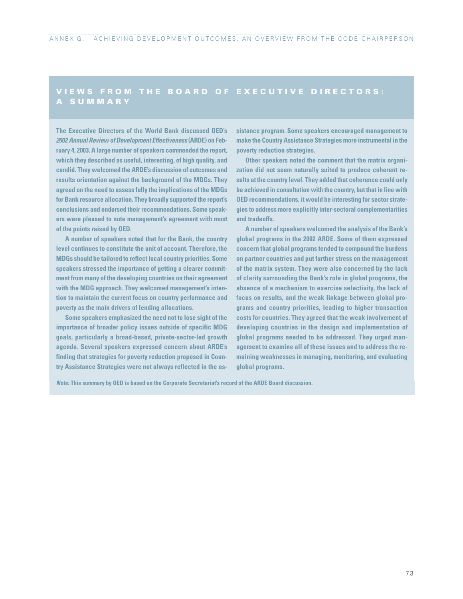# **VIEWS FROM THE BOARD OF EXECUTIVE DIRECTORS: A SUMMARY**

**The Executive Directors of the World Bank discussed OED's** *2002 Annual Review of Development Effectiveness* **(ARDE) on February 4, 2003. A large number of speakers commended the report, which they described as useful, interesting, of high quality, and candid. They welcomed the ARDE's discussion of outcomes and results orientation against the background of the MDGs. They agreed on the need to assess fully the implications of the MDGs for Bank resource allocation. They broadly supported the report's conclusions and endorsed their recommendations. Some speakers were pleased to note management's agreement with most of the points raised by OED.**

**A number of speakers noted that for the Bank, the country level continues to constitute the unit of account. Therefore, the MDGs should be tailored to reflect local country priorities. Some speakers stressed the importance of getting a clearer commitment from many of the developing countries on their agreement with the MDG approach. They welcomed management's intention to maintain the current focus on country performance and poverty as the main drivers of lending allocations.**

**Some speakers emphasized the need not to lose sight of the importance of broader policy issues outside of specific MDG goals, particularly a broad-based, private-sector-led growth agenda. Several speakers expressed concern about ARDE's finding that strategies for poverty reduction proposed in Country Assistance Strategies were not always reflected in the as-** **sistance program. Some speakers encouraged management to make the Country Assistance Strategies more instrumental in the poverty reduction strategies.** 

**Other speakers noted the comment that the matrix organization did not seem naturally suited to produce coherent results at the country level. They added that coherence could only be achieved in consultation with the country, but that in line with OED recommendations, it would be interesting for sector strategies to address more explicitly inter-sectoral complementarities and tradeoffs.** 

**A number of speakers welcomed the analysis of the Bank's global programs in the 2002 ARDE. Some of them expressed concern that global programs tended to compound the burdens on partner countries and put further stress on the management of the matrix system. They were also concerned by the lack of clarity surrounding the Bank's role in global programs, the absence of a mechanism to exercise selectivity, the lack of focus on results, and the weak linkage between global programs and country priorities, leading to higher transaction costs for countries. They agreed that the weak involvement of developing countries in the design and implementation of global programs needed to be addressed. They urged management to examine all of these issues and to address the remaining weaknesses in managing, monitoring, and evaluating global programs.**

*Note:* **This summary by OED is based on the Corporate Secretariat's record of the ARDE Board discussion.**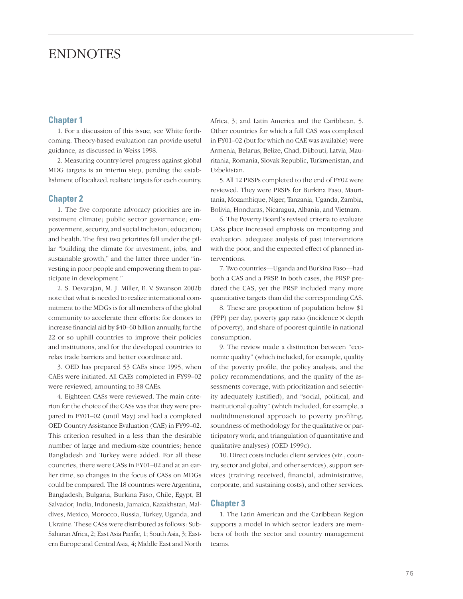# ENDNOTES

## **Chapter 1**

1. For a discussion of this issue, see White forthcoming. Theory-based evaluation can provide useful guidance, as discussed in Weiss 1998.

2. Measuring country-level progress against global MDG targets is an interim step, pending the establishment of localized, realistic targets for each country.

#### **Chapter 2**

1. The five corporate advocacy priorities are investment climate; public sector governance; empowerment, security, and social inclusion; education; and health. The first two priorities fall under the pillar "building the climate for investment, jobs, and sustainable growth," and the latter three under "investing in poor people and empowering them to participate in development."

2. S. Devarajan, M. J. Miller, E. V. Swanson 2002b note that what is needed to realize international commitment to the MDGs is for all members of the global community to accelerate their efforts: for donors to increase financial aid by \$40–60 billion annually, for the 22 or so uphill countries to improve their policies and institutions, and for the developed countries to relax trade barriers and better coordinate aid.

3. OED has prepared 53 CAEs since 1995, when CAEs were initiated. All CAEs completed in FY99–02 were reviewed, amounting to 38 CAEs.

4. Eighteen CASs were reviewed. The main criterion for the choice of the CASs was that they were prepared in FY01–02 (until May) and had a completed OED Country Assistance Evaluation (CAE) in FY99–02. This criterion resulted in a less than the desirable number of large and medium-size countries; hence Bangladesh and Turkey were added. For all these countries, there were CASs in FY01–02 and at an earlier time, so changes in the focus of CASs on MDGs could be compared. The 18 countries were Argentina, Bangladesh, Bulgaria, Burkina Faso, Chile, Egypt, El Salvador, India, Indonesia, Jamaica, Kazakhstan, Maldives, Mexico, Morocco, Russia, Turkey, Uganda, and Ukraine. These CASs were distributed as follows: Sub-Saharan Africa, 2; East Asia Pacific, 1; South Asia, 3; Eastern Europe and Central Asia, 4; Middle East and North Africa, 3; and Latin America and the Caribbean, 5. Other countries for which a full CAS was completed in FY01–02 (but for which no CAE was available) were Armenia, Belarus, Belize, Chad, Djibouti, Latvia, Mauritania, Romania, Slovak Republic, Turkmenistan, and Uzbekistan.

5. All 12 PRSPs completed to the end of FY02 were reviewed. They were PRSPs for Burkina Faso, Mauritania, Mozambique, Niger, Tanzania, Uganda, Zambia, Bolivia, Honduras, Nicaragua, Albania, and Vietnam.

6. The Poverty Board's revised criteria to evaluate CASs place increased emphasis on monitoring and evaluation, adequate analysis of past interventions with the poor, and the expected effect of planned interventions.

7. Two countries—Uganda and Burkina Faso—had both a CAS and a PRSP. In both cases, the PRSP predated the CAS, yet the PRSP included many more quantitative targets than did the corresponding CAS.

8. These are proportion of population below \$1 (PPP) per day, poverty gap ratio (incidence  $\times$  depth of poverty), and share of poorest quintile in national consumption.

9. The review made a distinction between "economic quality" (which included, for example, quality of the poverty profile, the policy analysis, and the policy recommendations, and the quality of the assessments coverage, with prioritization and selectivity adequately justified), and "social, political, and institutional quality" (which included, for example, a multidimensional approach to poverty profiling, soundness of methodology for the qualitative or participatory work, and triangulation of quantitative and qualitative analyses) (OED 1999c).

10. Direct costs include: client services (viz., country, sector and global, and other services), support services (training received, financial, administrative, corporate, and sustaining costs), and other services.

#### **Chapter 3**

1. The Latin American and the Caribbean Region supports a model in which sector leaders are members of both the sector and country management teams.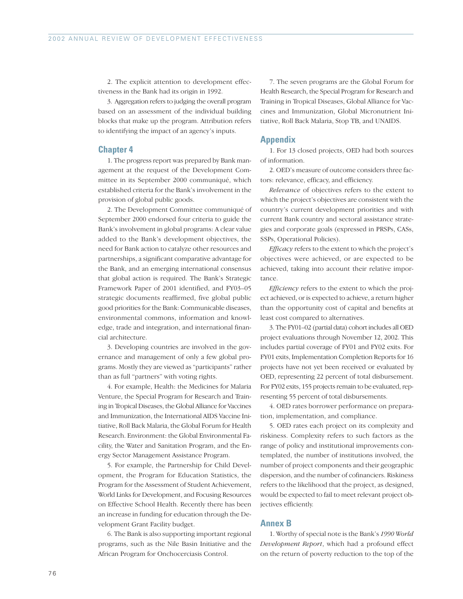2. The explicit attention to development effectiveness in the Bank had its origin in 1992.

3. Aggregation refers to judging the overall program based on an assessment of the individual building blocks that make up the program. Attribution refers to identifying the impact of an agency's inputs.

#### **Chapter 4**

1. The progress report was prepared by Bank management at the request of the Development Committee in its September 2000 communiqué, which established criteria for the Bank's involvement in the provision of global public goods.

2. The Development Committee communiqué of September 2000 endorsed four criteria to guide the Bank's involvement in global programs: A clear value added to the Bank's development objectives, the need for Bank action to catalyze other resources and partnerships, a significant comparative advantage for the Bank, and an emerging international consensus that global action is required. The Bank's Strategic Framework Paper of 2001 identified, and FY03–05 strategic documents reaffirmed, five global public good priorities for the Bank: Communicable diseases, environmental commons, information and knowledge, trade and integration, and international financial architecture.

3. Developing countries are involved in the governance and management of only a few global programs. Mostly they are viewed as "participants" rather than as full "partners" with voting rights.

4. For example, Health: the Medicines for Malaria Venture, the Special Program for Research and Training in Tropical Diseases, the Global Alliance for Vaccines and Immunization, the International AIDS Vaccine Initiative, Roll Back Malaria, the Global Forum for Health Research. Environment: the Global Environmental Facility, the Water and Sanitation Program, and the Energy Sector Management Assistance Program.

5. For example, the Partnership for Child Development, the Program for Education Statistics, the Program for the Assessment of Student Achievement, World Links for Development, and Focusing Resources on Effective School Health. Recently there has been an increase in funding for education through the Development Grant Facility budget.

6. The Bank is also supporting important regional programs, such as the Nile Basin Initiative and the African Program for Onchocerciasis Control.

7. The seven programs are the Global Forum for Health Research, the Special Program for Research and Training in Tropical Diseases, Global Alliance for Vaccines and Immunization, Global Micronutrient Initiative, Roll Back Malaria, Stop TB, and UNAIDS.

#### **Appendix**

1. For 13 closed projects, OED had both sources of information.

2. OED's measure of outcome considers three factors: relevance, efficacy, and efficiency.

*Relevance* of objectives refers to the extent to which the project's objectives are consistent with the country's current development priorities and with current Bank country and sectoral assistance strategies and corporate goals (expressed in PRSPs, CASs, SSPs, Operational Policies).

*Efficacy* refers to the extent to which the project's objectives were achieved, or are expected to be achieved, taking into account their relative importance.

*Efficiency* refers to the extent to which the project achieved, or is expected to achieve, a return higher than the opportunity cost of capital and benefits at least cost compared to alternatives.

3. The FY01–02 (partial data) cohort includes all OED project evaluations through November 12, 2002. This includes partial coverage of FY01 and FY02 exits. For FY01 exits, Implementation Completion Reports for 16 projects have not yet been received or evaluated by OED, representing 22 percent of total disbursement. For FY02 exits, 155 projects remain to be evaluated, representing 55 percent of total disbursements.

4. OED rates borrower performance on preparation, implementation, and compliance.

5. OED rates each project on its complexity and riskiness. Complexity refers to such factors as the range of policy and institutional improvements contemplated, the number of institutions involved, the number of project components and their geographic dispersion, and the number of cofinanciers. Riskiness refers to the likelihood that the project, as designed, would be expected to fail to meet relevant project objectives efficiently.

#### **Annex B**

1. Worthy of special note is the Bank's *1990 World Development Report*, which had a profound effect on the return of poverty reduction to the top of the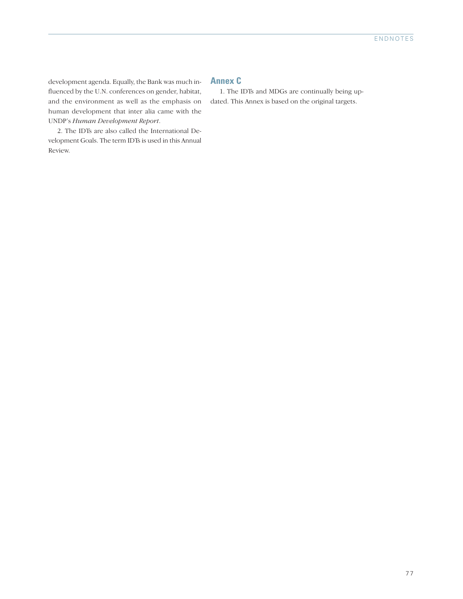development agenda. Equally, the Bank was much influenced by the U.N. conferences on gender, habitat, and the environment as well as the emphasis on human development that inter alia came with the UNDP's *Human Development Report*.

2. The IDTs are also called the International Development Goals. The term IDTs is used in this Annual Review.

# **Annex C**

1. The IDTs and MDGs are continually being updated. This Annex is based on the original targets.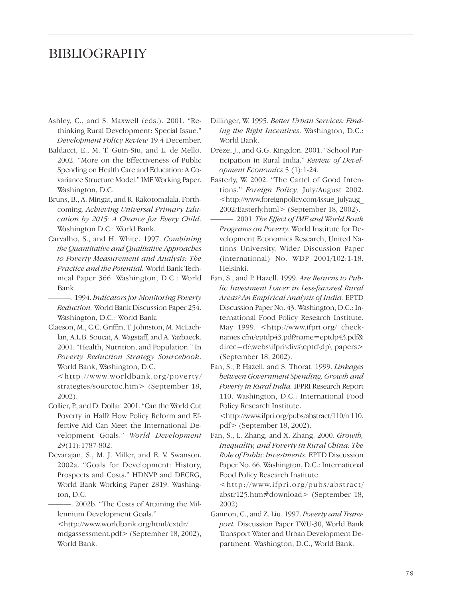# BIBLIOGRAPHY

- Ashley, C., and S. Maxwell (eds.). 2001. "Rethinking Rural Development: Special Issue." *Development Policy Review* 19:4 December.
- Baldacci, E., M. T. Guin-Siu, and L. de Mello. 2002. "More on the Effectiveness of Public Spending on Health Care and Education: A Covariance Structure Model." IMF Working Paper. Washington, D.C.
- Bruns, B., A. Mingat, and R. Rakotomalala. Forthcoming. *Achieving Universal Primary Education by 2015: A Chance for Every Child*. Washington D.C.: World Bank.
- Carvalho, S., and H. White. 1997. *Combining the Quantitative and Qualitative Approaches to Poverty Measurement and Analysis: The Practice and the Potential.* World Bank Technical Paper 366. Washington, D.C.: World Bank.

———. 1994. *Indicators for Monitoring Poverty Reduction.* World Bank Discussion Paper 254. Washington, D.C.: World Bank.

Claeson, M., C.C. Griffin, T. Johnston, M. McLachlan, A.L.B. Soucat, A. Wagstaff, and A. Yazbaeck. 2001. "Health, Nutrition, and Population." In *Poverty Reduction Strategy Sourcebook*. World Bank, Washington, D.C.

<http://www.worldbank.org/poverty/ strategies/sourctoc.htm> (September 18, 2002).

- Collier, P., and D. Dollar. 2001. "Can the World Cut Poverty in Half? How Policy Reform and Effective Aid Can Meet the International Development Goals." *World Development* 29(11):1787-802.
- Devarajan, S., M. J. Miller, and E. V. Swanson. 2002a. "Goals for Development: History, Prospects and Costs." HDNVP and DECRG, World Bank Working Paper 2819. Washington, D.C.

———. 2002b. "The Costs of Attaining the Millennium Development Goals."

<http://www.worldbank.org/html/extdr/ mdgassessment.pdf> (September 18, 2002), World Bank.

- Dillinger, W. 1995. *Better Urban Services: Finding the Right Incentives*. Washington, D.C.: World Bank.
- Drèze, J., and G.G. Kingdon. 2001. "School Participation in Rural India." *Review of Development Economics* 5 (1):1-24.
- Easterly, W. 2002. "The Cartel of Good Intentions." *Foreign Policy,* July/August 2002. <http://www.foreignpolicy.com/issue\_julyaug\_ 2002/Easterly.html> (September 18, 2002).
- ———. 2001. *The Effect of IMF and World Bank Programs on Poverty.* World Institute for Development Economics Research, United Nations University, Wider Discussion Paper (international) No. WDP 2001/102:1-18. Helsinki.
- Fan, S., and P. Hazell. 1999. *Are Returns to Public Investment Lower in Less-favored Rural Areas? An Empirical Analysis of India.* EPTD Discussion Paper No. 43. Washington, D.C.: International Food Policy Research Institute. May 1999. <http://www.ifpri.org/ checknames.cfm/eptdp43.pdf?name=eptdp43.pdf& direc=d:\webs\ifpri\divs\eptd\dp\ papers> (September 18, 2002).
- Fan, S., P. Hazell, and S. Thorat. 1999. *Linkages between Government Spending, Growth and Poverty in Rural India.* IFPRI Research Report 110. Washington, D.C.: International Food Policy Research Institute.

<http://www.ifpri.org/pubs/abstract/110/rr110. pdf> (September 18, 2002).

Fan, S., L. Zhang, and X. Zhang. 2000. *Growth, Inequality, and Poverty in Rural China: The Role of Public Investments.* EPTD Discussion Paper No. 66. Washington, D.C.: International Food Policy Research Institute.

<http://www.ifpri.org/pubs/abstract/ abstr125.htm#download> (September 18, 2002).

Gannon, C., and Z. Liu. 1997. *Poverty and Transport.* Discussion Paper TWU-30, World Bank Transport Water and Urban Development Department. Washington, D.C., World Bank.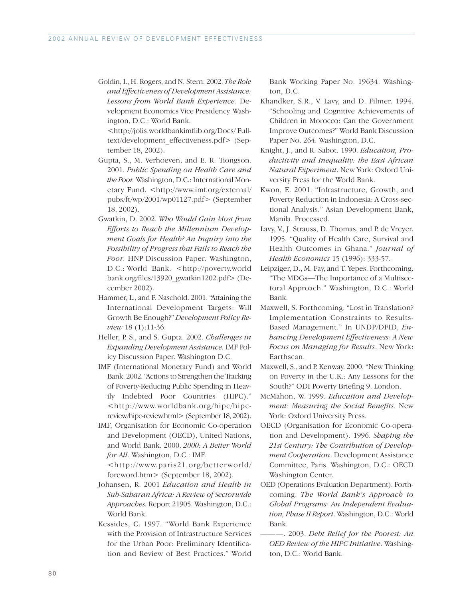Goldin, I., H. Rogers, and N. Stern. 2002. *The Role and Effectiveness of Development Assistance: Lessons from World Bank Experience.* Development Economics Vice Presidency. Washington, D.C.: World Bank.

<http://jolis.worldbankimflib.org/Docs/ Fulltext/development\_effectiveness.pdf> (September 18, 2002).

- Gupta, S., M. Verhoeven, and E. R. Tiongson. 2001. *Public Spending on Health Care and the Poor.* Washington, D.C.: International Monetary Fund. <http://www.imf.org/external/ pubs/ft/wp/2001/wp01127.pdf> (September 18, 2002).
- Gwatkin, D. 2002. *Who Would Gain Most from Efforts to Reach the Millennium Development Goals for Health? An Inquiry into the Possibility of Progress that Fails to Reach the Poor.* HNP Discussion Paper. Washington, D.C.: World Bank. <http://poverty.world bank.org/files/13920\_gwatkin1202.pdf> (December 2002).
- Hammer, L., and F. Naschold. 2001. "Attaining the International Development Targets: Will Growth Be Enough?" *Development Policy Review* 18 (1):11-36.
- Heller, P. S., and S. Gupta. 2002. *Challenges in Expanding Development Assistance.* IMF Policy Discussion Paper. Washington D.C.
- IMF (International Monetary Fund) and World Bank. 2002. "Actions to Strengthen the Tracking of Poverty-Reducing Public Spending in Heavily Indebted Poor Countries (HIPC)." <http://www.worldbank.org/hipc/hipcreview/hipc-review.html> (September 18, 2002).
- IMF, Organisation for Economic Co-operation and Development (OECD), United Nations, and World Bank. 2000. *2000: A Better World for All*. Washington, D.C.: IMF.

<http://www.paris21.org/betterworld/ foreword.htm> (September 18, 2002).

- Johansen, R. 2001 *Education and Health in Sub-Saharan Africa: A Review of Sectorwide Approaches.* Report 21905. Washington, D.C.: World Bank.
- Kessides, C. 1997. "World Bank Experience with the Provision of Infrastructure Services for the Urban Poor: Preliminary Identification and Review of Best Practices." World

Bank Working Paper No. 19634. Washington, D.C.

- Khandker, S.R., V. Lavy, and D. Filmer. 1994. "Schooling and Cognitive Achievements of Children in Morocco: Can the Government Improve Outcomes?" World Bank Discussion Paper No. 264. Washington, D.C.
- Knight, J., and R. Sabot. 1990. *Education, Productivity and Inequality: the East African Natural Experiment*. New York: Oxford University Press for the World Bank.
- Kwon, E. 2001. "Infrastructure, Growth, and Poverty Reduction in Indonesia: A Cross-sectional Analysis." Asian Development Bank, Manila. Processed.
- Lavy, V., J. Strauss, D. Thomas, and P. de Vreyer. 1995. "Quality of Health Care, Survival and Health Outcomes in Ghana." *Journal of Health Economics* 15 (1996): 333-57.
- Leipziger, D., M. Fay, and T. Yepes. Forthcoming. "The MDGs—The Importance of a Multisectoral Approach." Washington, D.C.: World Bank.
- Maxwell, S. Forthcoming. "Lost in Translation? Implementation Constraints to Results-Based Management." In UNDP/DFID, *Enhancing Development Effectiveness: A New Focus on Managing for Results*. New York: Earthscan.
- Maxwell, S., and P. Kenway. 2000. "New Thinking on Poverty in the U.K.: Any Lessons for the South?" ODI Poverty Briefing 9. London.
- McMahon, W. 1999. *Education and Development: Measuring the Social Benefits.* New York: Oxford University Press.
- OECD (Organisation for Economic Co-operation and Development). 1996. *Shaping the 21st Century: The Contribution of Development Cooperation*. Development Assistance Committee, Paris. Washington, D.C.: OECD Washington Center.
- OED (Operations Evaluation Department). Forthcoming. *The World Bank's Approach to Global Programs: An Independent Evaluation, Phase II Report*. Washington, D.C.: World Bank.

<sup>———. 2003.</sup> *Debt Relief for the Poorest: An OED Review of the HIPC Initiative*. Washington, D.C.: World Bank.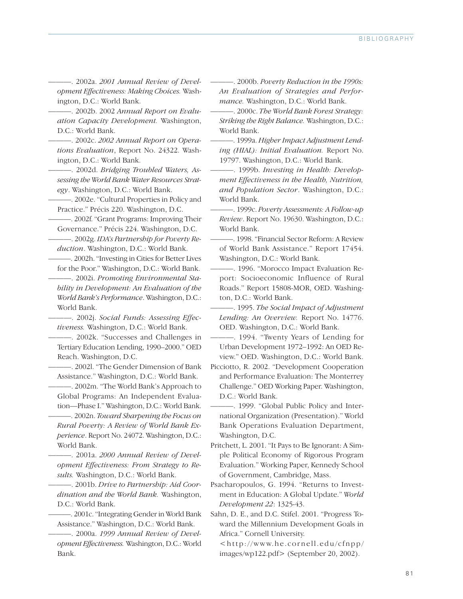———. 2002a. *2001 Annual Review of Development Effectiveness: Making Choices.* Washington, D.C.: World Bank.

———. 2002b. 2002 *Annual Report on Evaluation Capacity Development.* Washington, D.C.: World Bank.

———. 2002c. *2002 Annual Report on Operations Evaluation*, Report No. 24322. Washington, D.C.: World Bank.

———. 2002d. *Bridging Troubled Waters, Assessing the World Bank Water Resources Strategy*. Washington, D.C.: World Bank.

———. 2002e. "Cultural Properties in Policy and Practice." Précis 220. Washington, D.C.

———. 2002f. "Grant Programs: Improving Their Governance." Précis 224. Washington, D.C.

———. 2002g. *IDA's Partnership for Poverty Reduction*. Washington, D.C.: World Bank.

———. 2002h. "Investing in Cities for Better Lives for the Poor." Washington, D.C.: World Bank.

———. 2002i. *Promoting Environmental Stability in Development: An Evaluation of the World Bank's Performance*. Washington, D.C.: World Bank.

 $-$ . 2002*j*. *Social Funds: Assessing Effectiveness.* Washington, D.C.: World Bank.

———. 2002k. "Successes and Challenges in Tertiary Education Lending, 1990–2000." OED Reach. Washington, D.C.

-. 2002l. "The Gender Dimension of Bank Assistance." Washington, D.C.: World Bank.

———. 2002m. "The World Bank's Approach to Global Programs: An Independent Evaluation—Phase I." Washington, D.C.: World Bank. ———. 2002n. *Toward Sharpening the Focus on*

*Rural Poverty: A Review of World Bank Experience*. Report No. 24072. Washington, D.C.: World Bank.

———. 2001a. *2000 Annual Review of Development Effectiveness: From Strategy to Results.* Washington, D.C.: World Bank.

———. 2001b. *Drive to Partnership: Aid Coordination and the World Bank.* Washington, D.C.: World Bank.

———. 2001c. "Integrating Gender in World Bank Assistance." Washington, D.C.: World Bank.

———. 2000a. *1999 Annual Review of Development Effectiveness.* Washington, D.C.: World Bank.

———. 2000b. *Poverty Reduction in the 1990s: An Evaluation of Strategies and Performance.* Washington, D.C.: World Bank.

———. 2000c. *The World Bank Forest Strategy: Striking the Right Balance.* Washington, D.C.: World Bank.

———. 1999a. *Higher Impact Adjustment Lending (HIAL): Initial Evaluation.* Report No. 19797. Washington, D.C.: World Bank.

———. 1999b. *Investing in Health: Development Effectiveness in the Health, Nutrition, and Population Sector*. Washington, D.C.: World Bank.

———. 1999c. *Poverty Assessments: A Follow-up Review*. Report No. 19630. Washington, D.C.: World Bank.

———. 1998. "Financial Sector Reform: A Review of World Bank Assistance." Report 17454. Washington, D.C.: World Bank.

———. 1996. "Morocco Impact Evaluation Report: Socioeconomic Influence of Rural Roads." Report 15808-MOR, OED. Washington, D.C.: World Bank.

———. 1995. *The Social Impact of Adjustment Lending: An Overview.* Report No. 14776. OED. Washington, D.C.: World Bank.

———. 1994. "Twenty Years of Lending for Urban Development 1972–1992: An OED Review." OED. Washington, D.C.: World Bank.

Picciotto, R. 2002. "Development Cooperation and Performance Evaluation: The Monterrey Challenge." OED Working Paper. Washington, D.C.: World Bank.

———. 1999. "Global Public Policy and International Organization (Presentation)." World Bank Operations Evaluation Department, Washington, D.C.

Pritchett, L. 2001. "It Pays to Be Ignorant: A Simple Political Economy of Rigorous Program Evaluation." Working Paper, Kennedy School of Government, Cambridge, Mass.

Psacharopoulos, G. 1994. "Returns to Investment in Education: A Global Update." *World Development 22*: 1325-43.

Sahn, D. E., and D.C. Stifel. 2001. "Progress Toward the Millennium Development Goals in Africa." Cornell University.

<http://www.he.cor nell.edu/cfnpp/ images/wp122.pdf> (September 20, 2002).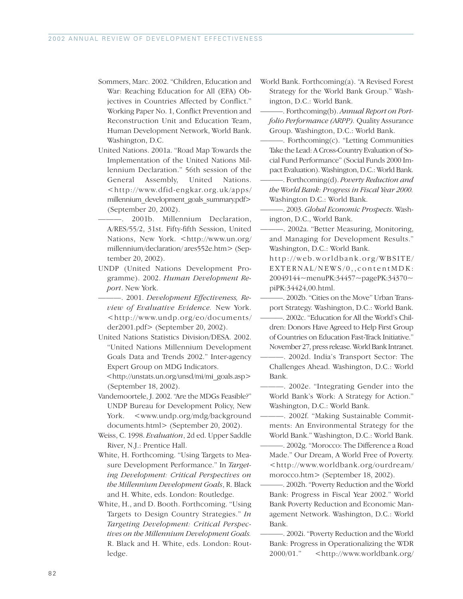- Sommers, Marc. 2002. "Children, Education and War: Reaching Education for All (EFA) Objectives in Countries Affected by Conflict." Working Paper No. 1, Conflict Prevention and Reconstruction Unit and Education Team, Human Development Network, World Bank. Washington, D.C.
- United Nations. 2001a. "Road Map Towards the Implementation of the United Nations Millennium Declaration." 56th session of the General Assembly, United Nations. <http://www.dfid-engkar.org.uk/apps/ millennium\_development\_goals\_summary.pdf> (September 20, 2002).
- ———. 2001b. Millennium Declaration, A/RES/55/2, 31st. Fifty-fifth Session, United Nations, New York. <http://www.un.org/ millennium/declaration/ ares552e.htm> (September 20, 2002).
- UNDP (United Nations Development Programme). 2002. *Human Development Report*. New York.
- ———. 2001. *Development Effectiveness, Review of Evaluative Evidence.* New York. <http://www.undp.org/eo/documents/ der2001.pdf> (September 20, 2002).
- United Nations Statistics Division/DESA. 2002. "United Nations Millennium Development Goals Data and Trends 2002." Inter-agency Expert Group on MDG Indicators.

<http://unstats.un.org/unsd/mi/mi\_goals.asp> (September 18, 2002).

- Vandemoortele, J. 2002. "Are the MDGs Feasible?" UNDP Bureau for Development Policy, New York. <www.undp.org/mdg/background documents.html> (September 20, 2002).
- Weiss, C. 1998. *Evaluation*, 2d ed. Upper Saddle River, N.J.: Prentice Hall.
- White, H. Forthcoming. "Using Targets to Measure Development Performance." In *Targeting Development: Critical Perspectives on the Millennium Development Goals*, R. Black and H. White, eds. London: Routledge.
- White, H., and D. Booth. Forthcoming. "Using Targets to Design Country Strategies." *In Targeting Development: Critical Perspectives on the Millennium Development Goals.* R. Black and H. White, eds. London: Routledge.
- World Bank. Forthcoming(a). "A Revised Forest Strategy for the World Bank Group." Washington, D.C.: World Bank.
	- ———. Forthcoming(b). *Annual Report on Portfolio Performance (ARPP).* Quality Assurance Group. Washington, D.C.: World Bank.
	- -. Forthcoming(c). "Letting Communities Take the Lead: A Cross-Country Evaluation of Social Fund Performance" (Social Funds 2000 Impact Evaluation). Washington, D.C.: World Bank.
	- ———. Forthcoming(d). *Poverty Reduction and the World Bank: Progress in Fiscal Year 2000.* Washington D.C.: World Bank.
	- ———. 2003. *Global Economic Prospects*. Washington, D.C., World Bank.
	- -. 2002a. "Better Measuring, Monitoring, and Managing for Development Results." Washington, D.C.: World Bank.
	- http://web.worldbank.org/WBSITE/ EXTERNAL/NEWS/0,,contentMDK: 20049144~menuPK:34457~pagePK:34370~ piPK:34424,00.html.
	- -. 2002b. "Cities on the Move" Urban Transport Strategy. Washington, D.C.: World Bank.
- ———. 2002c. "Education for All the World's Children: Donors Have Agreed to Help First Group of Countries on Education Fast-Track Initiative."
- November 27, press release. World Bank Intranet. ———. 2002d. India's Transport Sector: The Challenges Ahead. Washington, D.C.: World Bank.
- ———. 2002e. "Integrating Gender into the World Bank's Work: A Strategy for Action." Washington, D.C.: World Bank.
- -. 2002f. "Making Sustainable Commitments: An Environmental Strategy for the World Bank." Washington, D.C.: World Bank.
- -. 2002g. "Morocco: The Difference a Road Made." Our Dream, A World Free of Poverty. <http://www.worldbank.org/ourdream/ morocco.htm> (September 18, 2002).
- ———. 2002h. "Poverty Reduction and the World Bank: Progress in Fiscal Year 2002." World Bank Poverty Reduction and Economic Management Network. Washington, D.C.: World Bank.
- -. 2002i. "Poverty Reduction and the World Bank: Progress in Operationalizing the WDR 2000/01." <http://www.worldbank.org/